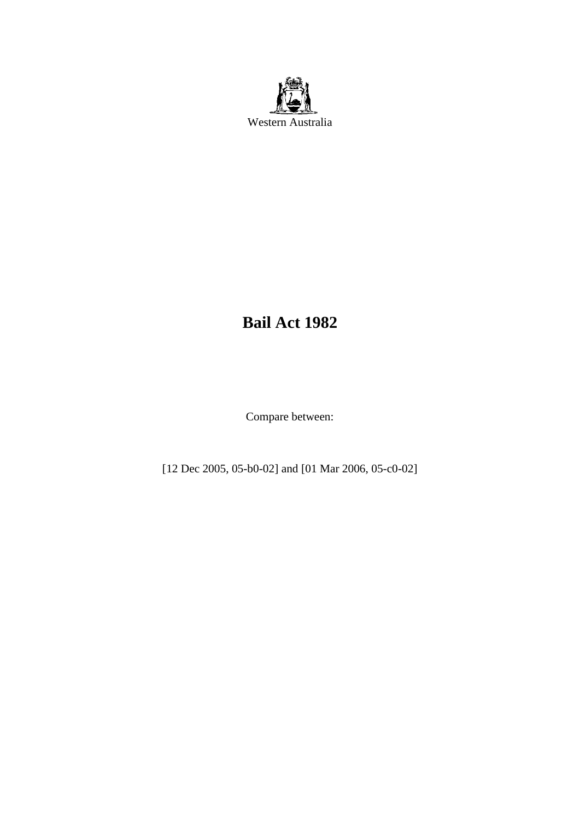

# **Bail Act 1982**

Compare between:

[12 Dec 2005, 05-b0-02] and [01 Mar 2006, 05-c0-02]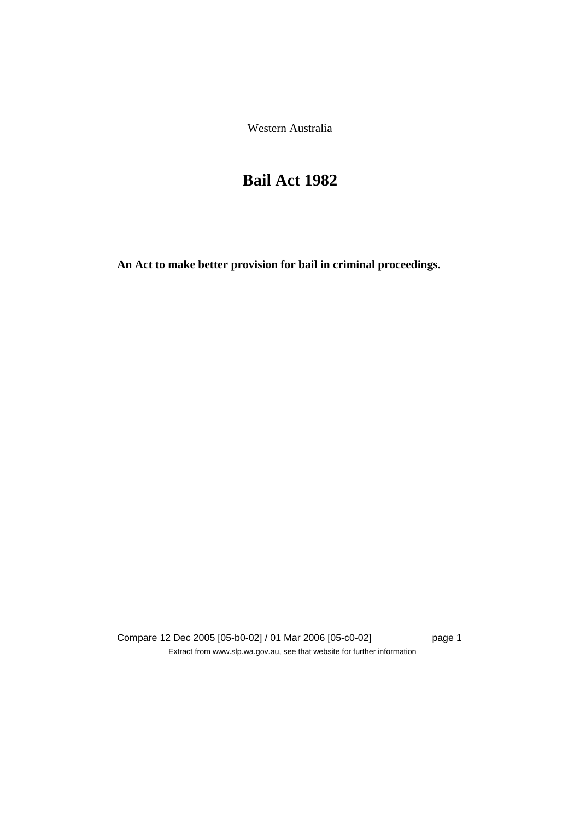Western Australia

# **Bail Act 1982**

**An Act to make better provision for bail in criminal proceedings.** 

Compare 12 Dec 2005 [05-b0-02] / 01 Mar 2006 [05-c0-02] page 1 Extract from www.slp.wa.gov.au, see that website for further information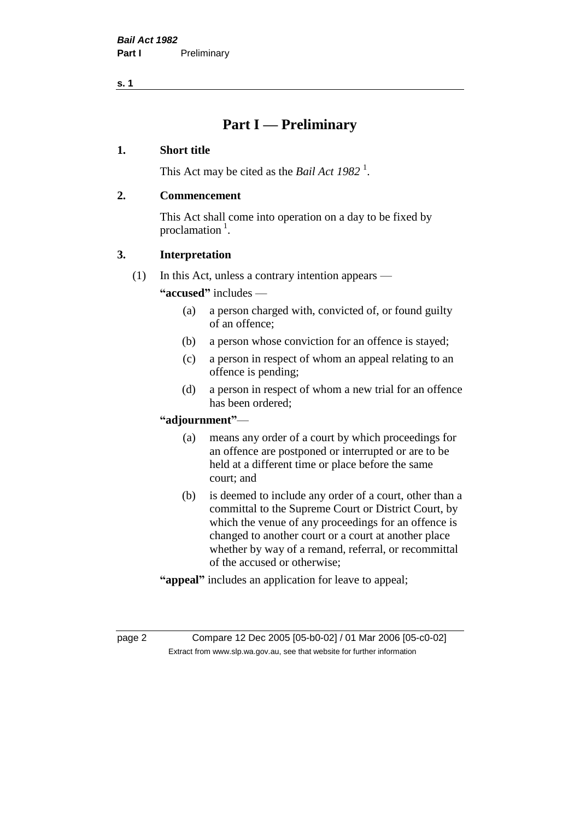## **Part I — Preliminary**

#### **1. Short title**

This Act may be cited as the *Bail Act* 1982<sup>1</sup>.

#### **2. Commencement**

This Act shall come into operation on a day to be fixed by proclamation  $<sup>1</sup>$ .</sup>

#### **3. Interpretation**

(1) In this Act, unless a contrary intention appears —

**"accused"** includes —

- (a) a person charged with, convicted of, or found guilty of an offence;
- (b) a person whose conviction for an offence is stayed;
- (c) a person in respect of whom an appeal relating to an offence is pending;
- (d) a person in respect of whom a new trial for an offence has been ordered;

#### **"adjournment"**—

- (a) means any order of a court by which proceedings for an offence are postponed or interrupted or are to be held at a different time or place before the same court; and
- (b) is deemed to include any order of a court, other than a committal to the Supreme Court or District Court, by which the venue of any proceedings for an offence is changed to another court or a court at another place whether by way of a remand, referral, or recommittal of the accused or otherwise;
- **"appeal"** includes an application for leave to appeal;

page 2 Compare 12 Dec 2005 [05-b0-02] / 01 Mar 2006 [05-c0-02] Extract from www.slp.wa.gov.au, see that website for further information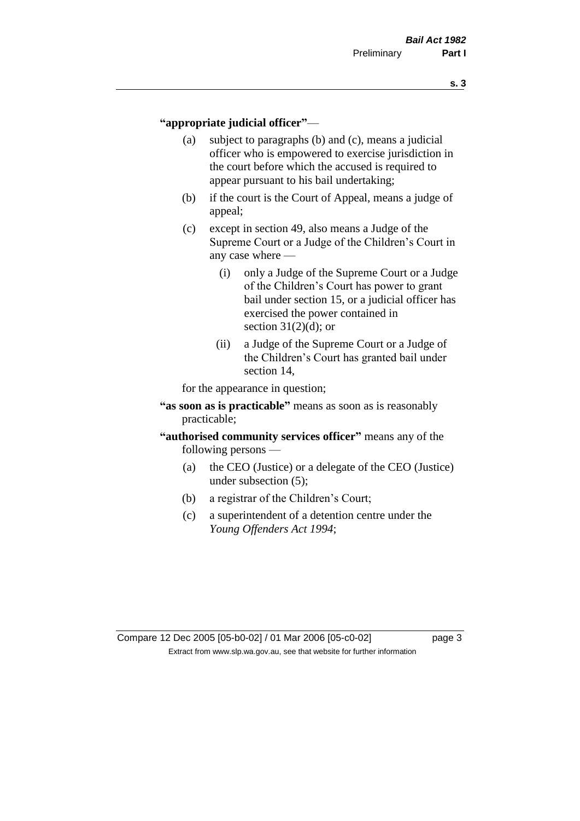#### **"appropriate judicial officer"**—

- (a) subject to paragraphs (b) and (c), means a judicial officer who is empowered to exercise jurisdiction in the court before which the accused is required to appear pursuant to his bail undertaking;
- (b) if the court is the Court of Appeal, means a judge of appeal;
- (c) except in section 49, also means a Judge of the Supreme Court or a Judge of the Children's Court in any case where —
	- (i) only a Judge of the Supreme Court or a Judge of the Children's Court has power to grant bail under section 15, or a judicial officer has exercised the power contained in section  $31(2)(d)$ ; or
	- (ii) a Judge of the Supreme Court or a Judge of the Children's Court has granted bail under section 14,

for the appearance in question;

- **"as soon as is practicable"** means as soon as is reasonably practicable;
- **"authorised community services officer"** means any of the following persons —
	- (a) the CEO (Justice) or a delegate of the CEO (Justice) under subsection (5);
	- (b) a registrar of the Children's Court;
	- (c) a superintendent of a detention centre under the *Young Offenders Act 1994*;

Compare 12 Dec 2005 [05-b0-02] / 01 Mar 2006 [05-c0-02] page 3 Extract from www.slp.wa.gov.au, see that website for further information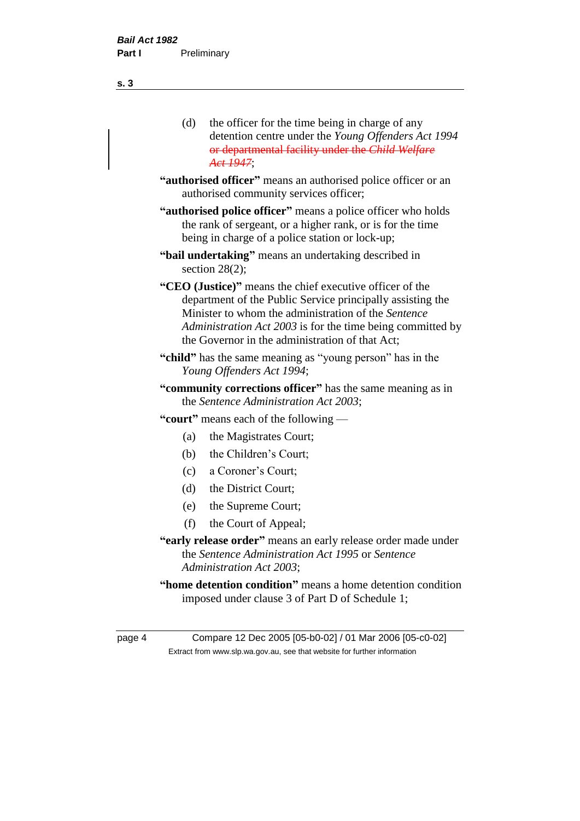| (d) | the officer for the time being in charge of any     |
|-----|-----------------------------------------------------|
|     | detention centre under the Young Offenders Act 1994 |
|     | or departmental facility under the Child Welfare    |
|     | Act 1947;                                           |

- **"authorised officer"** means an authorised police officer or an authorised community services officer;
- **"authorised police officer"** means a police officer who holds the rank of sergeant, or a higher rank, or is for the time being in charge of a police station or lock-up;
- **"bail undertaking"** means an undertaking described in section 28(2);
- **"CEO (Justice)"** means the chief executive officer of the department of the Public Service principally assisting the Minister to whom the administration of the *Sentence Administration Act 2003* is for the time being committed by the Governor in the administration of that Act;
- **"child"** has the same meaning as "young person" has in the *Young Offenders Act 1994*;
- **"community corrections officer"** has the same meaning as in the *Sentence Administration Act 2003*;
- **"court"** means each of the following
	- (a) the Magistrates Court;
	- (b) the Children's Court;
	- (c) a Coroner's Court;
	- (d) the District Court;
	- (e) the Supreme Court;
	- (f) the Court of Appeal;
- **"early release order"** means an early release order made under the *Sentence Administration Act 1995* or *Sentence Administration Act 2003*;
- **"home detention condition"** means a home detention condition imposed under clause 3 of Part D of Schedule 1;

page 4 Compare 12 Dec 2005 [05-b0-02] / 01 Mar 2006 [05-c0-02] Extract from www.slp.wa.gov.au, see that website for further information

**s. 3**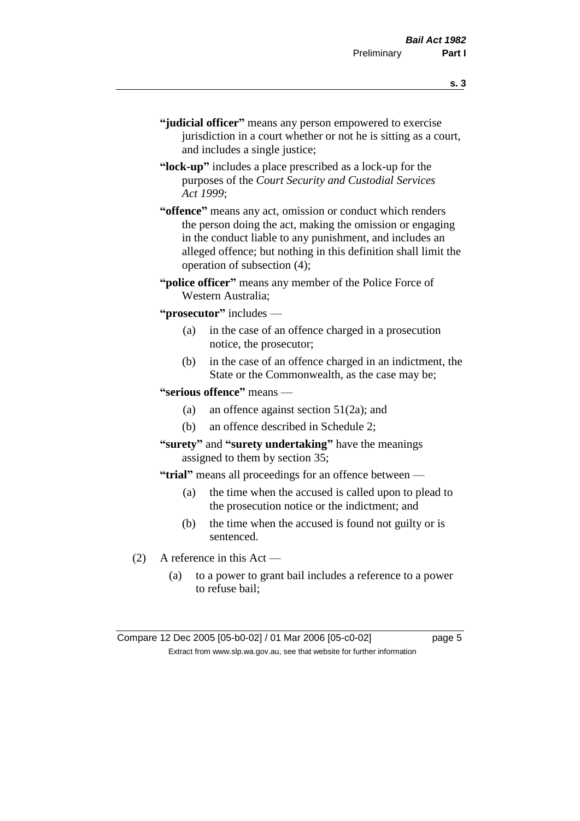- **s. 3**
- **"judicial officer"** means any person empowered to exercise jurisdiction in a court whether or not he is sitting as a court, and includes a single justice;
- **"lock-up"** includes a place prescribed as a lock-up for the purposes of the *Court Security and Custodial Services Act 1999*;
- **"offence"** means any act, omission or conduct which renders the person doing the act, making the omission or engaging in the conduct liable to any punishment, and includes an alleged offence; but nothing in this definition shall limit the operation of subsection (4);
- **"police officer"** means any member of the Police Force of Western Australia;
- **"prosecutor"** includes
	- (a) in the case of an offence charged in a prosecution notice, the prosecutor;
	- (b) in the case of an offence charged in an indictment, the State or the Commonwealth, as the case may be;
- **"serious offence"** means
	- (a) an offence against section 51(2a); and
	- (b) an offence described in Schedule 2;
- **"surety"** and **"surety undertaking"** have the meanings assigned to them by section 35;
- **"trial"** means all proceedings for an offence between
	- (a) the time when the accused is called upon to plead to the prosecution notice or the indictment; and
	- (b) the time when the accused is found not guilty or is sentenced.
- (2) A reference in this Act
	- (a) to a power to grant bail includes a reference to a power to refuse bail;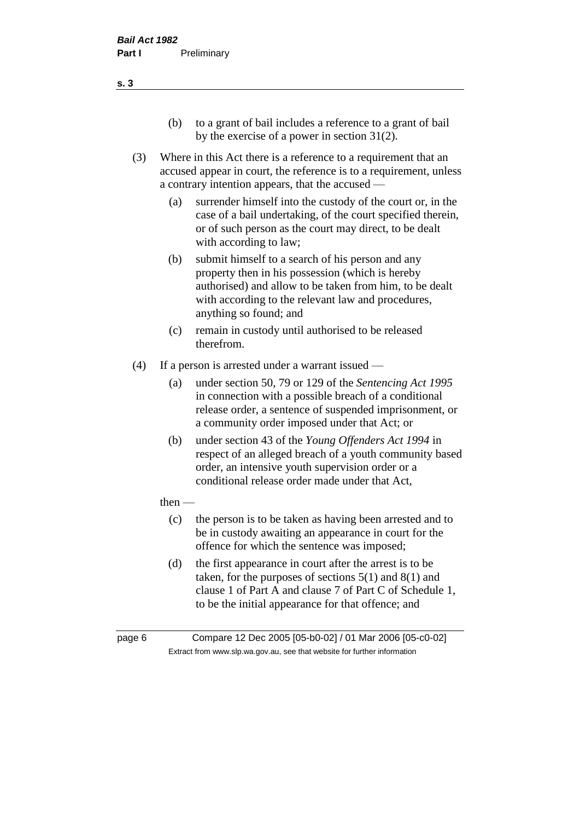- (b) to a grant of bail includes a reference to a grant of bail by the exercise of a power in section 31(2).
- (3) Where in this Act there is a reference to a requirement that an accused appear in court, the reference is to a requirement, unless a contrary intention appears, that the accused —
	- (a) surrender himself into the custody of the court or, in the case of a bail undertaking, of the court specified therein, or of such person as the court may direct, to be dealt with according to law;
	- (b) submit himself to a search of his person and any property then in his possession (which is hereby authorised) and allow to be taken from him, to be dealt with according to the relevant law and procedures, anything so found; and
	- (c) remain in custody until authorised to be released therefrom.
- (4) If a person is arrested under a warrant issued
	- (a) under section 50, 79 or 129 of the *Sentencing Act 1995* in connection with a possible breach of a conditional release order, a sentence of suspended imprisonment, or a community order imposed under that Act; or
	- (b) under section 43 of the *Young Offenders Act 1994* in respect of an alleged breach of a youth community based order, an intensive youth supervision order or a conditional release order made under that Act,
	- then
		- (c) the person is to be taken as having been arrested and to be in custody awaiting an appearance in court for the offence for which the sentence was imposed;
		- (d) the first appearance in court after the arrest is to be taken, for the purposes of sections  $5(1)$  and  $8(1)$  and clause 1 of Part A and clause 7 of Part C of Schedule 1, to be the initial appearance for that offence; and
- 

page 6 Compare 12 Dec 2005 [05-b0-02] / 01 Mar 2006 [05-c0-02] Extract from www.slp.wa.gov.au, see that website for further information

**s. 3**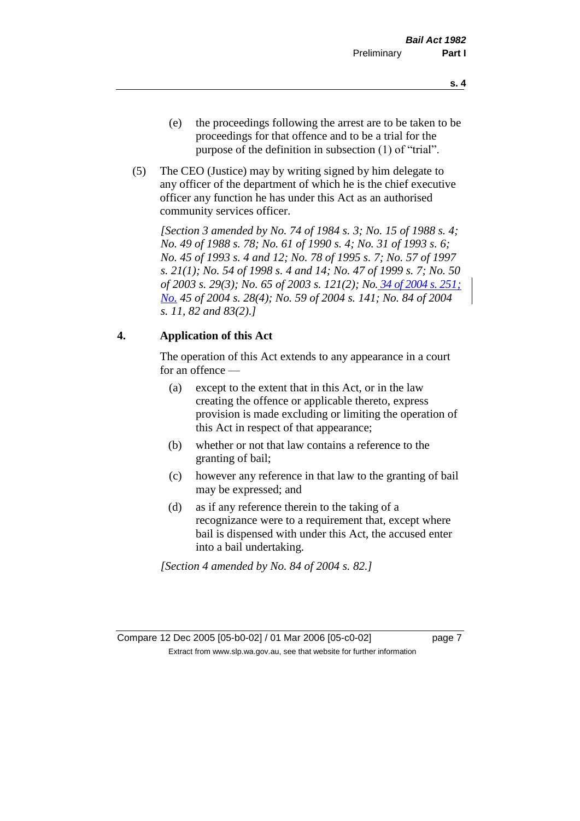- (e) the proceedings following the arrest are to be taken to be proceedings for that offence and to be a trial for the purpose of the definition in subsection (1) of "trial".
- (5) The CEO (Justice) may by writing signed by him delegate to any officer of the department of which he is the chief executive officer any function he has under this Act as an authorised community services officer.

*[Section 3 amended by No. 74 of 1984 s. 3; No. 15 of 1988 s. 4; No. 49 of 1988 s. 78; No. 61 of 1990 s. 4; No. 31 of 1993 s. 6; No. 45 of 1993 s. 4 and 12; No. 78 of 1995 s. 7; No. 57 of 1997 s. 21(1); No. 54 of 1998 s. 4 and 14; No. 47 of 1999 s. 7; No. 50 of 2003 s. 29(3); No. 65 of 2003 s. 121(2); No. 34 of 2004 s. 251; No. 45 of 2004 s. 28(4); No. 59 of 2004 s. 141; No. 84 of 2004 s. 11, 82 and 83(2).]* 

#### **4. Application of this Act**

The operation of this Act extends to any appearance in a court for an offence —

- (a) except to the extent that in this Act, or in the law creating the offence or applicable thereto, express provision is made excluding or limiting the operation of this Act in respect of that appearance;
- (b) whether or not that law contains a reference to the granting of bail;
- (c) however any reference in that law to the granting of bail may be expressed; and
- (d) as if any reference therein to the taking of a recognizance were to a requirement that, except where bail is dispensed with under this Act, the accused enter into a bail undertaking.

*[Section 4 amended by No. 84 of 2004 s. 82.]*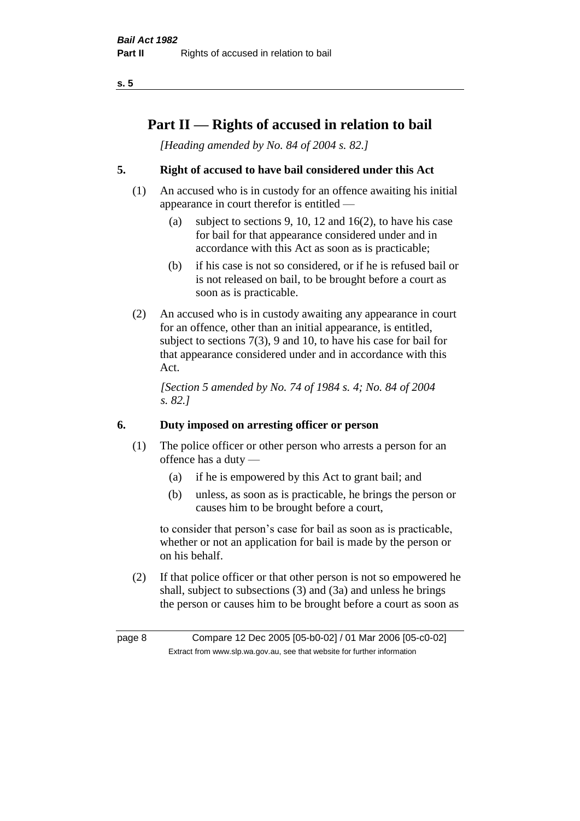## **Part II — Rights of accused in relation to bail**

*[Heading amended by No. 84 of 2004 s. 82.]* 

### **5. Right of accused to have bail considered under this Act**

- (1) An accused who is in custody for an offence awaiting his initial appearance in court therefor is entitled —
	- (a) subject to sections 9, 10, 12 and 16(2), to have his case for bail for that appearance considered under and in accordance with this Act as soon as is practicable;
	- (b) if his case is not so considered, or if he is refused bail or is not released on bail, to be brought before a court as soon as is practicable.
- (2) An accused who is in custody awaiting any appearance in court for an offence, other than an initial appearance, is entitled, subject to sections 7(3), 9 and 10, to have his case for bail for that appearance considered under and in accordance with this Act.

*[Section 5 amended by No. 74 of 1984 s. 4; No. 84 of 2004 s. 82.]* 

#### **6. Duty imposed on arresting officer or person**

- (1) The police officer or other person who arrests a person for an offence has a duty —
	- (a) if he is empowered by this Act to grant bail; and
	- (b) unless, as soon as is practicable, he brings the person or causes him to be brought before a court,

to consider that person's case for bail as soon as is practicable, whether or not an application for bail is made by the person or on his behalf.

(2) If that police officer or that other person is not so empowered he shall, subject to subsections (3) and (3a) and unless he brings the person or causes him to be brought before a court as soon as

page 8 Compare 12 Dec 2005 [05-b0-02] / 01 Mar 2006 [05-c0-02] Extract from www.slp.wa.gov.au, see that website for further information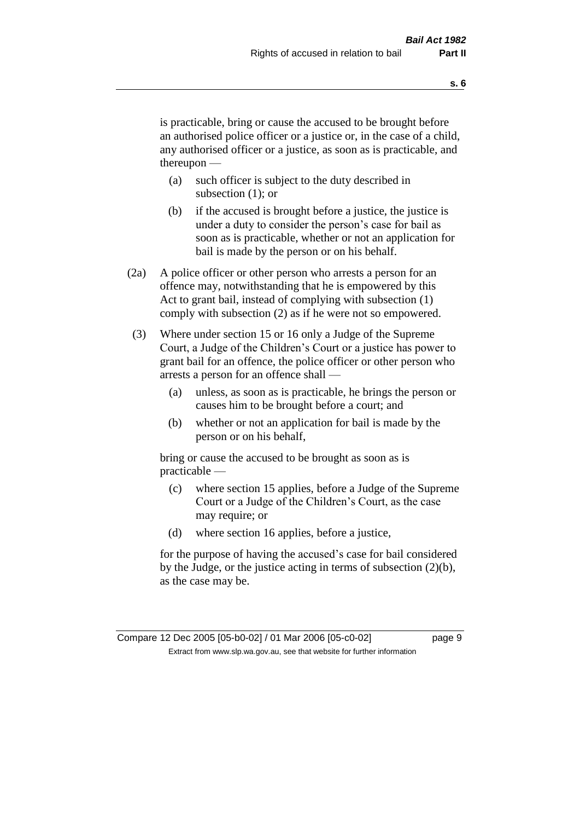is practicable, bring or cause the accused to be brought before an authorised police officer or a justice or, in the case of a child, any authorised officer or a justice, as soon as is practicable, and thereupon —

- (a) such officer is subject to the duty described in subsection (1); or
- (b) if the accused is brought before a justice, the justice is under a duty to consider the person's case for bail as soon as is practicable, whether or not an application for bail is made by the person or on his behalf.
- (2a) A police officer or other person who arrests a person for an offence may, notwithstanding that he is empowered by this Act to grant bail, instead of complying with subsection (1) comply with subsection (2) as if he were not so empowered.
- (3) Where under section 15 or 16 only a Judge of the Supreme Court, a Judge of the Children's Court or a justice has power to grant bail for an offence, the police officer or other person who arrests a person for an offence shall —
	- (a) unless, as soon as is practicable, he brings the person or causes him to be brought before a court; and
	- (b) whether or not an application for bail is made by the person or on his behalf,

bring or cause the accused to be brought as soon as is practicable —

- (c) where section 15 applies, before a Judge of the Supreme Court or a Judge of the Children's Court, as the case may require; or
- (d) where section 16 applies, before a justice,

for the purpose of having the accused's case for bail considered by the Judge, or the justice acting in terms of subsection (2)(b), as the case may be.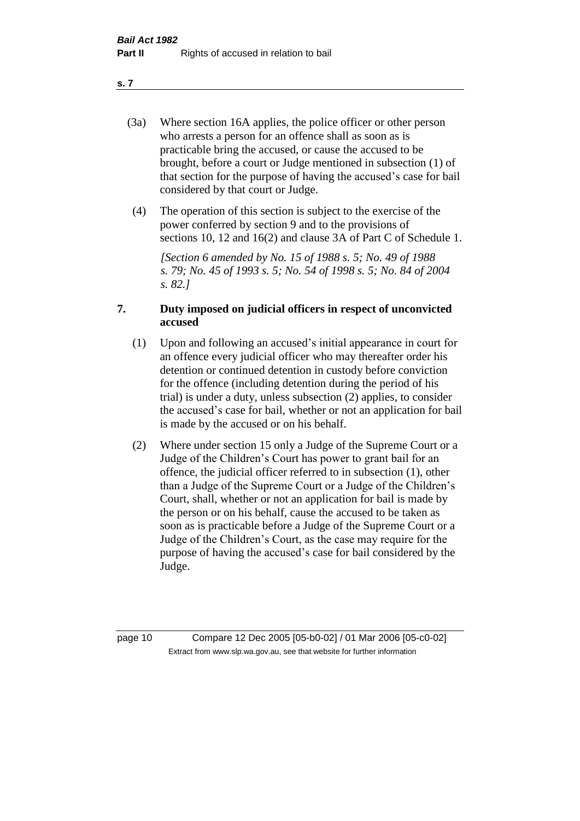- (3a) Where section 16A applies, the police officer or other person who arrests a person for an offence shall as soon as is practicable bring the accused, or cause the accused to be brought, before a court or Judge mentioned in subsection (1) of that section for the purpose of having the accused's case for bail considered by that court or Judge.
- (4) The operation of this section is subject to the exercise of the power conferred by section 9 and to the provisions of sections 10, 12 and 16(2) and clause 3A of Part C of Schedule 1.

*[Section 6 amended by No. 15 of 1988 s. 5; No. 49 of 1988 s. 79; No. 45 of 1993 s. 5; No. 54 of 1998 s. 5; No. 84 of 2004 s. 82.]* 

#### **7. Duty imposed on judicial officers in respect of unconvicted accused**

- (1) Upon and following an accused's initial appearance in court for an offence every judicial officer who may thereafter order his detention or continued detention in custody before conviction for the offence (including detention during the period of his trial) is under a duty, unless subsection (2) applies, to consider the accused's case for bail, whether or not an application for bail is made by the accused or on his behalf.
- (2) Where under section 15 only a Judge of the Supreme Court or a Judge of the Children's Court has power to grant bail for an offence, the judicial officer referred to in subsection (1), other than a Judge of the Supreme Court or a Judge of the Children's Court, shall, whether or not an application for bail is made by the person or on his behalf, cause the accused to be taken as soon as is practicable before a Judge of the Supreme Court or a Judge of the Children's Court, as the case may require for the purpose of having the accused's case for bail considered by the Judge.

page 10 Compare 12 Dec 2005 [05-b0-02] / 01 Mar 2006 [05-c0-02] Extract from www.slp.wa.gov.au, see that website for further information

**s. 7**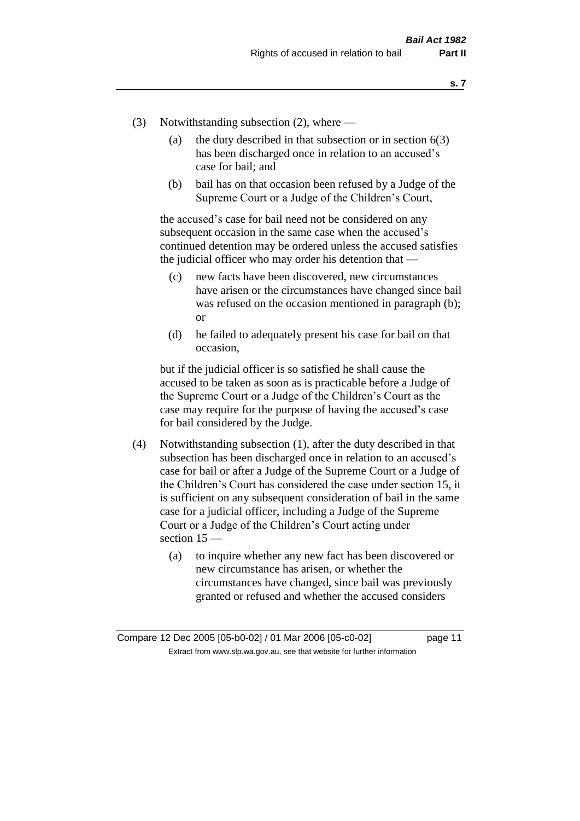- (3) Notwithstanding subsection (2), where
	- (a) the duty described in that subsection or in section  $6(3)$ has been discharged once in relation to an accused's case for bail; and
	- (b) bail has on that occasion been refused by a Judge of the Supreme Court or a Judge of the Children's Court,

the accused's case for bail need not be considered on any subsequent occasion in the same case when the accused's continued detention may be ordered unless the accused satisfies the judicial officer who may order his detention that —

- (c) new facts have been discovered, new circumstances have arisen or the circumstances have changed since bail was refused on the occasion mentioned in paragraph (b); or
- (d) he failed to adequately present his case for bail on that occasion,

but if the judicial officer is so satisfied he shall cause the accused to be taken as soon as is practicable before a Judge of the Supreme Court or a Judge of the Children's Court as the case may require for the purpose of having the accused's case for bail considered by the Judge.

- (4) Notwithstanding subsection (1), after the duty described in that subsection has been discharged once in relation to an accused's case for bail or after a Judge of the Supreme Court or a Judge of the Children's Court has considered the case under section 15, it is sufficient on any subsequent consideration of bail in the same case for a judicial officer, including a Judge of the Supreme Court or a Judge of the Children's Court acting under section 15 —
	- (a) to inquire whether any new fact has been discovered or new circumstance has arisen, or whether the circumstances have changed, since bail was previously granted or refused and whether the accused considers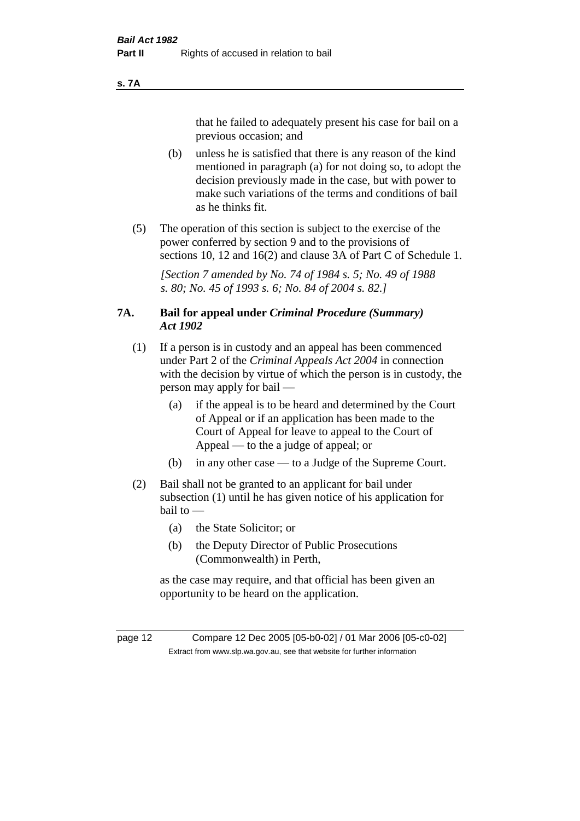#### **s. 7A**

that he failed to adequately present his case for bail on a previous occasion; and

- (b) unless he is satisfied that there is any reason of the kind mentioned in paragraph (a) for not doing so, to adopt the decision previously made in the case, but with power to make such variations of the terms and conditions of bail as he thinks fit.
- (5) The operation of this section is subject to the exercise of the power conferred by section 9 and to the provisions of sections 10, 12 and 16(2) and clause 3A of Part C of Schedule 1.

*[Section 7 amended by No. 74 of 1984 s. 5; No. 49 of 1988 s. 80; No. 45 of 1993 s. 6; No. 84 of 2004 s. 82.]* 

#### **7A. Bail for appeal under** *Criminal Procedure (Summary) Act 1902*

- (1) If a person is in custody and an appeal has been commenced under Part 2 of the *Criminal Appeals Act 2004* in connection with the decision by virtue of which the person is in custody, the person may apply for bail —
	- (a) if the appeal is to be heard and determined by the Court of Appeal or if an application has been made to the Court of Appeal for leave to appeal to the Court of Appeal — to the a judge of appeal; or
	- (b) in any other case to a Judge of the Supreme Court.
- (2) Bail shall not be granted to an applicant for bail under subsection (1) until he has given notice of his application for bail to —
	- (a) the State Solicitor; or
	- (b) the Deputy Director of Public Prosecutions (Commonwealth) in Perth,

as the case may require, and that official has been given an opportunity to be heard on the application.

page 12 Compare 12 Dec 2005 [05-b0-02] / 01 Mar 2006 [05-c0-02] Extract from www.slp.wa.gov.au, see that website for further information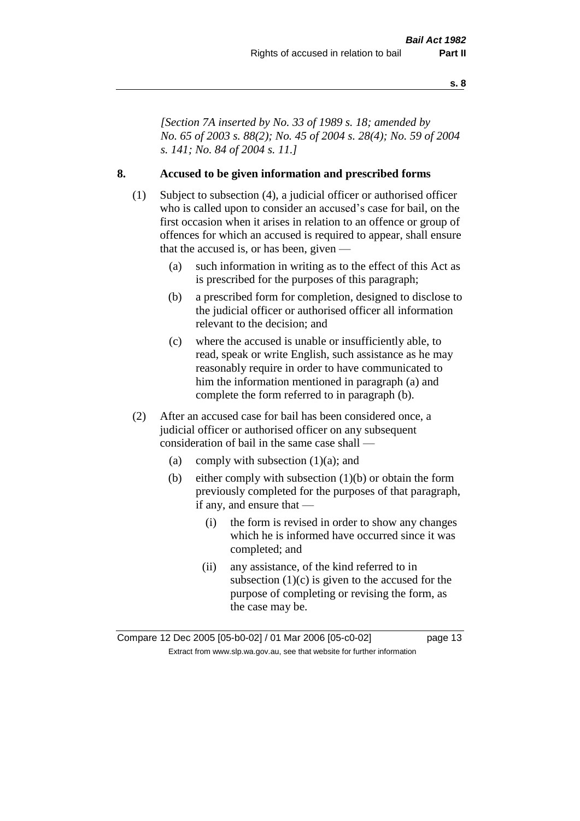*[Section 7A inserted by No. 33 of 1989 s. 18; amended by No. 65 of 2003 s. 88(2); No. 45 of 2004 s. 28(4); No. 59 of 2004 s. 141; No. 84 of 2004 s. 11.]* 

#### **8. Accused to be given information and prescribed forms**

- (1) Subject to subsection (4), a judicial officer or authorised officer who is called upon to consider an accused's case for bail, on the first occasion when it arises in relation to an offence or group of offences for which an accused is required to appear, shall ensure that the accused is, or has been, given —
	- (a) such information in writing as to the effect of this Act as is prescribed for the purposes of this paragraph;
	- (b) a prescribed form for completion, designed to disclose to the judicial officer or authorised officer all information relevant to the decision; and
	- (c) where the accused is unable or insufficiently able, to read, speak or write English, such assistance as he may reasonably require in order to have communicated to him the information mentioned in paragraph (a) and complete the form referred to in paragraph (b).
- (2) After an accused case for bail has been considered once, a judicial officer or authorised officer on any subsequent consideration of bail in the same case shall —
	- (a) comply with subsection  $(1)(a)$ ; and
	- (b) either comply with subsection (1)(b) or obtain the form previously completed for the purposes of that paragraph, if any, and ensure that —
		- (i) the form is revised in order to show any changes which he is informed have occurred since it was completed; and
		- (ii) any assistance, of the kind referred to in subsection  $(1)(c)$  is given to the accused for the purpose of completing or revising the form, as the case may be.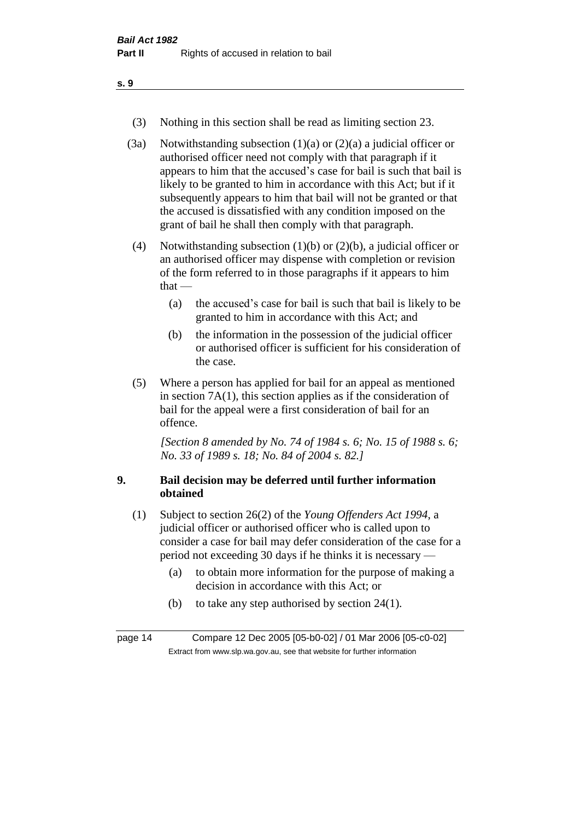- (3) Nothing in this section shall be read as limiting section 23.
- (3a) Notwithstanding subsection  $(1)(a)$  or  $(2)(a)$  a judicial officer or authorised officer need not comply with that paragraph if it appears to him that the accused's case for bail is such that bail is likely to be granted to him in accordance with this Act; but if it subsequently appears to him that bail will not be granted or that the accused is dissatisfied with any condition imposed on the grant of bail he shall then comply with that paragraph.
- (4) Notwithstanding subsection (1)(b) or (2)(b), a judicial officer or an authorised officer may dispense with completion or revision of the form referred to in those paragraphs if it appears to him that  $-$ 
	- (a) the accused's case for bail is such that bail is likely to be granted to him in accordance with this Act; and
	- (b) the information in the possession of the judicial officer or authorised officer is sufficient for his consideration of the case.
- (5) Where a person has applied for bail for an appeal as mentioned in section 7A(1), this section applies as if the consideration of bail for the appeal were a first consideration of bail for an offence.

*[Section 8 amended by No. 74 of 1984 s. 6; No. 15 of 1988 s. 6; No. 33 of 1989 s. 18; No. 84 of 2004 s. 82.]* 

#### **9. Bail decision may be deferred until further information obtained**

- (1) Subject to section 26(2) of the *Young Offenders Act 1994*, a judicial officer or authorised officer who is called upon to consider a case for bail may defer consideration of the case for a period not exceeding 30 days if he thinks it is necessary —
	- (a) to obtain more information for the purpose of making a decision in accordance with this Act; or
	- (b) to take any step authorised by section 24(1).

page 14 Compare 12 Dec 2005 [05-b0-02] / 01 Mar 2006 [05-c0-02] Extract from www.slp.wa.gov.au, see that website for further information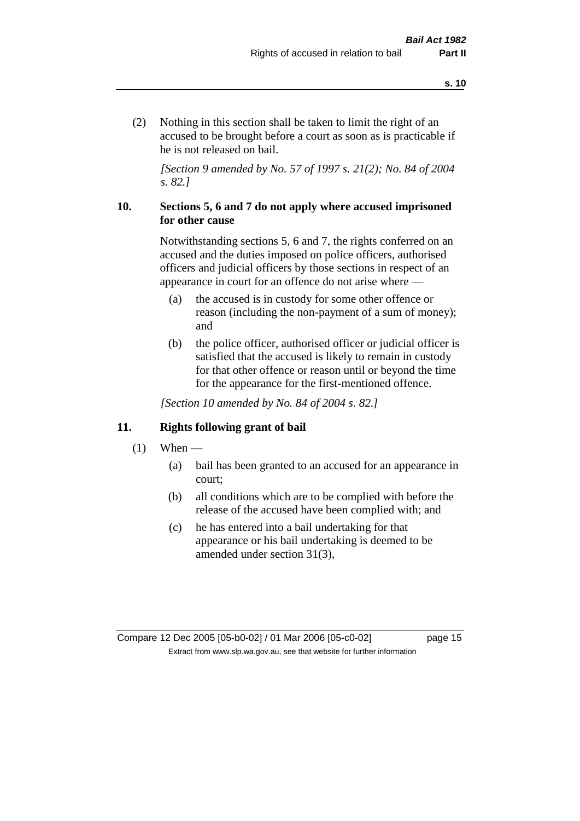(2) Nothing in this section shall be taken to limit the right of an accused to be brought before a court as soon as is practicable if he is not released on bail.

*[Section 9 amended by No. 57 of 1997 s. 21(2); No. 84 of 2004 s. 82.]*

#### **10. Sections 5, 6 and 7 do not apply where accused imprisoned for other cause**

Notwithstanding sections 5, 6 and 7, the rights conferred on an accused and the duties imposed on police officers, authorised officers and judicial officers by those sections in respect of an appearance in court for an offence do not arise where —

- (a) the accused is in custody for some other offence or reason (including the non-payment of a sum of money); and
- (b) the police officer, authorised officer or judicial officer is satisfied that the accused is likely to remain in custody for that other offence or reason until or beyond the time for the appearance for the first-mentioned offence.

*[Section 10 amended by No. 84 of 2004 s. 82.]*

#### **11. Rights following grant of bail**

- $(1)$  When
	- (a) bail has been granted to an accused for an appearance in court;
	- (b) all conditions which are to be complied with before the release of the accused have been complied with; and
	- (c) he has entered into a bail undertaking for that appearance or his bail undertaking is deemed to be amended under section 31(3),

Compare 12 Dec 2005 [05-b0-02] / 01 Mar 2006 [05-c0-02] page 15 Extract from www.slp.wa.gov.au, see that website for further information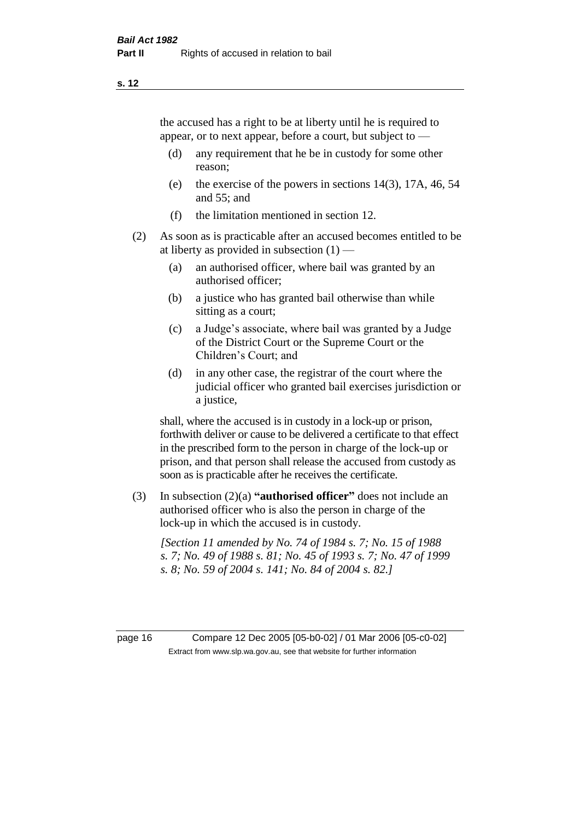the accused has a right to be at liberty until he is required to appear, or to next appear, before a court, but subject to —

- (d) any requirement that he be in custody for some other reason;
- (e) the exercise of the powers in sections 14(3), 17A, 46, 54 and 55; and
- (f) the limitation mentioned in section 12.
- (2) As soon as is practicable after an accused becomes entitled to be at liberty as provided in subsection  $(1)$  —
	- (a) an authorised officer, where bail was granted by an authorised officer;
	- (b) a justice who has granted bail otherwise than while sitting as a court;
	- (c) a Judge's associate, where bail was granted by a Judge of the District Court or the Supreme Court or the Children's Court; and
	- (d) in any other case, the registrar of the court where the judicial officer who granted bail exercises jurisdiction or a justice,

shall, where the accused is in custody in a lock-up or prison, forthwith deliver or cause to be delivered a certificate to that effect in the prescribed form to the person in charge of the lock-up or prison, and that person shall release the accused from custody as soon as is practicable after he receives the certificate.

(3) In subsection (2)(a) **"authorised officer"** does not include an authorised officer who is also the person in charge of the lock-up in which the accused is in custody.

*[Section 11 amended by No. 74 of 1984 s. 7; No. 15 of 1988 s. 7; No. 49 of 1988 s. 81; No. 45 of 1993 s. 7; No. 47 of 1999 s. 8; No. 59 of 2004 s. 141; No. 84 of 2004 s. 82.]* 

page 16 Compare 12 Dec 2005 [05-b0-02] / 01 Mar 2006 [05-c0-02] Extract from www.slp.wa.gov.au, see that website for further information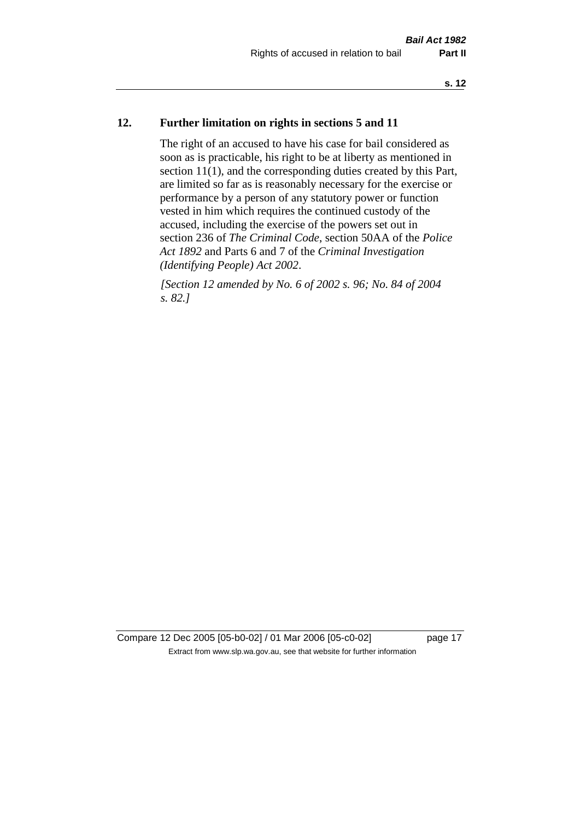#### **12. Further limitation on rights in sections 5 and 11**

The right of an accused to have his case for bail considered as soon as is practicable, his right to be at liberty as mentioned in section 11(1), and the corresponding duties created by this Part, are limited so far as is reasonably necessary for the exercise or performance by a person of any statutory power or function vested in him which requires the continued custody of the accused, including the exercise of the powers set out in section 236 of *The Criminal Code*, section 50AA of the *Police Act 1892* and Parts 6 and 7 of the *Criminal Investigation (Identifying People) Act 2002*.

*[Section 12 amended by No. 6 of 2002 s. 96; No. 84 of 2004 s. 82.]*

Compare 12 Dec 2005 [05-b0-02] / 01 Mar 2006 [05-c0-02] page 17 Extract from www.slp.wa.gov.au, see that website for further information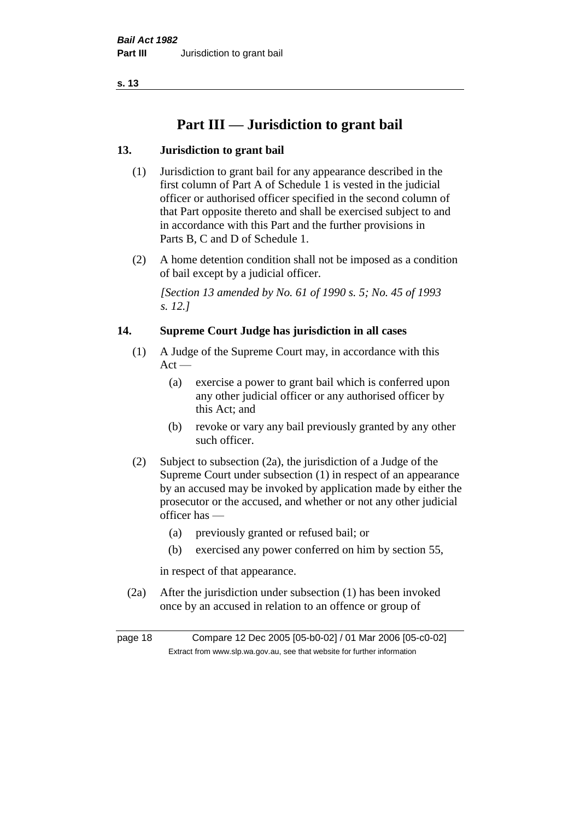## **Part III — Jurisdiction to grant bail**

#### **13. Jurisdiction to grant bail**

- (1) Jurisdiction to grant bail for any appearance described in the first column of Part A of Schedule 1 is vested in the judicial officer or authorised officer specified in the second column of that Part opposite thereto and shall be exercised subject to and in accordance with this Part and the further provisions in Parts B, C and D of Schedule 1.
- (2) A home detention condition shall not be imposed as a condition of bail except by a judicial officer.

*[Section 13 amended by No. 61 of 1990 s. 5; No. 45 of 1993 s. 12.]* 

#### **14. Supreme Court Judge has jurisdiction in all cases**

- (1) A Judge of the Supreme Court may, in accordance with this  $Act -$ 
	- (a) exercise a power to grant bail which is conferred upon any other judicial officer or any authorised officer by this Act; and
	- (b) revoke or vary any bail previously granted by any other such officer.
- (2) Subject to subsection (2a), the jurisdiction of a Judge of the Supreme Court under subsection (1) in respect of an appearance by an accused may be invoked by application made by either the prosecutor or the accused, and whether or not any other judicial officer has —
	- (a) previously granted or refused bail; or
	- (b) exercised any power conferred on him by section 55,

in respect of that appearance.

(2a) After the jurisdiction under subsection (1) has been invoked once by an accused in relation to an offence or group of

page 18 Compare 12 Dec 2005 [05-b0-02] / 01 Mar 2006 [05-c0-02] Extract from www.slp.wa.gov.au, see that website for further information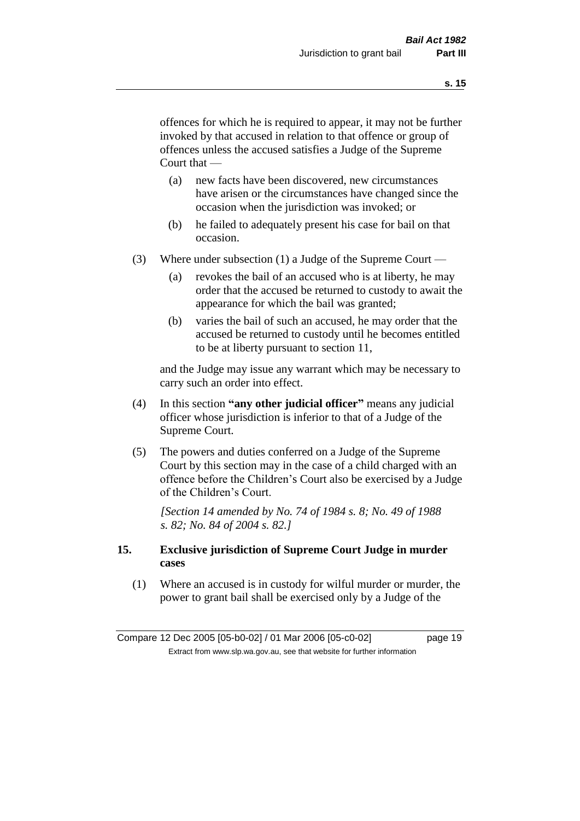offences for which he is required to appear, it may not be further invoked by that accused in relation to that offence or group of offences unless the accused satisfies a Judge of the Supreme Court that —

- (a) new facts have been discovered, new circumstances have arisen or the circumstances have changed since the occasion when the jurisdiction was invoked; or
- (b) he failed to adequately present his case for bail on that occasion.
- (3) Where under subsection (1) a Judge of the Supreme Court
	- (a) revokes the bail of an accused who is at liberty, he may order that the accused be returned to custody to await the appearance for which the bail was granted;
	- (b) varies the bail of such an accused, he may order that the accused be returned to custody until he becomes entitled to be at liberty pursuant to section 11,

and the Judge may issue any warrant which may be necessary to carry such an order into effect.

- (4) In this section **"any other judicial officer"** means any judicial officer whose jurisdiction is inferior to that of a Judge of the Supreme Court.
- (5) The powers and duties conferred on a Judge of the Supreme Court by this section may in the case of a child charged with an offence before the Children's Court also be exercised by a Judge of the Children's Court.

*[Section 14 amended by No. 74 of 1984 s. 8; No. 49 of 1988 s. 82; No. 84 of 2004 s. 82.]* 

#### **15. Exclusive jurisdiction of Supreme Court Judge in murder cases**

(1) Where an accused is in custody for wilful murder or murder, the power to grant bail shall be exercised only by a Judge of the

Compare 12 Dec 2005 [05-b0-02] / 01 Mar 2006 [05-c0-02] page 19 Extract from www.slp.wa.gov.au, see that website for further information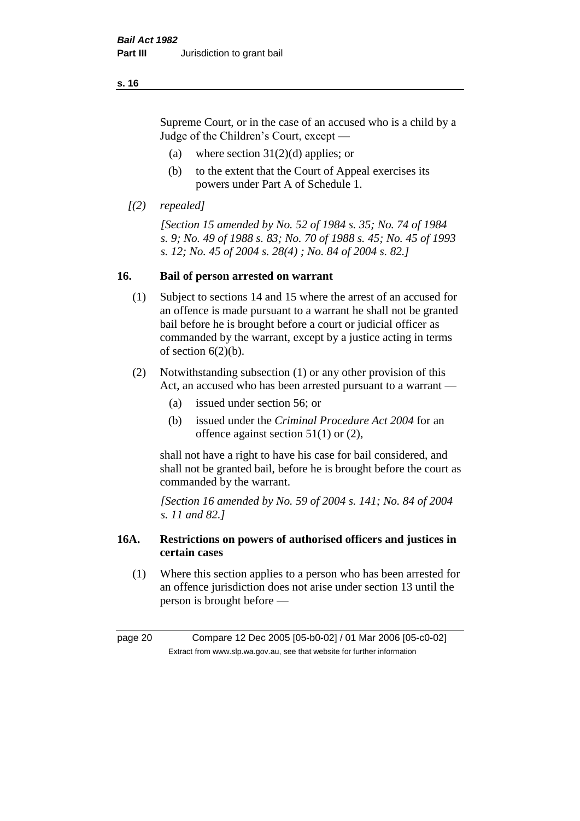Supreme Court, or in the case of an accused who is a child by a Judge of the Children's Court, except —

- (a) where section  $31(2)(d)$  applies; or
- (b) to the extent that the Court of Appeal exercises its powers under Part A of Schedule 1.
- *[(2) repealed]*

*[Section 15 amended by No. 52 of 1984 s. 35; No. 74 of 1984 s. 9; No. 49 of 1988 s. 83; No. 70 of 1988 s. 45; No. 45 of 1993 s. 12; No. 45 of 2004 s. 28(4) ; No. 84 of 2004 s. 82.]* 

#### **16. Bail of person arrested on warrant**

- (1) Subject to sections 14 and 15 where the arrest of an accused for an offence is made pursuant to a warrant he shall not be granted bail before he is brought before a court or judicial officer as commanded by the warrant, except by a justice acting in terms of section  $6(2)(b)$ .
- (2) Notwithstanding subsection (1) or any other provision of this Act, an accused who has been arrested pursuant to a warrant -
	- (a) issued under section 56; or
	- (b) issued under the *Criminal Procedure Act 2004* for an offence against section 51(1) or (2),

shall not have a right to have his case for bail considered, and shall not be granted bail, before he is brought before the court as commanded by the warrant.

*[Section 16 amended by No. 59 of 2004 s. 141; No. 84 of 2004 s. 11 and 82.]*

#### **16A. Restrictions on powers of authorised officers and justices in certain cases**

(1) Where this section applies to a person who has been arrested for an offence jurisdiction does not arise under section 13 until the person is brought before —

page 20 Compare 12 Dec 2005 [05-b0-02] / 01 Mar 2006 [05-c0-02] Extract from www.slp.wa.gov.au, see that website for further information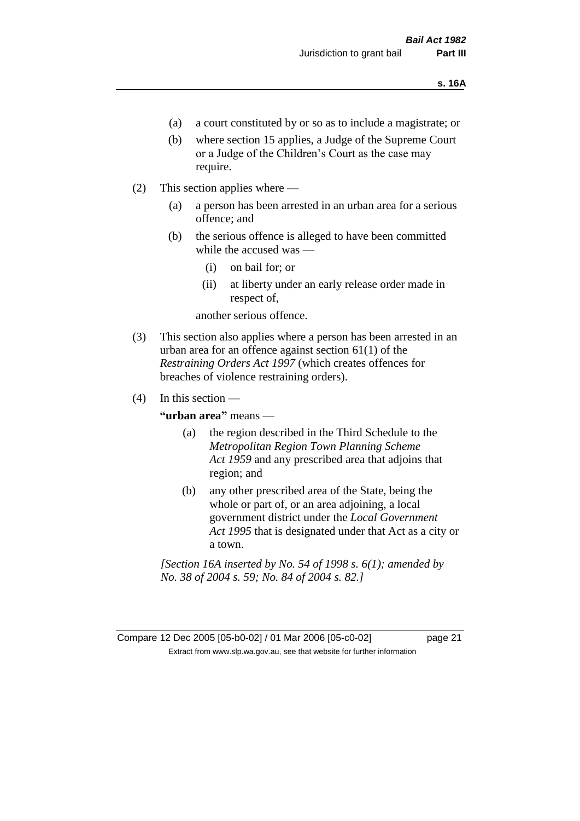- (a) a court constituted by or so as to include a magistrate; or
- (b) where section 15 applies, a Judge of the Supreme Court or a Judge of the Children's Court as the case may require.
- (2) This section applies where
	- (a) a person has been arrested in an urban area for a serious offence; and
	- (b) the serious offence is alleged to have been committed while the accused was —
		- (i) on bail for; or
		- (ii) at liberty under an early release order made in respect of,

another serious offence.

- (3) This section also applies where a person has been arrested in an urban area for an offence against section 61(1) of the *Restraining Orders Act 1997* (which creates offences for breaches of violence restraining orders).
- $(4)$  In this section —

**"urban area"** means —

- (a) the region described in the Third Schedule to the *Metropolitan Region Town Planning Scheme Act 1959* and any prescribed area that adjoins that region; and
- (b) any other prescribed area of the State, being the whole or part of, or an area adjoining, a local government district under the *Local Government Act 1995* that is designated under that Act as a city or a town.

*[Section 16A inserted by No. 54 of 1998 s. 6(1); amended by No. 38 of 2004 s. 59; No. 84 of 2004 s. 82.]*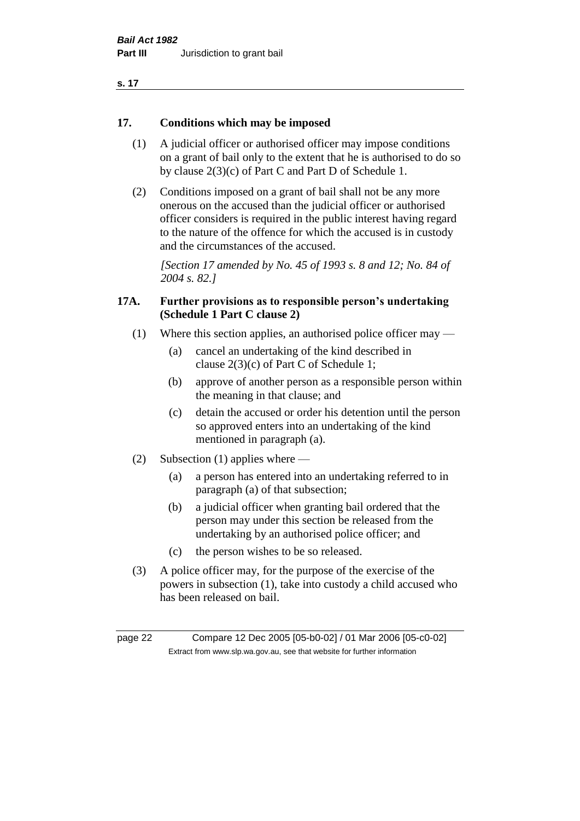| . .<br>۰. |  |
|-----------|--|
|-----------|--|

#### **17. Conditions which may be imposed**

- (1) A judicial officer or authorised officer may impose conditions on a grant of bail only to the extent that he is authorised to do so by clause 2(3)(c) of Part C and Part D of Schedule 1.
- (2) Conditions imposed on a grant of bail shall not be any more onerous on the accused than the judicial officer or authorised officer considers is required in the public interest having regard to the nature of the offence for which the accused is in custody and the circumstances of the accused.

*[Section 17 amended by No. 45 of 1993 s. 8 and 12; No. 84 of 2004 s. 82.]* 

#### **17A. Further provisions as to responsible person's undertaking (Schedule 1 Part C clause 2)**

- (1) Where this section applies, an authorised police officer may
	- (a) cancel an undertaking of the kind described in clause 2(3)(c) of Part C of Schedule 1;
	- (b) approve of another person as a responsible person within the meaning in that clause; and
	- (c) detain the accused or order his detention until the person so approved enters into an undertaking of the kind mentioned in paragraph (a).
- (2) Subsection (1) applies where
	- (a) a person has entered into an undertaking referred to in paragraph (a) of that subsection;
	- (b) a judicial officer when granting bail ordered that the person may under this section be released from the undertaking by an authorised police officer; and
	- (c) the person wishes to be so released.
- (3) A police officer may, for the purpose of the exercise of the powers in subsection (1), take into custody a child accused who has been released on bail.

page 22 Compare 12 Dec 2005 [05-b0-02] / 01 Mar 2006 [05-c0-02] Extract from www.slp.wa.gov.au, see that website for further information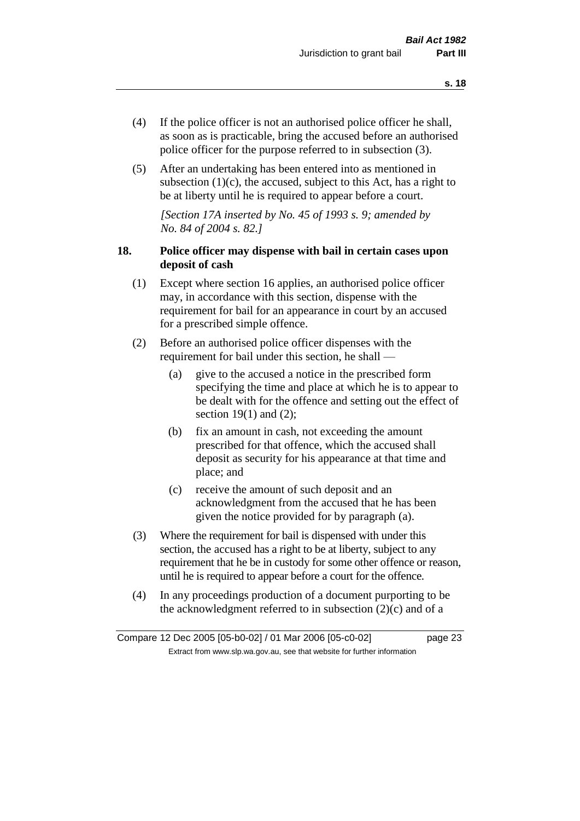- (4) If the police officer is not an authorised police officer he shall, as soon as is practicable, bring the accused before an authorised police officer for the purpose referred to in subsection (3).
- (5) After an undertaking has been entered into as mentioned in subsection  $(1)(c)$ , the accused, subject to this Act, has a right to be at liberty until he is required to appear before a court.

*[Section 17A inserted by No. 45 of 1993 s. 9; amended by No. 84 of 2004 s. 82.]* 

#### **18. Police officer may dispense with bail in certain cases upon deposit of cash**

- (1) Except where section 16 applies, an authorised police officer may, in accordance with this section, dispense with the requirement for bail for an appearance in court by an accused for a prescribed simple offence.
- (2) Before an authorised police officer dispenses with the requirement for bail under this section, he shall —
	- (a) give to the accused a notice in the prescribed form specifying the time and place at which he is to appear to be dealt with for the offence and setting out the effect of section  $19(1)$  and  $(2)$ ;
	- (b) fix an amount in cash, not exceeding the amount prescribed for that offence, which the accused shall deposit as security for his appearance at that time and place; and
	- (c) receive the amount of such deposit and an acknowledgment from the accused that he has been given the notice provided for by paragraph (a).
- (3) Where the requirement for bail is dispensed with under this section, the accused has a right to be at liberty, subject to any requirement that he be in custody for some other offence or reason, until he is required to appear before a court for the offence.
- (4) In any proceedings production of a document purporting to be the acknowledgment referred to in subsection  $(2)(c)$  and of a

Compare 12 Dec 2005 [05-b0-02] / 01 Mar 2006 [05-c0-02] page 23 Extract from www.slp.wa.gov.au, see that website for further information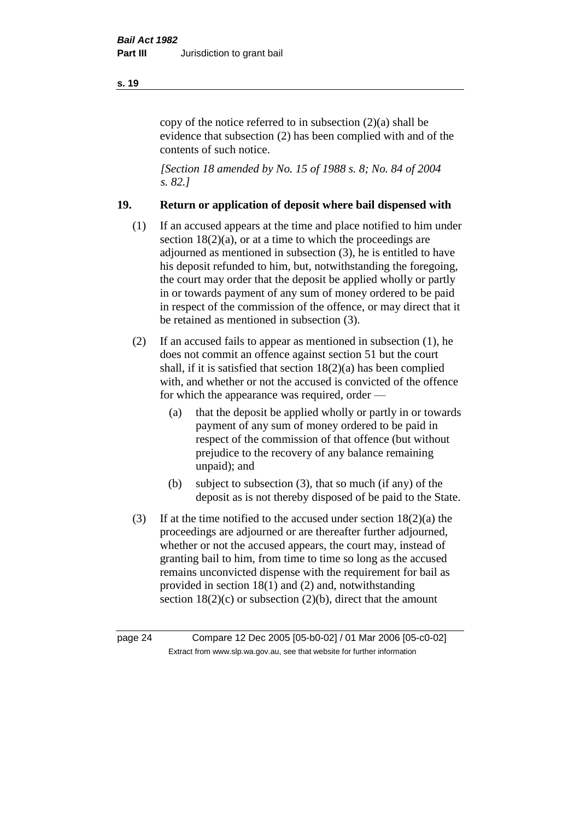copy of the notice referred to in subsection (2)(a) shall be evidence that subsection (2) has been complied with and of the contents of such notice.

*[Section 18 amended by No. 15 of 1988 s. 8; No. 84 of 2004 s. 82.]* 

#### **19. Return or application of deposit where bail dispensed with**

- (1) If an accused appears at the time and place notified to him under section  $18(2)(a)$ , or at a time to which the proceedings are adjourned as mentioned in subsection (3), he is entitled to have his deposit refunded to him, but, notwithstanding the foregoing, the court may order that the deposit be applied wholly or partly in or towards payment of any sum of money ordered to be paid in respect of the commission of the offence, or may direct that it be retained as mentioned in subsection (3).
- (2) If an accused fails to appear as mentioned in subsection (1), he does not commit an offence against section 51 but the court shall, if it is satisfied that section 18(2)(a) has been complied with, and whether or not the accused is convicted of the offence for which the appearance was required, order —
	- (a) that the deposit be applied wholly or partly in or towards payment of any sum of money ordered to be paid in respect of the commission of that offence (but without prejudice to the recovery of any balance remaining unpaid); and
	- (b) subject to subsection (3), that so much (if any) of the deposit as is not thereby disposed of be paid to the State.
- (3) If at the time notified to the accused under section  $18(2)(a)$  the proceedings are adjourned or are thereafter further adjourned, whether or not the accused appears, the court may, instead of granting bail to him, from time to time so long as the accused remains unconvicted dispense with the requirement for bail as provided in section 18(1) and (2) and, notwithstanding section  $18(2)(c)$  or subsection  $(2)(b)$ , direct that the amount

page 24 Compare 12 Dec 2005 [05-b0-02] / 01 Mar 2006 [05-c0-02] Extract from www.slp.wa.gov.au, see that website for further information

#### **s. 19**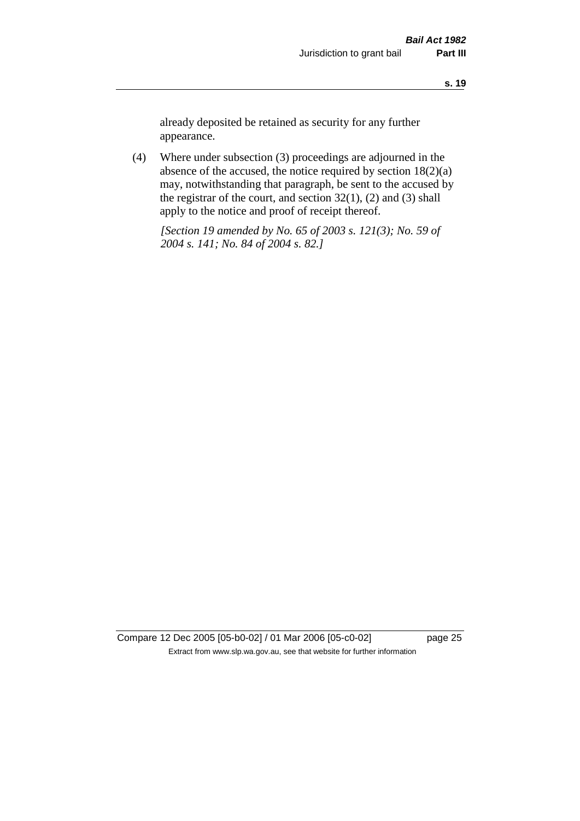already deposited be retained as security for any further appearance.

(4) Where under subsection (3) proceedings are adjourned in the absence of the accused, the notice required by section 18(2)(a) may, notwithstanding that paragraph, be sent to the accused by the registrar of the court, and section  $32(1)$ ,  $(2)$  and  $(3)$  shall apply to the notice and proof of receipt thereof.

*[Section 19 amended by No. 65 of 2003 s. 121(3); No. 59 of 2004 s. 141; No. 84 of 2004 s. 82.]*

Compare 12 Dec 2005 [05-b0-02] / 01 Mar 2006 [05-c0-02] page 25 Extract from www.slp.wa.gov.au, see that website for further information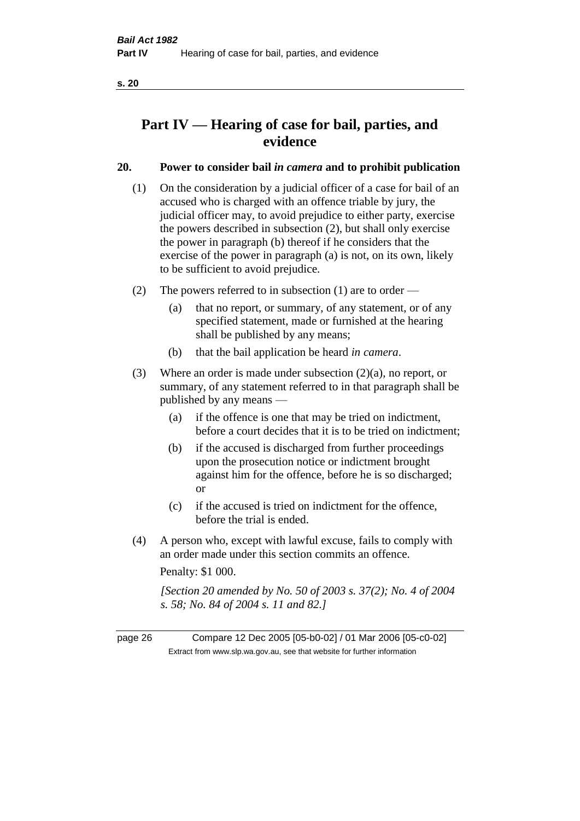## **Part IV — Hearing of case for bail, parties, and evidence**

#### **20. Power to consider bail** *in camera* **and to prohibit publication**

- (1) On the consideration by a judicial officer of a case for bail of an accused who is charged with an offence triable by jury, the judicial officer may, to avoid prejudice to either party, exercise the powers described in subsection (2), but shall only exercise the power in paragraph (b) thereof if he considers that the exercise of the power in paragraph (a) is not, on its own, likely to be sufficient to avoid prejudice.
- (2) The powers referred to in subsection (1) are to order
	- (a) that no report, or summary, of any statement, or of any specified statement, made or furnished at the hearing shall be published by any means;
	- (b) that the bail application be heard *in camera*.
- (3) Where an order is made under subsection (2)(a), no report, or summary, of any statement referred to in that paragraph shall be published by any means —
	- (a) if the offence is one that may be tried on indictment, before a court decides that it is to be tried on indictment;
	- (b) if the accused is discharged from further proceedings upon the prosecution notice or indictment brought against him for the offence, before he is so discharged; or
	- (c) if the accused is tried on indictment for the offence, before the trial is ended.
- (4) A person who, except with lawful excuse, fails to comply with an order made under this section commits an offence.

Penalty: \$1 000.

*[Section 20 amended by No. 50 of 2003 s. 37(2); No. 4 of 2004 s. 58; No. 84 of 2004 s. 11 and 82.]*

page 26 Compare 12 Dec 2005 [05-b0-02] / 01 Mar 2006 [05-c0-02] Extract from www.slp.wa.gov.au, see that website for further information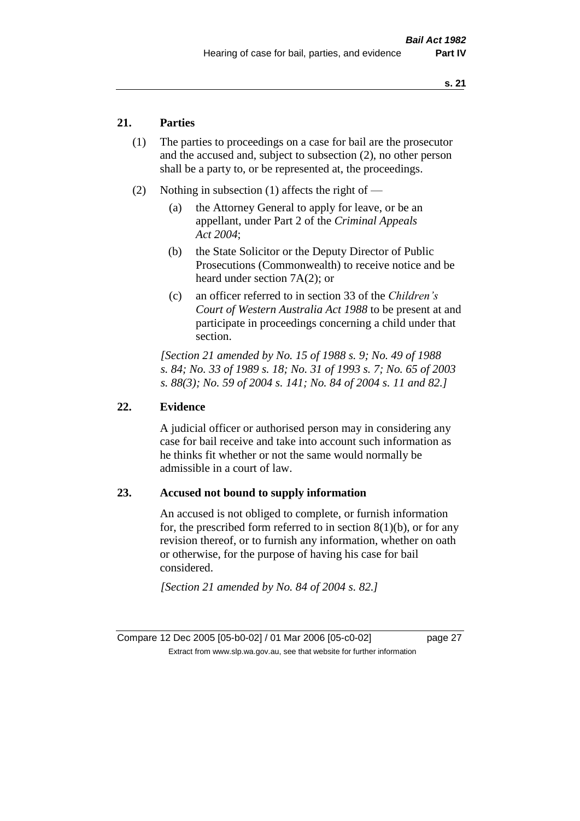#### **21. Parties**

- (1) The parties to proceedings on a case for bail are the prosecutor and the accused and, subject to subsection (2), no other person shall be a party to, or be represented at, the proceedings.
- (2) Nothing in subsection (1) affects the right of
	- (a) the Attorney General to apply for leave, or be an appellant, under Part 2 of the *Criminal Appeals Act 2004*;
	- (b) the State Solicitor or the Deputy Director of Public Prosecutions (Commonwealth) to receive notice and be heard under section 7A(2); or
	- (c) an officer referred to in section 33 of the *Children's Court of Western Australia Act 1988* to be present at and participate in proceedings concerning a child under that section.

*[Section 21 amended by No. 15 of 1988 s. 9; No. 49 of 1988 s. 84; No. 33 of 1989 s. 18; No. 31 of 1993 s. 7; No. 65 of 2003 s. 88(3); No. 59 of 2004 s. 141; No. 84 of 2004 s. 11 and 82.]* 

#### **22. Evidence**

A judicial officer or authorised person may in considering any case for bail receive and take into account such information as he thinks fit whether or not the same would normally be admissible in a court of law.

#### **23. Accused not bound to supply information**

An accused is not obliged to complete, or furnish information for, the prescribed form referred to in section  $8(1)(b)$ , or for any revision thereof, or to furnish any information, whether on oath or otherwise, for the purpose of having his case for bail considered.

*[Section 21 amended by No. 84 of 2004 s. 82.]* 

Compare 12 Dec 2005 [05-b0-02] / 01 Mar 2006 [05-c0-02] page 27 Extract from www.slp.wa.gov.au, see that website for further information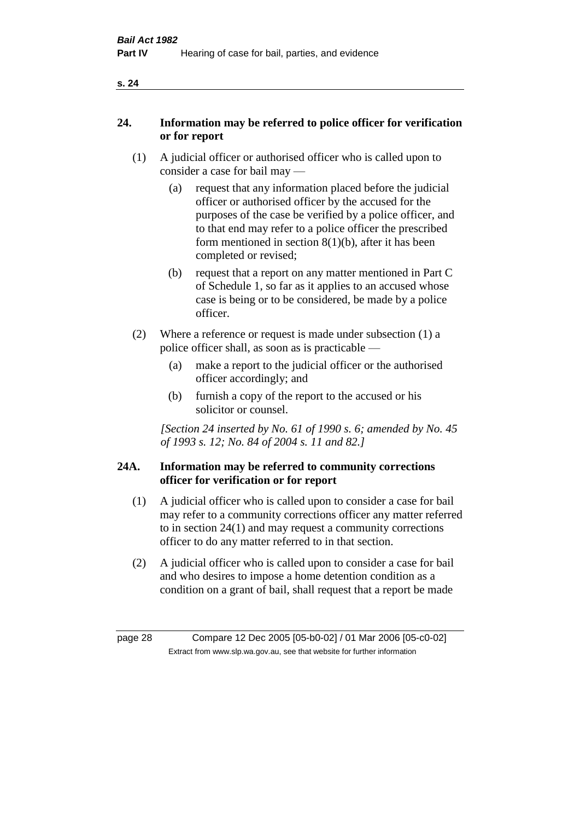#### **24. Information may be referred to police officer for verification or for report**

- (1) A judicial officer or authorised officer who is called upon to consider a case for bail may —
	- (a) request that any information placed before the judicial officer or authorised officer by the accused for the purposes of the case be verified by a police officer, and to that end may refer to a police officer the prescribed form mentioned in section 8(1)(b), after it has been completed or revised;
	- (b) request that a report on any matter mentioned in Part C of Schedule 1, so far as it applies to an accused whose case is being or to be considered, be made by a police officer.
- (2) Where a reference or request is made under subsection (1) a police officer shall, as soon as is practicable —
	- (a) make a report to the judicial officer or the authorised officer accordingly; and
	- (b) furnish a copy of the report to the accused or his solicitor or counsel.

*[Section 24 inserted by No. 61 of 1990 s. 6; amended by No. 45 of 1993 s. 12; No. 84 of 2004 s. 11 and 82.]* 

#### **24A. Information may be referred to community corrections officer for verification or for report**

- (1) A judicial officer who is called upon to consider a case for bail may refer to a community corrections officer any matter referred to in section 24(1) and may request a community corrections officer to do any matter referred to in that section.
- (2) A judicial officer who is called upon to consider a case for bail and who desires to impose a home detention condition as a condition on a grant of bail, shall request that a report be made

page 28 Compare 12 Dec 2005 [05-b0-02] / 01 Mar 2006 [05-c0-02] Extract from www.slp.wa.gov.au, see that website for further information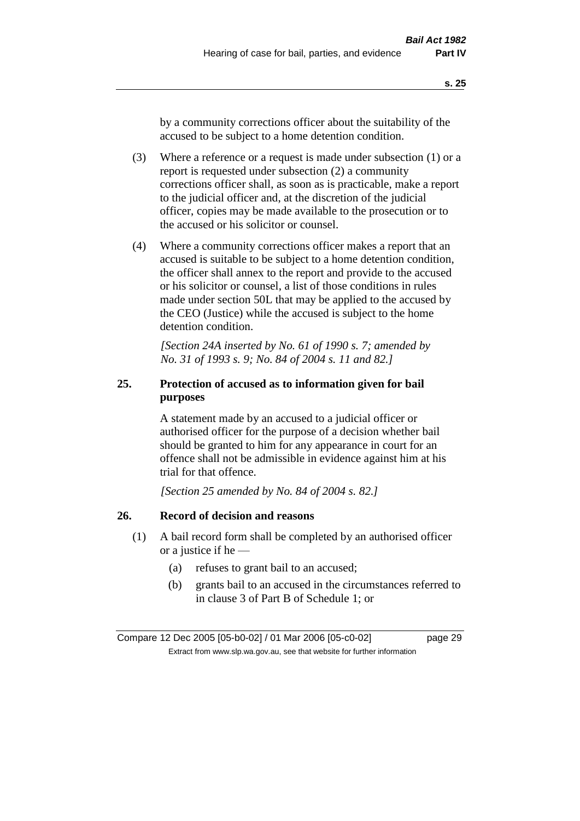by a community corrections officer about the suitability of the accused to be subject to a home detention condition.

- (3) Where a reference or a request is made under subsection (1) or a report is requested under subsection (2) a community corrections officer shall, as soon as is practicable, make a report to the judicial officer and, at the discretion of the judicial officer, copies may be made available to the prosecution or to the accused or his solicitor or counsel.
- (4) Where a community corrections officer makes a report that an accused is suitable to be subject to a home detention condition, the officer shall annex to the report and provide to the accused or his solicitor or counsel, a list of those conditions in rules made under section 50L that may be applied to the accused by the CEO (Justice) while the accused is subject to the home detention condition.

*[Section 24A inserted by No. 61 of 1990 s. 7; amended by No. 31 of 1993 s. 9; No. 84 of 2004 s. 11 and 82.]* 

#### **25. Protection of accused as to information given for bail purposes**

A statement made by an accused to a judicial officer or authorised officer for the purpose of a decision whether bail should be granted to him for any appearance in court for an offence shall not be admissible in evidence against him at his trial for that offence.

*[Section 25 amended by No. 84 of 2004 s. 82.]* 

#### **26. Record of decision and reasons**

- (1) A bail record form shall be completed by an authorised officer or a justice if he —
	- (a) refuses to grant bail to an accused;
	- (b) grants bail to an accused in the circumstances referred to in clause 3 of Part B of Schedule 1; or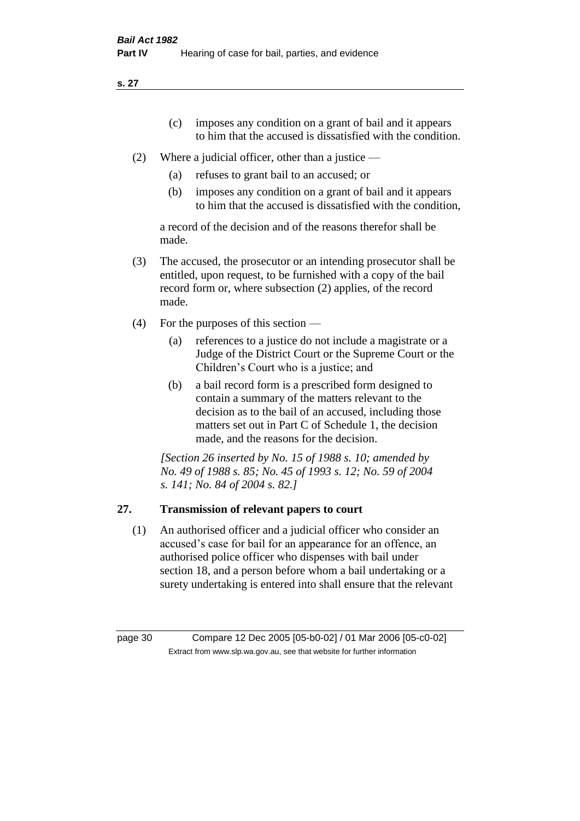- (c) imposes any condition on a grant of bail and it appears to him that the accused is dissatisfied with the condition.
- (2) Where a judicial officer, other than a justice
	- (a) refuses to grant bail to an accused; or
	- (b) imposes any condition on a grant of bail and it appears to him that the accused is dissatisfied with the condition,

a record of the decision and of the reasons therefor shall be made.

- (3) The accused, the prosecutor or an intending prosecutor shall be entitled, upon request, to be furnished with a copy of the bail record form or, where subsection (2) applies, of the record made.
- (4) For the purposes of this section
	- (a) references to a justice do not include a magistrate or a Judge of the District Court or the Supreme Court or the Children's Court who is a justice; and
	- (b) a bail record form is a prescribed form designed to contain a summary of the matters relevant to the decision as to the bail of an accused, including those matters set out in Part C of Schedule 1, the decision made, and the reasons for the decision.

*[Section 26 inserted by No. 15 of 1988 s. 10; amended by No. 49 of 1988 s. 85; No. 45 of 1993 s. 12; No. 59 of 2004 s. 141; No. 84 of 2004 s. 82.]* 

#### **27. Transmission of relevant papers to court**

(1) An authorised officer and a judicial officer who consider an accused's case for bail for an appearance for an offence, an authorised police officer who dispenses with bail under section 18, and a person before whom a bail undertaking or a surety undertaking is entered into shall ensure that the relevant

page 30 Compare 12 Dec 2005 [05-b0-02] / 01 Mar 2006 [05-c0-02] Extract from www.slp.wa.gov.au, see that website for further information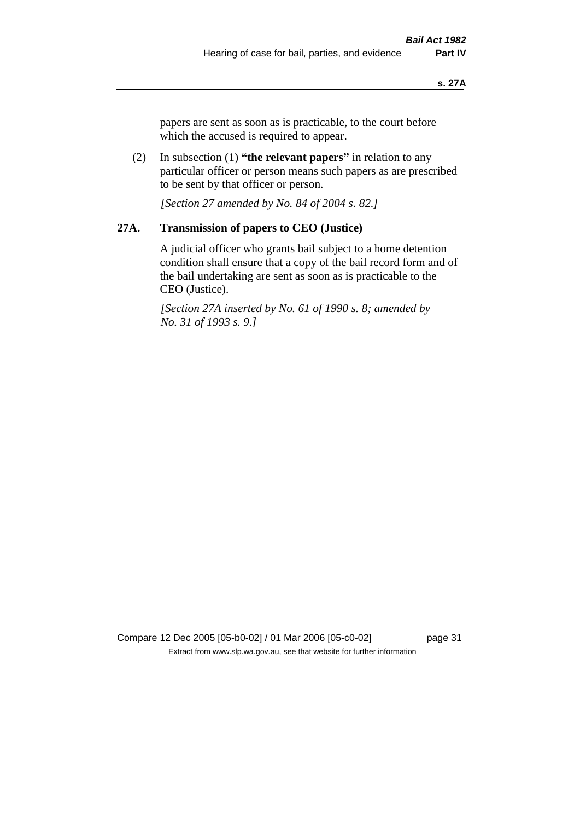papers are sent as soon as is practicable, to the court before which the accused is required to appear.

(2) In subsection (1) **"the relevant papers"** in relation to any particular officer or person means such papers as are prescribed to be sent by that officer or person.

*[Section 27 amended by No. 84 of 2004 s. 82.]* 

#### **27A. Transmission of papers to CEO (Justice)**

A judicial officer who grants bail subject to a home detention condition shall ensure that a copy of the bail record form and of the bail undertaking are sent as soon as is practicable to the CEO (Justice).

*[Section 27A inserted by No. 61 of 1990 s. 8; amended by No. 31 of 1993 s. 9.]* 

Compare 12 Dec 2005 [05-b0-02] / 01 Mar 2006 [05-c0-02] page 31 Extract from www.slp.wa.gov.au, see that website for further information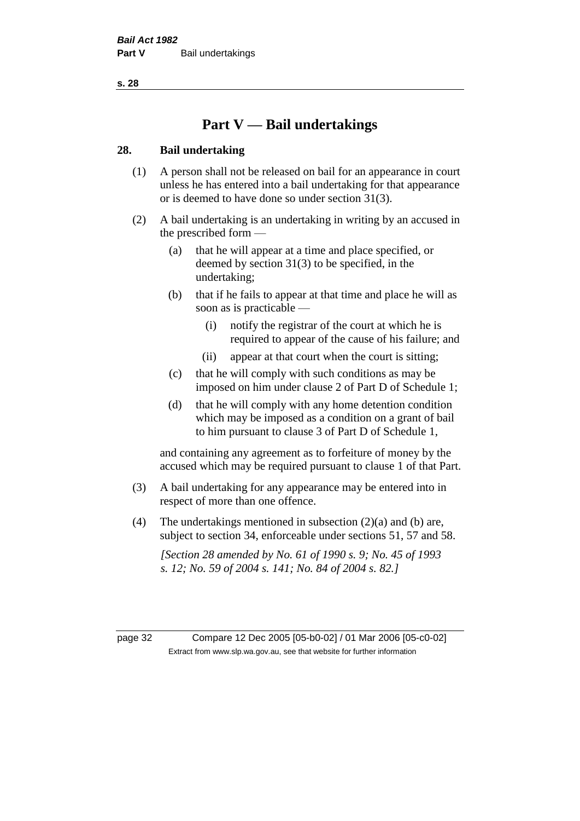## **Part V — Bail undertakings**

#### **28. Bail undertaking**

- (1) A person shall not be released on bail for an appearance in court unless he has entered into a bail undertaking for that appearance or is deemed to have done so under section 31(3).
- (2) A bail undertaking is an undertaking in writing by an accused in the prescribed form —
	- (a) that he will appear at a time and place specified, or deemed by section 31(3) to be specified, in the undertaking;
	- (b) that if he fails to appear at that time and place he will as soon as is practicable —
		- (i) notify the registrar of the court at which he is required to appear of the cause of his failure; and
		- (ii) appear at that court when the court is sitting;
	- (c) that he will comply with such conditions as may be imposed on him under clause 2 of Part D of Schedule 1;
	- (d) that he will comply with any home detention condition which may be imposed as a condition on a grant of bail to him pursuant to clause 3 of Part D of Schedule 1,

and containing any agreement as to forfeiture of money by the accused which may be required pursuant to clause 1 of that Part.

- (3) A bail undertaking for any appearance may be entered into in respect of more than one offence.
- (4) The undertakings mentioned in subsection  $(2)(a)$  and (b) are, subject to section 34, enforceable under sections 51, 57 and 58.

*[Section 28 amended by No. 61 of 1990 s. 9; No. 45 of 1993 s. 12; No. 59 of 2004 s. 141; No. 84 of 2004 s. 82.]* 

page 32 Compare 12 Dec 2005 [05-b0-02] / 01 Mar 2006 [05-c0-02] Extract from www.slp.wa.gov.au, see that website for further information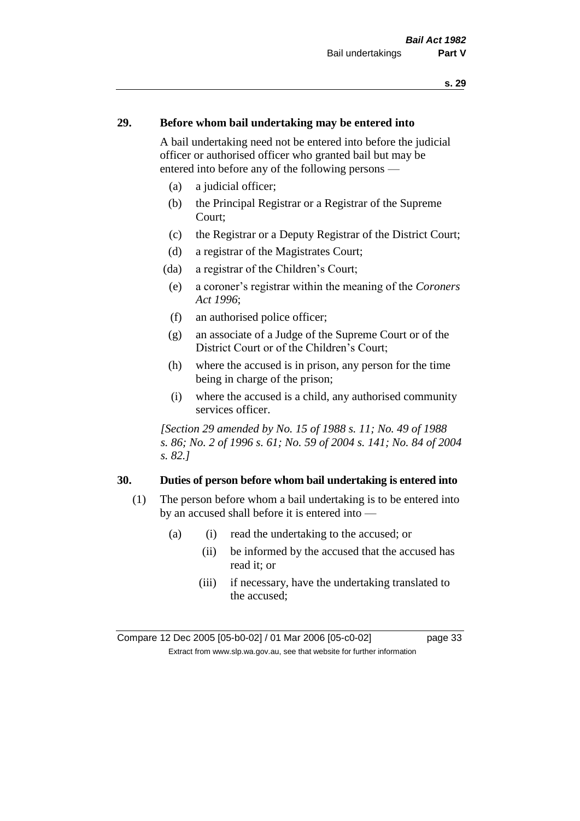#### **29. Before whom bail undertaking may be entered into**

A bail undertaking need not be entered into before the judicial officer or authorised officer who granted bail but may be entered into before any of the following persons —

- (a) a judicial officer;
- (b) the Principal Registrar or a Registrar of the Supreme Court;
- (c) the Registrar or a Deputy Registrar of the District Court;
- (d) a registrar of the Magistrates Court;
- (da) a registrar of the Children's Court;
- (e) a coroner's registrar within the meaning of the *Coroners Act 1996*;
- (f) an authorised police officer;
- (g) an associate of a Judge of the Supreme Court or of the District Court or of the Children's Court;
- (h) where the accused is in prison, any person for the time being in charge of the prison;
- (i) where the accused is a child, any authorised community services officer.

*[Section 29 amended by No. 15 of 1988 s. 11; No. 49 of 1988 s. 86; No. 2 of 1996 s. 61; No. 59 of 2004 s. 141; No. 84 of 2004 s. 82.]* 

#### **30. Duties of person before whom bail undertaking is entered into**

- (1) The person before whom a bail undertaking is to be entered into by an accused shall before it is entered into —
	- (a) (i) read the undertaking to the accused; or
		- (ii) be informed by the accused that the accused has read it; or
		- (iii) if necessary, have the undertaking translated to the accused;

Compare 12 Dec 2005 [05-b0-02] / 01 Mar 2006 [05-c0-02] page 33 Extract from www.slp.wa.gov.au, see that website for further information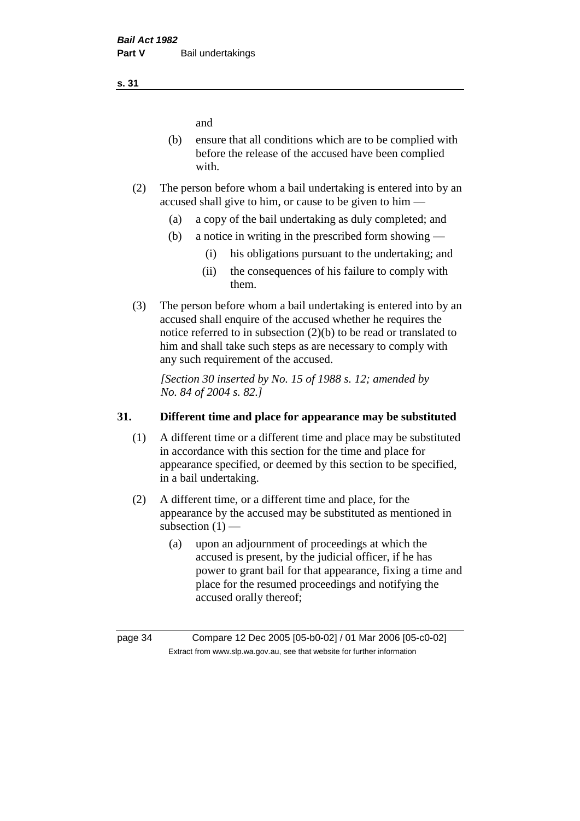and

- (b) ensure that all conditions which are to be complied with before the release of the accused have been complied with.
- (2) The person before whom a bail undertaking is entered into by an accused shall give to him, or cause to be given to him —
	- (a) a copy of the bail undertaking as duly completed; and
	- (b) a notice in writing in the prescribed form showing
		- (i) his obligations pursuant to the undertaking; and
		- (ii) the consequences of his failure to comply with them.
- (3) The person before whom a bail undertaking is entered into by an accused shall enquire of the accused whether he requires the notice referred to in subsection (2)(b) to be read or translated to him and shall take such steps as are necessary to comply with any such requirement of the accused.

*[Section 30 inserted by No. 15 of 1988 s. 12; amended by No. 84 of 2004 s. 82.]* 

#### **31. Different time and place for appearance may be substituted**

- (1) A different time or a different time and place may be substituted in accordance with this section for the time and place for appearance specified, or deemed by this section to be specified, in a bail undertaking.
- (2) A different time, or a different time and place, for the appearance by the accused may be substituted as mentioned in subsection  $(1)$  —
	- (a) upon an adjournment of proceedings at which the accused is present, by the judicial officer, if he has power to grant bail for that appearance, fixing a time and place for the resumed proceedings and notifying the accused orally thereof;

**s. 31**

page 34 Compare 12 Dec 2005 [05-b0-02] / 01 Mar 2006 [05-c0-02] Extract from www.slp.wa.gov.au, see that website for further information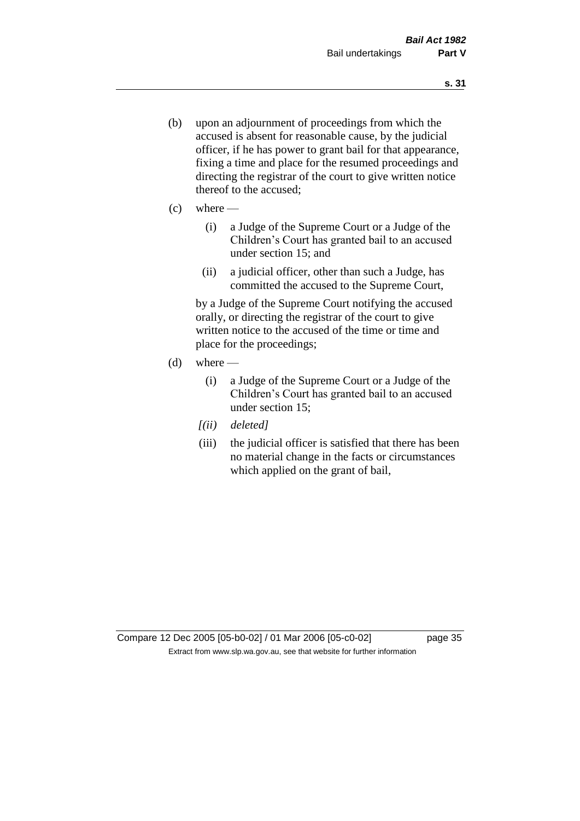- (b) upon an adjournment of proceedings from which the accused is absent for reasonable cause, by the judicial officer, if he has power to grant bail for that appearance, fixing a time and place for the resumed proceedings and directing the registrar of the court to give written notice thereof to the accused;
- $(c)$  where
	- (i) a Judge of the Supreme Court or a Judge of the Children's Court has granted bail to an accused under section 15; and
	- (ii) a judicial officer, other than such a Judge, has committed the accused to the Supreme Court,

by a Judge of the Supreme Court notifying the accused orally, or directing the registrar of the court to give written notice to the accused of the time or time and place for the proceedings;

- $(d)$  where
	- (i) a Judge of the Supreme Court or a Judge of the Children's Court has granted bail to an accused under section 15;
	- *[(ii) deleted]*
	- (iii) the judicial officer is satisfied that there has been no material change in the facts or circumstances which applied on the grant of bail,

Compare 12 Dec 2005 [05-b0-02] / 01 Mar 2006 [05-c0-02] page 35 Extract from www.slp.wa.gov.au, see that website for further information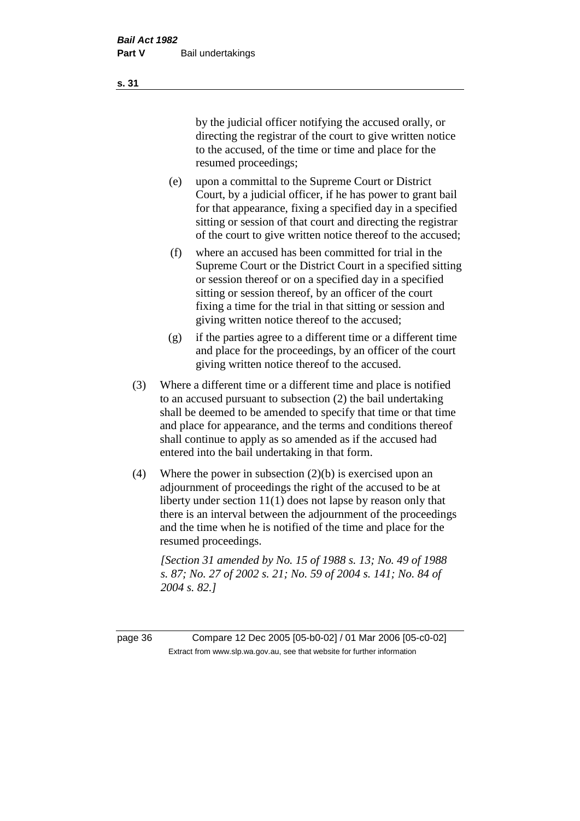by the judicial officer notifying the accused orally, or directing the registrar of the court to give written notice to the accused, of the time or time and place for the resumed proceedings;

- (e) upon a committal to the Supreme Court or District Court, by a judicial officer, if he has power to grant bail for that appearance, fixing a specified day in a specified sitting or session of that court and directing the registrar of the court to give written notice thereof to the accused;
- (f) where an accused has been committed for trial in the Supreme Court or the District Court in a specified sitting or session thereof or on a specified day in a specified sitting or session thereof, by an officer of the court fixing a time for the trial in that sitting or session and giving written notice thereof to the accused;
- (g) if the parties agree to a different time or a different time and place for the proceedings, by an officer of the court giving written notice thereof to the accused.
- (3) Where a different time or a different time and place is notified to an accused pursuant to subsection (2) the bail undertaking shall be deemed to be amended to specify that time or that time and place for appearance, and the terms and conditions thereof shall continue to apply as so amended as if the accused had entered into the bail undertaking in that form.
- (4) Where the power in subsection (2)(b) is exercised upon an adjournment of proceedings the right of the accused to be at liberty under section 11(1) does not lapse by reason only that there is an interval between the adjournment of the proceedings and the time when he is notified of the time and place for the resumed proceedings.

*[Section 31 amended by No. 15 of 1988 s. 13; No. 49 of 1988 s. 87; No. 27 of 2002 s. 21; No. 59 of 2004 s. 141; No. 84 of 2004 s. 82.]* 

page 36 Compare 12 Dec 2005 [05-b0-02] / 01 Mar 2006 [05-c0-02] Extract from www.slp.wa.gov.au, see that website for further information

**s. 31**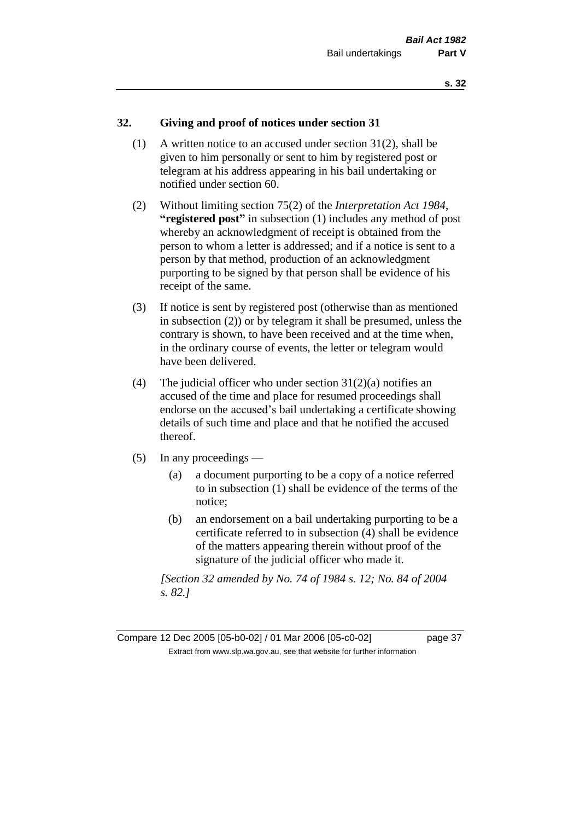# **32. Giving and proof of notices under section 31**

- (1) A written notice to an accused under section 31(2), shall be given to him personally or sent to him by registered post or telegram at his address appearing in his bail undertaking or notified under section 60.
- (2) Without limiting section 75(2) of the *Interpretation Act 1984*, **"registered post"** in subsection (1) includes any method of post whereby an acknowledgment of receipt is obtained from the person to whom a letter is addressed; and if a notice is sent to a person by that method, production of an acknowledgment purporting to be signed by that person shall be evidence of his receipt of the same.
- (3) If notice is sent by registered post (otherwise than as mentioned in subsection (2)) or by telegram it shall be presumed, unless the contrary is shown, to have been received and at the time when, in the ordinary course of events, the letter or telegram would have been delivered.
- (4) The judicial officer who under section  $31(2)(a)$  notifies an accused of the time and place for resumed proceedings shall endorse on the accused's bail undertaking a certificate showing details of such time and place and that he notified the accused thereof.
- (5) In any proceedings
	- (a) a document purporting to be a copy of a notice referred to in subsection (1) shall be evidence of the terms of the notice;
	- (b) an endorsement on a bail undertaking purporting to be a certificate referred to in subsection (4) shall be evidence of the matters appearing therein without proof of the signature of the judicial officer who made it.

*[Section 32 amended by No. 74 of 1984 s. 12; No. 84 of 2004 s. 82.]* 

Compare 12 Dec 2005 [05-b0-02] / 01 Mar 2006 [05-c0-02] page 37 Extract from www.slp.wa.gov.au, see that website for further information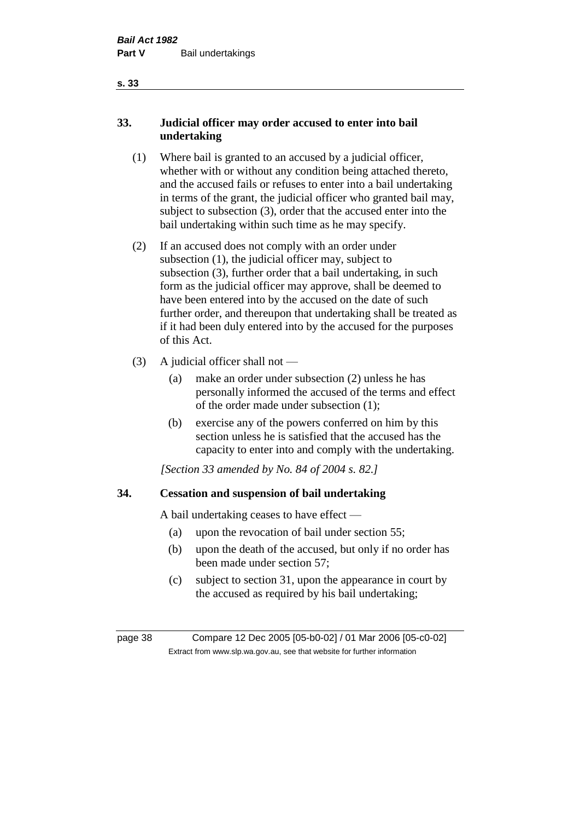# **33. Judicial officer may order accused to enter into bail undertaking**

- (1) Where bail is granted to an accused by a judicial officer, whether with or without any condition being attached thereto, and the accused fails or refuses to enter into a bail undertaking in terms of the grant, the judicial officer who granted bail may, subject to subsection (3), order that the accused enter into the bail undertaking within such time as he may specify.
- (2) If an accused does not comply with an order under subsection (1), the judicial officer may, subject to subsection (3), further order that a bail undertaking, in such form as the judicial officer may approve, shall be deemed to have been entered into by the accused on the date of such further order, and thereupon that undertaking shall be treated as if it had been duly entered into by the accused for the purposes of this Act.
- (3) A judicial officer shall not
	- (a) make an order under subsection (2) unless he has personally informed the accused of the terms and effect of the order made under subsection (1);
	- (b) exercise any of the powers conferred on him by this section unless he is satisfied that the accused has the capacity to enter into and comply with the undertaking.

*[Section 33 amended by No. 84 of 2004 s. 82.]* 

# **34. Cessation and suspension of bail undertaking**

A bail undertaking ceases to have effect —

- (a) upon the revocation of bail under section 55;
- (b) upon the death of the accused, but only if no order has been made under section 57;
- (c) subject to section 31, upon the appearance in court by the accused as required by his bail undertaking;

page 38 Compare 12 Dec 2005 [05-b0-02] / 01 Mar 2006 [05-c0-02] Extract from www.slp.wa.gov.au, see that website for further information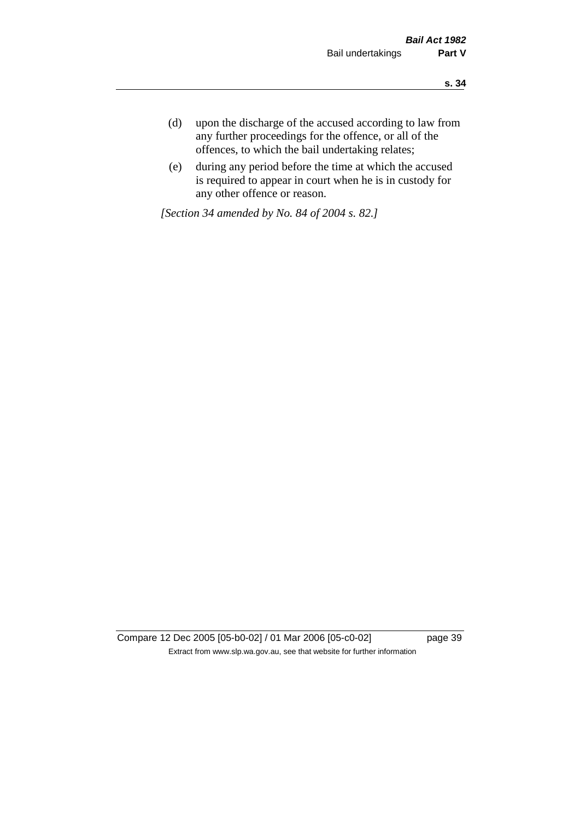- **s. 34**
- (d) upon the discharge of the accused according to law from any further proceedings for the offence, or all of the offences, to which the bail undertaking relates;
- (e) during any period before the time at which the accused is required to appear in court when he is in custody for any other offence or reason.

*[Section 34 amended by No. 84 of 2004 s. 82.]* 

Compare 12 Dec 2005 [05-b0-02] / 01 Mar 2006 [05-c0-02] page 39 Extract from www.slp.wa.gov.au, see that website for further information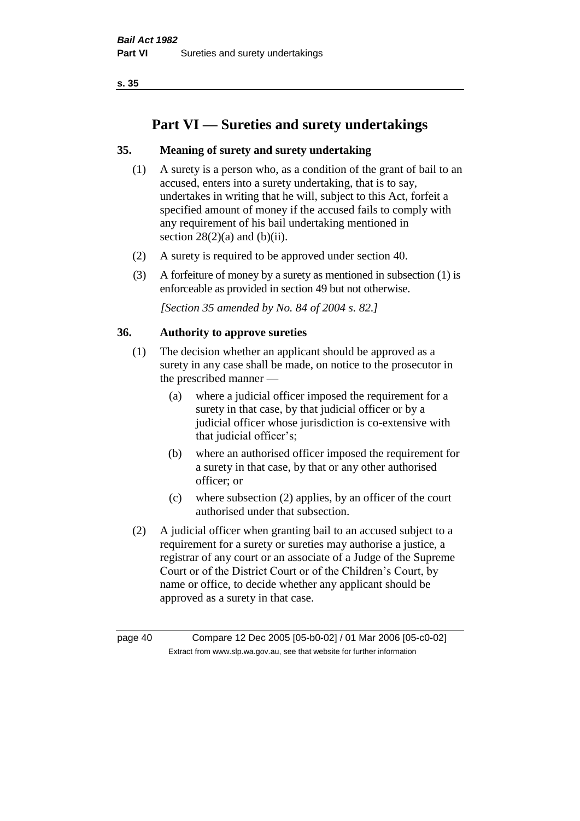# **Part VI — Sureties and surety undertakings**

# **35. Meaning of surety and surety undertaking**

- (1) A surety is a person who, as a condition of the grant of bail to an accused, enters into a surety undertaking, that is to say, undertakes in writing that he will, subject to this Act, forfeit a specified amount of money if the accused fails to comply with any requirement of his bail undertaking mentioned in section  $28(2)(a)$  and  $(b)(ii)$ .
- (2) A surety is required to be approved under section 40.
- (3) A forfeiture of money by a surety as mentioned in subsection (1) is enforceable as provided in section 49 but not otherwise.

*[Section 35 amended by No. 84 of 2004 s. 82.]* 

# **36. Authority to approve sureties**

- (1) The decision whether an applicant should be approved as a surety in any case shall be made, on notice to the prosecutor in the prescribed manner —
	- (a) where a judicial officer imposed the requirement for a surety in that case, by that judicial officer or by a judicial officer whose jurisdiction is co-extensive with that judicial officer's;
	- (b) where an authorised officer imposed the requirement for a surety in that case, by that or any other authorised officer; or
	- (c) where subsection (2) applies, by an officer of the court authorised under that subsection.
- (2) A judicial officer when granting bail to an accused subject to a requirement for a surety or sureties may authorise a justice, a registrar of any court or an associate of a Judge of the Supreme Court or of the District Court or of the Children's Court, by name or office, to decide whether any applicant should be approved as a surety in that case.

page 40 Compare 12 Dec 2005 [05-b0-02] / 01 Mar 2006 [05-c0-02] Extract from www.slp.wa.gov.au, see that website for further information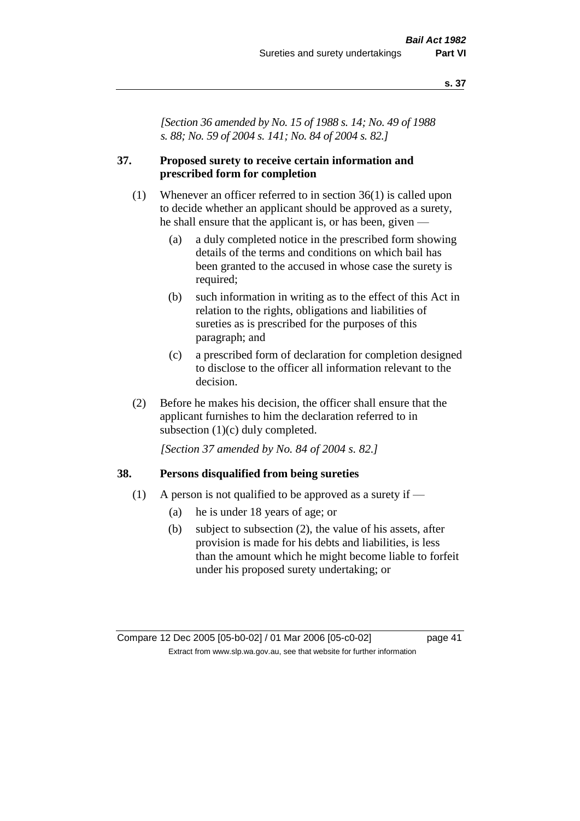*[Section 36 amended by No. 15 of 1988 s. 14; No. 49 of 1988 s. 88; No. 59 of 2004 s. 141; No. 84 of 2004 s. 82.]* 

# **37. Proposed surety to receive certain information and prescribed form for completion**

- (1) Whenever an officer referred to in section 36(1) is called upon to decide whether an applicant should be approved as a surety, he shall ensure that the applicant is, or has been, given —
	- (a) a duly completed notice in the prescribed form showing details of the terms and conditions on which bail has been granted to the accused in whose case the surety is required;
	- (b) such information in writing as to the effect of this Act in relation to the rights, obligations and liabilities of sureties as is prescribed for the purposes of this paragraph; and
	- (c) a prescribed form of declaration for completion designed to disclose to the officer all information relevant to the decision.
- (2) Before he makes his decision, the officer shall ensure that the applicant furnishes to him the declaration referred to in subsection (1)(c) duly completed.

*[Section 37 amended by No. 84 of 2004 s. 82.]* 

# **38. Persons disqualified from being sureties**

- (1) A person is not qualified to be approved as a surety if  $-$ 
	- (a) he is under 18 years of age; or
	- (b) subject to subsection (2), the value of his assets, after provision is made for his debts and liabilities, is less than the amount which he might become liable to forfeit under his proposed surety undertaking; or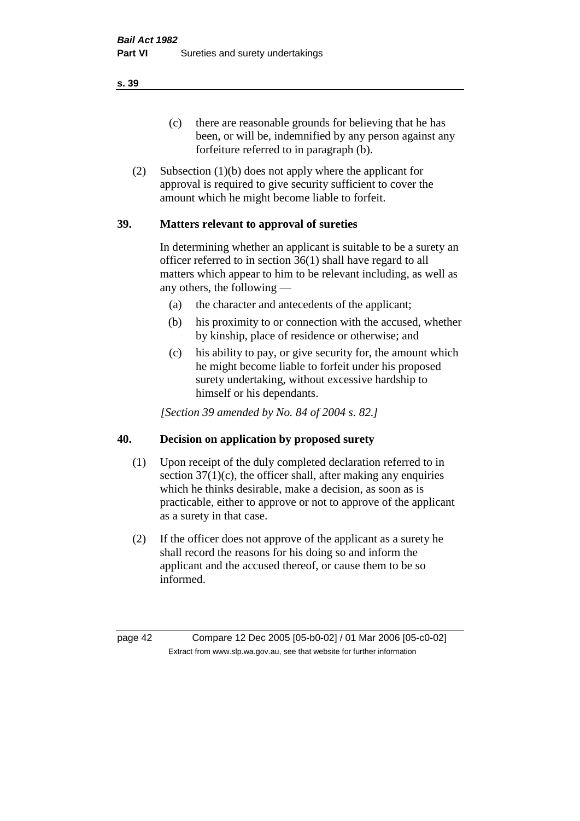(c) there are reasonable grounds for believing that he has been, or will be, indemnified by any person against any forfeiture referred to in paragraph (b).

(2) Subsection (1)(b) does not apply where the applicant for approval is required to give security sufficient to cover the amount which he might become liable to forfeit.

# **39. Matters relevant to approval of sureties**

In determining whether an applicant is suitable to be a surety an officer referred to in section 36(1) shall have regard to all matters which appear to him to be relevant including, as well as any others, the following —

- (a) the character and antecedents of the applicant;
- (b) his proximity to or connection with the accused, whether by kinship, place of residence or otherwise; and
- (c) his ability to pay, or give security for, the amount which he might become liable to forfeit under his proposed surety undertaking, without excessive hardship to himself or his dependants.

*[Section 39 amended by No. 84 of 2004 s. 82.]* 

# **40. Decision on application by proposed surety**

- (1) Upon receipt of the duly completed declaration referred to in section  $37(1)(c)$ , the officer shall, after making any enquiries which he thinks desirable, make a decision, as soon as is practicable, either to approve or not to approve of the applicant as a surety in that case.
- (2) If the officer does not approve of the applicant as a surety he shall record the reasons for his doing so and inform the applicant and the accused thereof, or cause them to be so informed.

page 42 Compare 12 Dec 2005 [05-b0-02] / 01 Mar 2006 [05-c0-02] Extract from www.slp.wa.gov.au, see that website for further information

**s. 39**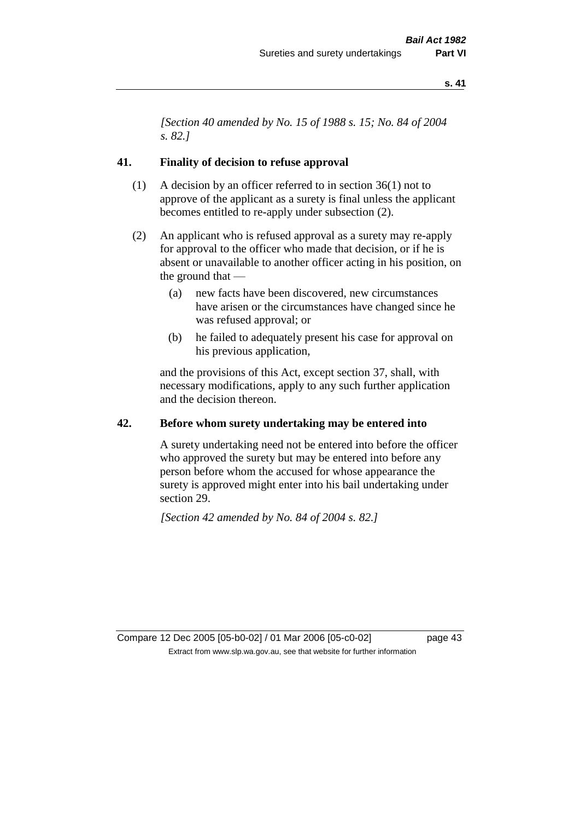*[Section 40 amended by No. 15 of 1988 s. 15; No. 84 of 2004 s. 82.]* 

# **41. Finality of decision to refuse approval**

- (1) A decision by an officer referred to in section 36(1) not to approve of the applicant as a surety is final unless the applicant becomes entitled to re-apply under subsection (2).
- (2) An applicant who is refused approval as a surety may re-apply for approval to the officer who made that decision, or if he is absent or unavailable to another officer acting in his position, on the ground that —
	- (a) new facts have been discovered, new circumstances have arisen or the circumstances have changed since he was refused approval; or
	- (b) he failed to adequately present his case for approval on his previous application,

and the provisions of this Act, except section 37, shall, with necessary modifications, apply to any such further application and the decision thereon.

# **42. Before whom surety undertaking may be entered into**

A surety undertaking need not be entered into before the officer who approved the surety but may be entered into before any person before whom the accused for whose appearance the surety is approved might enter into his bail undertaking under section 29.

*[Section 42 amended by No. 84 of 2004 s. 82.]* 

Compare 12 Dec 2005 [05-b0-02] / 01 Mar 2006 [05-c0-02] page 43 Extract from www.slp.wa.gov.au, see that website for further information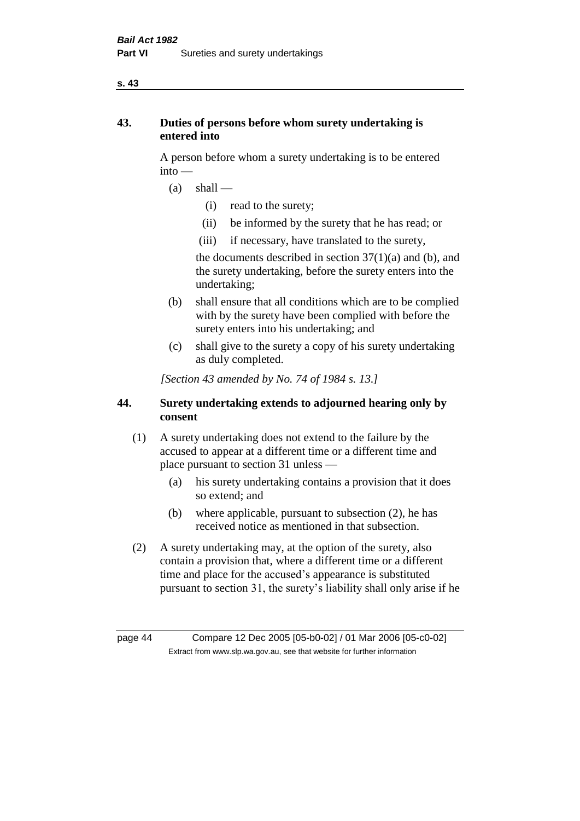# **43. Duties of persons before whom surety undertaking is entered into**

A person before whom a surety undertaking is to be entered into —

- $(a)$  shall
	- (i) read to the surety;
	- (ii) be informed by the surety that he has read; or
	- (iii) if necessary, have translated to the surety,

the documents described in section  $37(1)(a)$  and (b), and the surety undertaking, before the surety enters into the undertaking;

- (b) shall ensure that all conditions which are to be complied with by the surety have been complied with before the surety enters into his undertaking; and
- (c) shall give to the surety a copy of his surety undertaking as duly completed.

*[Section 43 amended by No. 74 of 1984 s. 13.]* 

# **44. Surety undertaking extends to adjourned hearing only by consent**

- (1) A surety undertaking does not extend to the failure by the accused to appear at a different time or a different time and place pursuant to section 31 unless —
	- (a) his surety undertaking contains a provision that it does so extend; and
	- (b) where applicable, pursuant to subsection (2), he has received notice as mentioned in that subsection.
- (2) A surety undertaking may, at the option of the surety, also contain a provision that, where a different time or a different time and place for the accused's appearance is substituted pursuant to section 31, the surety's liability shall only arise if he

page 44 Compare 12 Dec 2005 [05-b0-02] / 01 Mar 2006 [05-c0-02] Extract from www.slp.wa.gov.au, see that website for further information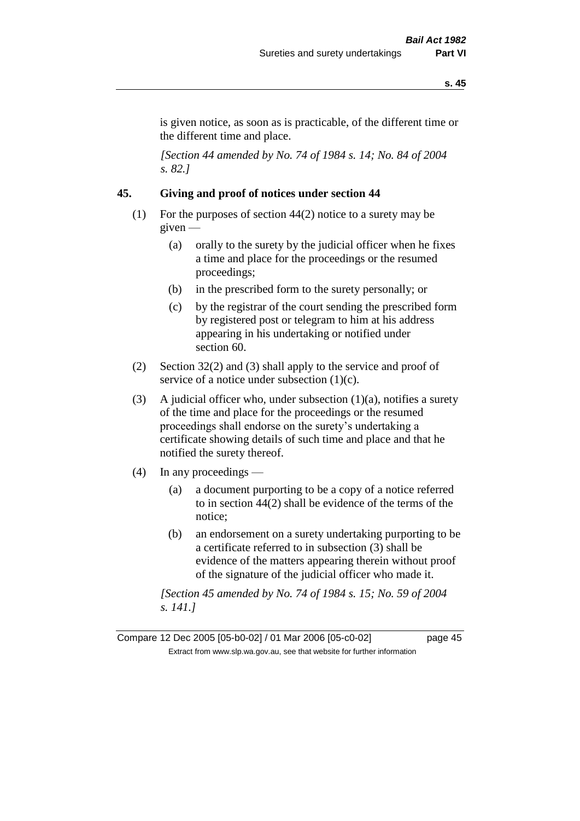is given notice, as soon as is practicable, of the different time or the different time and place.

*[Section 44 amended by No. 74 of 1984 s. 14; No. 84 of 2004 s. 82.]* 

# **45. Giving and proof of notices under section 44**

- (1) For the purposes of section 44(2) notice to a surety may be given —
	- (a) orally to the surety by the judicial officer when he fixes a time and place for the proceedings or the resumed proceedings;
	- (b) in the prescribed form to the surety personally; or
	- (c) by the registrar of the court sending the prescribed form by registered post or telegram to him at his address appearing in his undertaking or notified under section 60.
- (2) Section 32(2) and (3) shall apply to the service and proof of service of a notice under subsection  $(1)(c)$ .
- (3) A judicial officer who, under subsection  $(1)(a)$ , notifies a surety of the time and place for the proceedings or the resumed proceedings shall endorse on the surety's undertaking a certificate showing details of such time and place and that he notified the surety thereof.
- (4) In any proceedings
	- (a) a document purporting to be a copy of a notice referred to in section 44(2) shall be evidence of the terms of the notice;
	- (b) an endorsement on a surety undertaking purporting to be a certificate referred to in subsection (3) shall be evidence of the matters appearing therein without proof of the signature of the judicial officer who made it.

*[Section 45 amended by No. 74 of 1984 s. 15; No. 59 of 2004 s. 141.]* 

Compare 12 Dec 2005 [05-b0-02] / 01 Mar 2006 [05-c0-02] page 45 Extract from www.slp.wa.gov.au, see that website for further information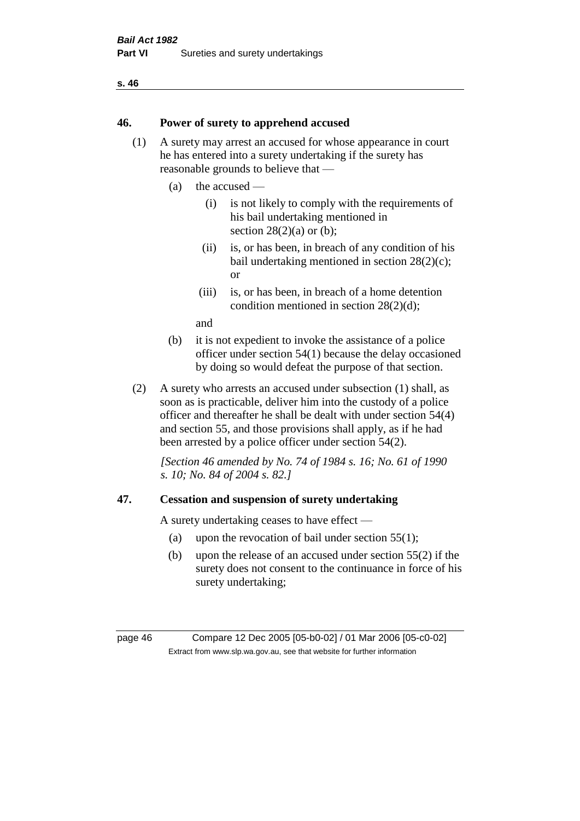# **46. Power of surety to apprehend accused**

- (1) A surety may arrest an accused for whose appearance in court he has entered into a surety undertaking if the surety has reasonable grounds to believe that —
	- (a) the accused
		- (i) is not likely to comply with the requirements of his bail undertaking mentioned in section  $28(2)(a)$  or (b):
		- (ii) is, or has been, in breach of any condition of his bail undertaking mentioned in section 28(2)(c); or
		- (iii) is, or has been, in breach of a home detention condition mentioned in section 28(2)(d);

and

- (b) it is not expedient to invoke the assistance of a police officer under section 54(1) because the delay occasioned by doing so would defeat the purpose of that section.
- (2) A surety who arrests an accused under subsection (1) shall, as soon as is practicable, deliver him into the custody of a police officer and thereafter he shall be dealt with under section 54(4) and section 55, and those provisions shall apply, as if he had been arrested by a police officer under section 54(2).

*[Section 46 amended by No. 74 of 1984 s. 16; No. 61 of 1990 s. 10; No. 84 of 2004 s. 82.]* 

# **47. Cessation and suspension of surety undertaking**

A surety undertaking ceases to have effect —

- (a) upon the revocation of bail under section  $55(1)$ ;
- (b) upon the release of an accused under section 55(2) if the surety does not consent to the continuance in force of his surety undertaking;

page 46 Compare 12 Dec 2005 [05-b0-02] / 01 Mar 2006 [05-c0-02] Extract from www.slp.wa.gov.au, see that website for further information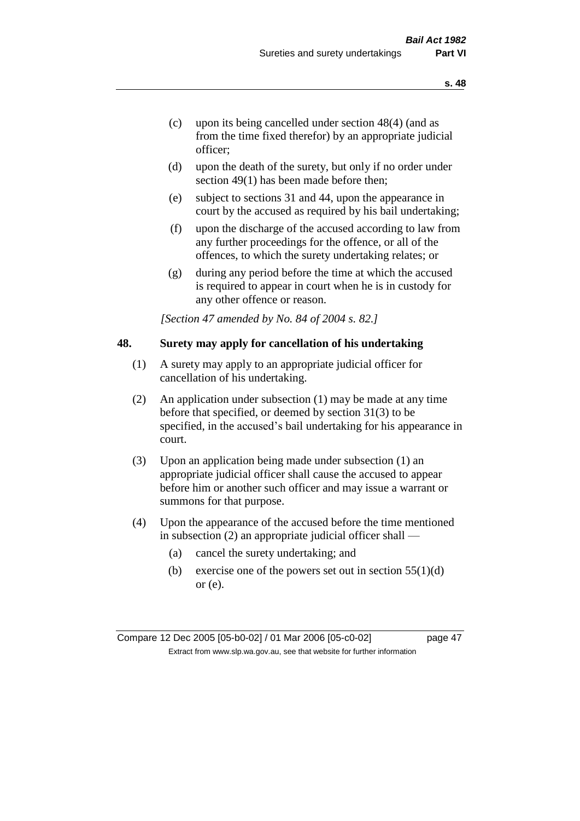- (c) upon its being cancelled under section 48(4) (and as from the time fixed therefor) by an appropriate judicial officer;
- (d) upon the death of the surety, but only if no order under section 49(1) has been made before then;
- (e) subject to sections 31 and 44, upon the appearance in court by the accused as required by his bail undertaking;
- (f) upon the discharge of the accused according to law from any further proceedings for the offence, or all of the offences, to which the surety undertaking relates; or
- (g) during any period before the time at which the accused is required to appear in court when he is in custody for any other offence or reason.

*[Section 47 amended by No. 84 of 2004 s. 82.]* 

# **48. Surety may apply for cancellation of his undertaking**

- (1) A surety may apply to an appropriate judicial officer for cancellation of his undertaking.
- (2) An application under subsection (1) may be made at any time before that specified, or deemed by section 31(3) to be specified, in the accused's bail undertaking for his appearance in court.
- (3) Upon an application being made under subsection (1) an appropriate judicial officer shall cause the accused to appear before him or another such officer and may issue a warrant or summons for that purpose.
- (4) Upon the appearance of the accused before the time mentioned in subsection (2) an appropriate judicial officer shall —
	- (a) cancel the surety undertaking; and
	- (b) exercise one of the powers set out in section  $55(1)(d)$ or (e).

Compare 12 Dec 2005 [05-b0-02] / 01 Mar 2006 [05-c0-02] page 47 Extract from www.slp.wa.gov.au, see that website for further information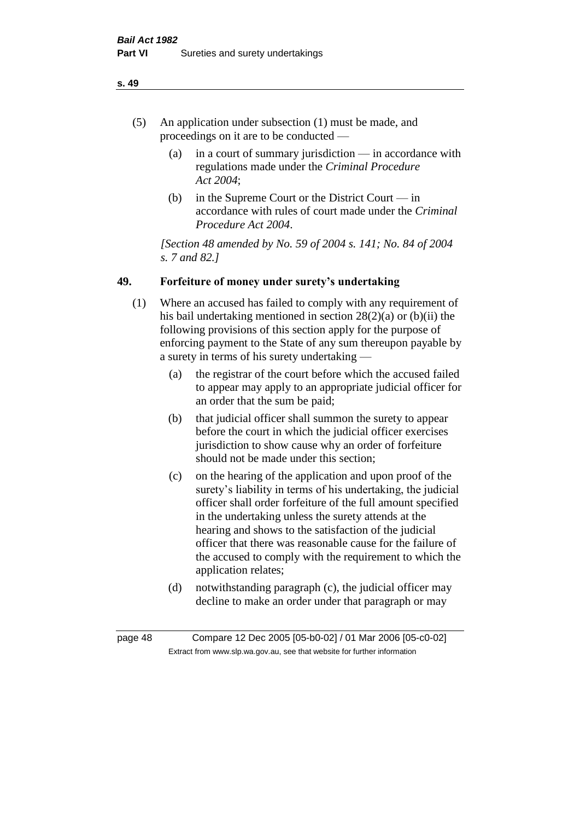- (5) An application under subsection (1) must be made, and proceedings on it are to be conducted —
	- (a) in a court of summary jurisdiction in accordance with regulations made under the *Criminal Procedure Act 2004*;
	- (b) in the Supreme Court or the District Court  $-\text{in}$ accordance with rules of court made under the *Criminal Procedure Act 2004*.

*[Section 48 amended by No. 59 of 2004 s. 141; No. 84 of 2004 s. 7 and 82.]* 

# **49. Forfeiture of money under surety's undertaking**

- (1) Where an accused has failed to comply with any requirement of his bail undertaking mentioned in section 28(2)(a) or (b)(ii) the following provisions of this section apply for the purpose of enforcing payment to the State of any sum thereupon payable by a surety in terms of his surety undertaking —
	- (a) the registrar of the court before which the accused failed to appear may apply to an appropriate judicial officer for an order that the sum be paid;
	- (b) that judicial officer shall summon the surety to appear before the court in which the judicial officer exercises jurisdiction to show cause why an order of forfeiture should not be made under this section;
	- (c) on the hearing of the application and upon proof of the surety's liability in terms of his undertaking, the judicial officer shall order forfeiture of the full amount specified in the undertaking unless the surety attends at the hearing and shows to the satisfaction of the judicial officer that there was reasonable cause for the failure of the accused to comply with the requirement to which the application relates;
	- (d) notwithstanding paragraph (c), the judicial officer may decline to make an order under that paragraph or may

page 48 Compare 12 Dec 2005 [05-b0-02] / 01 Mar 2006 [05-c0-02] Extract from www.slp.wa.gov.au, see that website for further information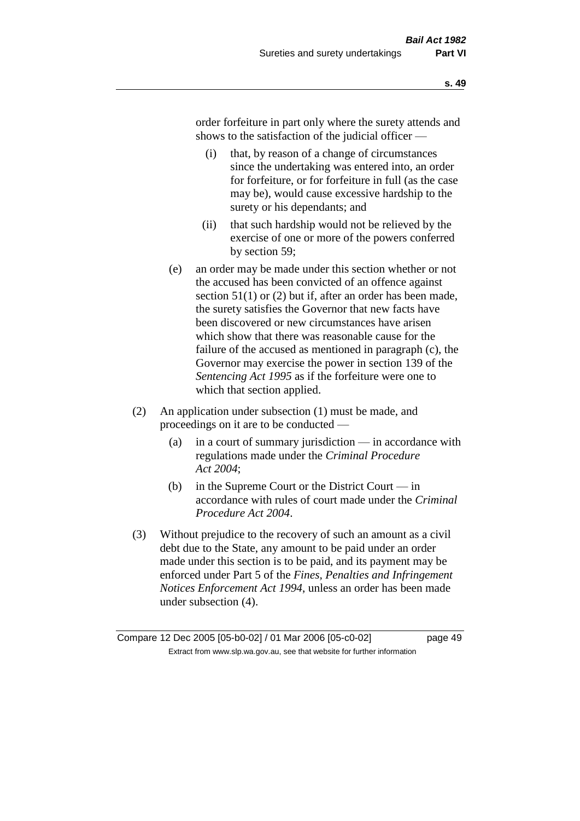order forfeiture in part only where the surety attends and shows to the satisfaction of the judicial officer —

- (i) that, by reason of a change of circumstances since the undertaking was entered into, an order for forfeiture, or for forfeiture in full (as the case may be), would cause excessive hardship to the surety or his dependants; and
- (ii) that such hardship would not be relieved by the exercise of one or more of the powers conferred by section 59;
- (e) an order may be made under this section whether or not the accused has been convicted of an offence against section 51(1) or (2) but if, after an order has been made, the surety satisfies the Governor that new facts have been discovered or new circumstances have arisen which show that there was reasonable cause for the failure of the accused as mentioned in paragraph (c), the Governor may exercise the power in section 139 of the *Sentencing Act 1995* as if the forfeiture were one to which that section applied.
- (2) An application under subsection (1) must be made, and proceedings on it are to be conducted —
	- (a) in a court of summary jurisdiction in accordance with regulations made under the *Criminal Procedure Act 2004*;
	- (b) in the Supreme Court or the District Court in accordance with rules of court made under the *Criminal Procedure Act 2004*.
- (3) Without prejudice to the recovery of such an amount as a civil debt due to the State, any amount to be paid under an order made under this section is to be paid, and its payment may be enforced under Part 5 of the *Fines, Penalties and Infringement Notices Enforcement Act 1994*, unless an order has been made under subsection (4).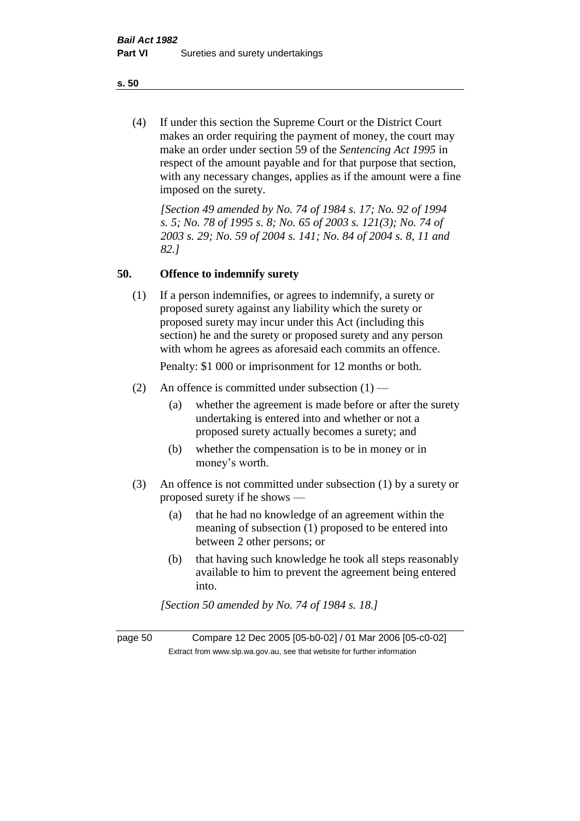(4) If under this section the Supreme Court or the District Court makes an order requiring the payment of money, the court may make an order under section 59 of the *Sentencing Act 1995* in respect of the amount payable and for that purpose that section, with any necessary changes, applies as if the amount were a fine imposed on the surety.

*[Section 49 amended by No. 74 of 1984 s. 17; No. 92 of 1994 s. 5; No. 78 of 1995 s. 8; No. 65 of 2003 s. 121(3); No. 74 of 2003 s. 29; No. 59 of 2004 s. 141; No. 84 of 2004 s. 8, 11 and 82.]* 

### **50. Offence to indemnify surety**

(1) If a person indemnifies, or agrees to indemnify, a surety or proposed surety against any liability which the surety or proposed surety may incur under this Act (including this section) he and the surety or proposed surety and any person with whom he agrees as aforesaid each commits an offence.

Penalty: \$1 000 or imprisonment for 12 months or both.

- (2) An offence is committed under subsection  $(1)$ 
	- (a) whether the agreement is made before or after the surety undertaking is entered into and whether or not a proposed surety actually becomes a surety; and
	- (b) whether the compensation is to be in money or in money's worth.
- (3) An offence is not committed under subsection (1) by a surety or proposed surety if he shows —
	- (a) that he had no knowledge of an agreement within the meaning of subsection (1) proposed to be entered into between 2 other persons; or
	- (b) that having such knowledge he took all steps reasonably available to him to prevent the agreement being entered into.

*[Section 50 amended by No. 74 of 1984 s. 18.]* 

page 50 Compare 12 Dec 2005 [05-b0-02] / 01 Mar 2006 [05-c0-02] Extract from www.slp.wa.gov.au, see that website for further information

**s. 50**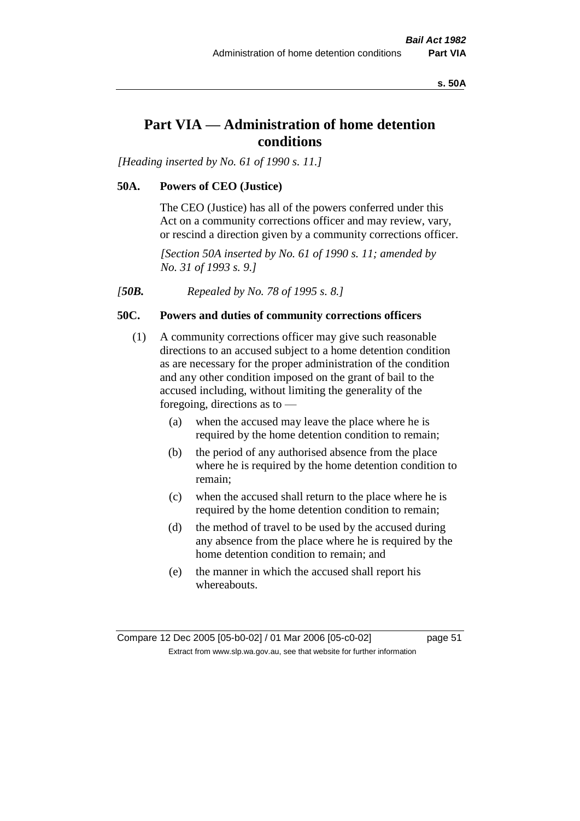**s. 50A**

# **Part VIA — Administration of home detention conditions**

*[Heading inserted by No. 61 of 1990 s. 11.]* 

### **50A. Powers of CEO (Justice)**

The CEO (Justice) has all of the powers conferred under this Act on a community corrections officer and may review, vary, or rescind a direction given by a community corrections officer.

*[Section 50A inserted by No. 61 of 1990 s. 11; amended by No. 31 of 1993 s. 9.]* 

*[50B. Repealed by No. 78 of 1995 s. 8.]* 

# **50C. Powers and duties of community corrections officers**

- (1) A community corrections officer may give such reasonable directions to an accused subject to a home detention condition as are necessary for the proper administration of the condition and any other condition imposed on the grant of bail to the accused including, without limiting the generality of the foregoing, directions as to —
	- (a) when the accused may leave the place where he is required by the home detention condition to remain;
	- (b) the period of any authorised absence from the place where he is required by the home detention condition to remain;
	- (c) when the accused shall return to the place where he is required by the home detention condition to remain;
	- (d) the method of travel to be used by the accused during any absence from the place where he is required by the home detention condition to remain; and
	- (e) the manner in which the accused shall report his whereabouts.

Compare 12 Dec 2005 [05-b0-02] / 01 Mar 2006 [05-c0-02] page 51 Extract from www.slp.wa.gov.au, see that website for further information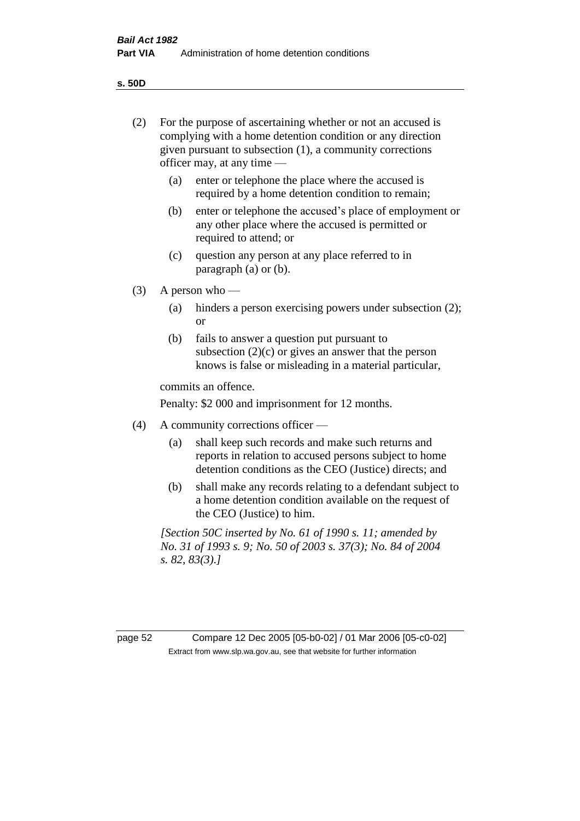**s. 50D**

| (2)     | For the purpose of ascertaining whether or not an accused is<br>complying with a home detention condition or any direction<br>given pursuant to subsection (1), a community corrections<br>officer may, at any time $-$ |                                                                                                                                                                       |  |  |
|---------|-------------------------------------------------------------------------------------------------------------------------------------------------------------------------------------------------------------------------|-----------------------------------------------------------------------------------------------------------------------------------------------------------------------|--|--|
|         | (a)                                                                                                                                                                                                                     | enter or telephone the place where the accused is<br>required by a home detention condition to remain;                                                                |  |  |
|         | (b)                                                                                                                                                                                                                     | enter or telephone the accused's place of employment or<br>any other place where the accused is permitted or<br>required to attend; or                                |  |  |
|         | (c)                                                                                                                                                                                                                     | question any person at any place referred to in<br>paragraph $(a)$ or $(b)$ .                                                                                         |  |  |
| (3)     | A person who $-$                                                                                                                                                                                                        |                                                                                                                                                                       |  |  |
|         | (a)                                                                                                                                                                                                                     | hinders a person exercising powers under subsection (2);<br><sub>or</sub>                                                                                             |  |  |
|         | (b)                                                                                                                                                                                                                     | fails to answer a question put pursuant to<br>subsection $(2)(c)$ or gives an answer that the person<br>knows is false or misleading in a material particular,        |  |  |
|         | commits an offence.                                                                                                                                                                                                     |                                                                                                                                                                       |  |  |
|         | Penalty: \$2 000 and imprisonment for 12 months.                                                                                                                                                                        |                                                                                                                                                                       |  |  |
| (4)     | A community corrections officer —                                                                                                                                                                                       |                                                                                                                                                                       |  |  |
|         | (a)                                                                                                                                                                                                                     | shall keep such records and make such returns and<br>reports in relation to accused persons subject to home<br>detention conditions as the CEO (Justice) directs; and |  |  |
|         | (b)                                                                                                                                                                                                                     | shall make any records relating to a defendant subject to<br>a home detention condition available on the request of<br>the CEO (Justice) to him.                      |  |  |
|         | [Section 50C inserted by No. 61 of 1990 s. 11; amended by<br>No. 31 of 1993 s. 9; No. 50 of 2003 s. 37(3); No. 84 of 2004<br>s. 82, 83(3).                                                                              |                                                                                                                                                                       |  |  |
|         |                                                                                                                                                                                                                         |                                                                                                                                                                       |  |  |
| page 52 |                                                                                                                                                                                                                         | Compare 12 Dec 2005 [05-b0-02] / 01 Mar 2006 [05-c0-02]                                                                                                               |  |  |
|         |                                                                                                                                                                                                                         | Extract from www.slp.wa.gov.au, see that website for further information                                                                                              |  |  |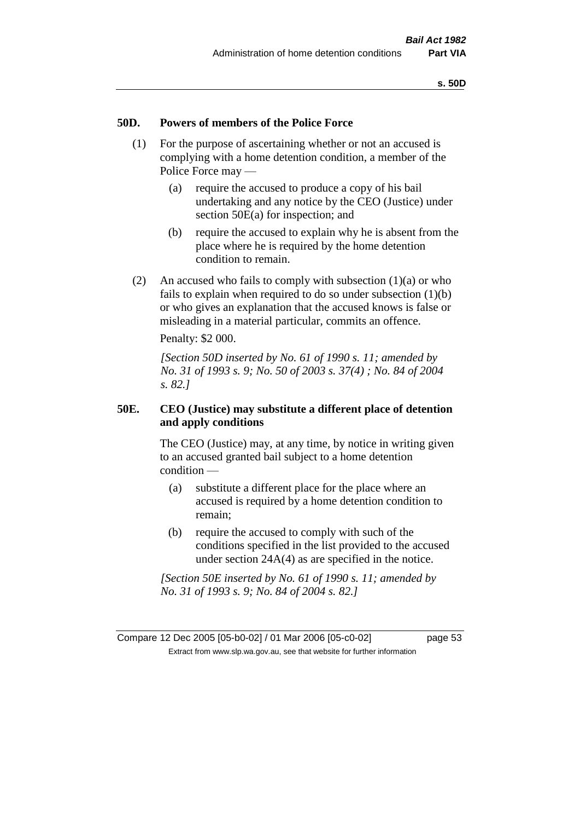# **50D. Powers of members of the Police Force**

- (1) For the purpose of ascertaining whether or not an accused is complying with a home detention condition, a member of the Police Force may —
	- (a) require the accused to produce a copy of his bail undertaking and any notice by the CEO (Justice) under section 50E(a) for inspection; and
	- (b) require the accused to explain why he is absent from the place where he is required by the home detention condition to remain.
- (2) An accused who fails to comply with subsection  $(1)(a)$  or who fails to explain when required to do so under subsection (1)(b) or who gives an explanation that the accused knows is false or misleading in a material particular, commits an offence.

Penalty: \$2 000.

*[Section 50D inserted by No. 61 of 1990 s. 11; amended by No. 31 of 1993 s. 9; No. 50 of 2003 s. 37(4) ; No. 84 of 2004 s. 82.]* 

# **50E. CEO (Justice) may substitute a different place of detention and apply conditions**

The CEO (Justice) may, at any time, by notice in writing given to an accused granted bail subject to a home detention condition —

- (a) substitute a different place for the place where an accused is required by a home detention condition to remain;
- (b) require the accused to comply with such of the conditions specified in the list provided to the accused under section 24A(4) as are specified in the notice.

*[Section 50E inserted by No. 61 of 1990 s. 11; amended by No. 31 of 1993 s. 9; No. 84 of 2004 s. 82.]* 

Compare 12 Dec 2005 [05-b0-02] / 01 Mar 2006 [05-c0-02] page 53 Extract from www.slp.wa.gov.au, see that website for further information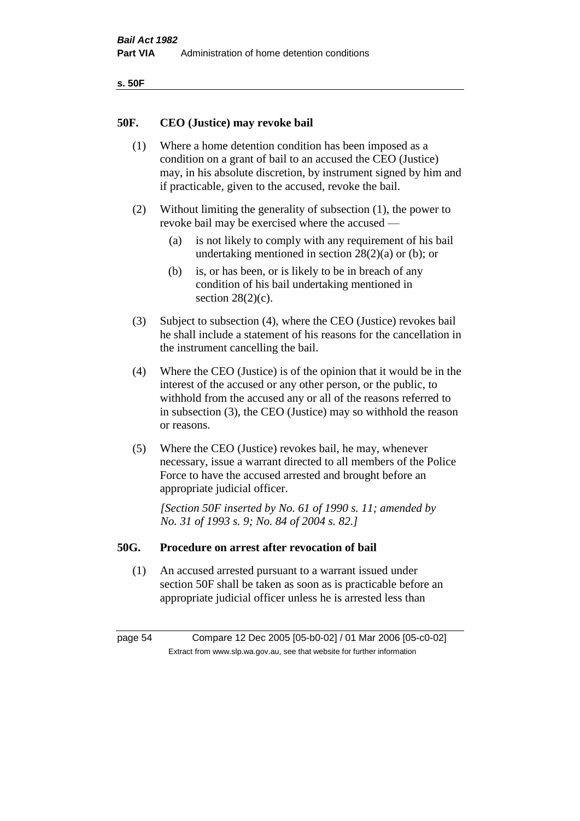| ۰.<br>×<br>-<br>۰.<br>× |  |
|-------------------------|--|
|-------------------------|--|

# **50F. CEO (Justice) may revoke bail**

- (1) Where a home detention condition has been imposed as a condition on a grant of bail to an accused the CEO (Justice) may, in his absolute discretion, by instrument signed by him and if practicable, given to the accused, revoke the bail.
- (2) Without limiting the generality of subsection (1), the power to revoke bail may be exercised where the accused —
	- (a) is not likely to comply with any requirement of his bail undertaking mentioned in section 28(2)(a) or (b); or
	- (b) is, or has been, or is likely to be in breach of any condition of his bail undertaking mentioned in section  $28(2)(c)$ .
- (3) Subject to subsection (4), where the CEO (Justice) revokes bail he shall include a statement of his reasons for the cancellation in the instrument cancelling the bail.
- (4) Where the CEO (Justice) is of the opinion that it would be in the interest of the accused or any other person, or the public, to withhold from the accused any or all of the reasons referred to in subsection (3), the CEO (Justice) may so withhold the reason or reasons.
- (5) Where the CEO (Justice) revokes bail, he may, whenever necessary, issue a warrant directed to all members of the Police Force to have the accused arrested and brought before an appropriate judicial officer.

*[Section 50F inserted by No. 61 of 1990 s. 11; amended by No. 31 of 1993 s. 9; No. 84 of 2004 s. 82.]* 

#### **50G. Procedure on arrest after revocation of bail**

(1) An accused arrested pursuant to a warrant issued under section 50F shall be taken as soon as is practicable before an appropriate judicial officer unless he is arrested less than

page 54 Compare 12 Dec 2005 [05-b0-02] / 01 Mar 2006 [05-c0-02] Extract from www.slp.wa.gov.au, see that website for further information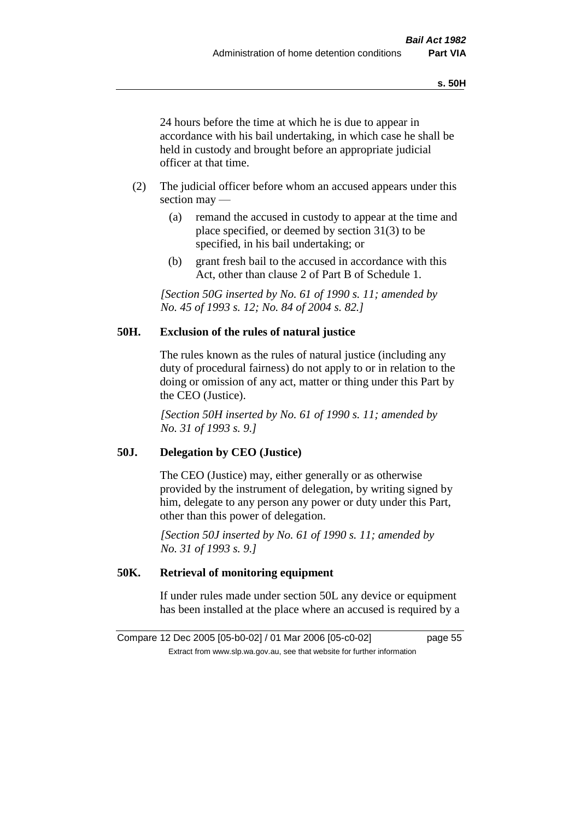24 hours before the time at which he is due to appear in accordance with his bail undertaking, in which case he shall be held in custody and brought before an appropriate judicial officer at that time.

- (2) The judicial officer before whom an accused appears under this section may —
	- (a) remand the accused in custody to appear at the time and place specified, or deemed by section 31(3) to be specified, in his bail undertaking; or
	- (b) grant fresh bail to the accused in accordance with this Act, other than clause 2 of Part B of Schedule 1.

*[Section 50G inserted by No. 61 of 1990 s. 11; amended by No. 45 of 1993 s. 12; No. 84 of 2004 s. 82.]* 

# **50H. Exclusion of the rules of natural justice**

The rules known as the rules of natural justice (including any duty of procedural fairness) do not apply to or in relation to the doing or omission of any act, matter or thing under this Part by the CEO (Justice).

*[Section 50H inserted by No. 61 of 1990 s. 11; amended by No. 31 of 1993 s. 9.]* 

# **50J. Delegation by CEO (Justice)**

The CEO (Justice) may, either generally or as otherwise provided by the instrument of delegation, by writing signed by him, delegate to any person any power or duty under this Part, other than this power of delegation.

*[Section 50J inserted by No. 61 of 1990 s. 11; amended by No. 31 of 1993 s. 9.]* 

# **50K. Retrieval of monitoring equipment**

If under rules made under section 50L any device or equipment has been installed at the place where an accused is required by a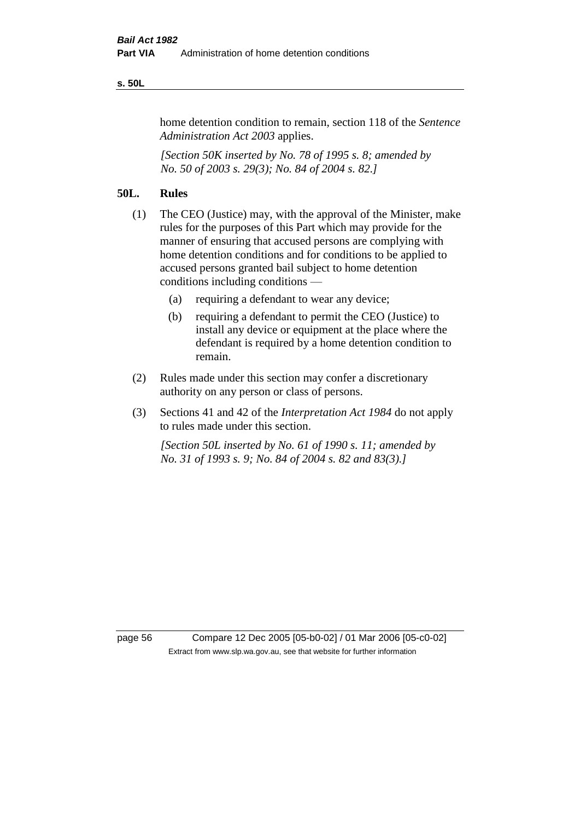#### **s. 50L**

home detention condition to remain, section 118 of the *Sentence Administration Act 2003* applies.

*[Section 50K inserted by No. 78 of 1995 s. 8; amended by No. 50 of 2003 s. 29(3); No. 84 of 2004 s. 82.]* 

# **50L. Rules**

- (1) The CEO (Justice) may, with the approval of the Minister, make rules for the purposes of this Part which may provide for the manner of ensuring that accused persons are complying with home detention conditions and for conditions to be applied to accused persons granted bail subject to home detention conditions including conditions —
	- (a) requiring a defendant to wear any device;
	- (b) requiring a defendant to permit the CEO (Justice) to install any device or equipment at the place where the defendant is required by a home detention condition to remain.
- (2) Rules made under this section may confer a discretionary authority on any person or class of persons.
- (3) Sections 41 and 42 of the *Interpretation Act 1984* do not apply to rules made under this section.

*[Section 50L inserted by No. 61 of 1990 s. 11; amended by No. 31 of 1993 s. 9; No. 84 of 2004 s. 82 and 83(3).]* 

page 56 Compare 12 Dec 2005 [05-b0-02] / 01 Mar 2006 [05-c0-02] Extract from www.slp.wa.gov.au, see that website for further information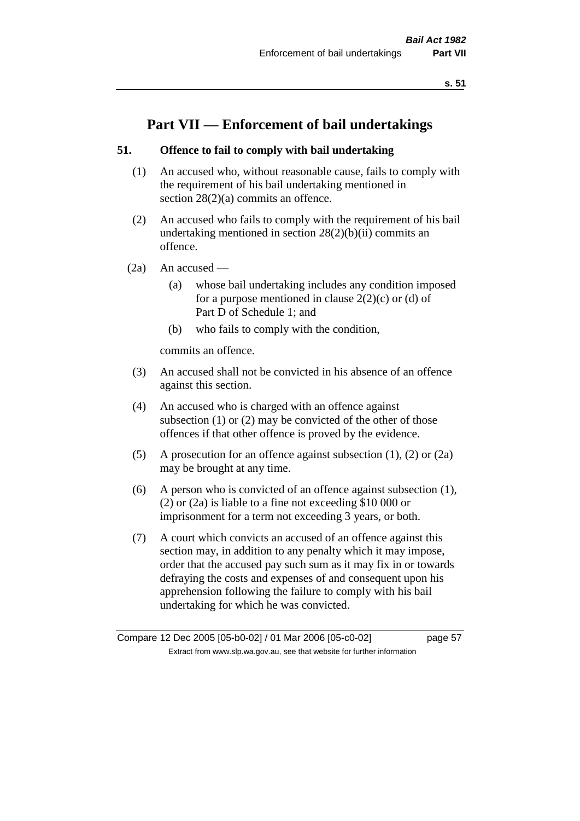# **Part VII — Enforcement of bail undertakings**

# **51. Offence to fail to comply with bail undertaking**

- (1) An accused who, without reasonable cause, fails to comply with the requirement of his bail undertaking mentioned in section 28(2)(a) commits an offence.
- (2) An accused who fails to comply with the requirement of his bail undertaking mentioned in section  $28(2)(b)(ii)$  commits an offence.
- $(2a)$  An accused
	- (a) whose bail undertaking includes any condition imposed for a purpose mentioned in clause  $2(2)(c)$  or (d) of Part D of Schedule 1; and
	- (b) who fails to comply with the condition,

commits an offence.

- (3) An accused shall not be convicted in his absence of an offence against this section.
- (4) An accused who is charged with an offence against subsection (1) or (2) may be convicted of the other of those offences if that other offence is proved by the evidence.
- (5) A prosecution for an offence against subsection (1), (2) or (2a) may be brought at any time.
- (6) A person who is convicted of an offence against subsection (1), (2) or (2a) is liable to a fine not exceeding \$10 000 or imprisonment for a term not exceeding 3 years, or both.
- (7) A court which convicts an accused of an offence against this section may, in addition to any penalty which it may impose, order that the accused pay such sum as it may fix in or towards defraying the costs and expenses of and consequent upon his apprehension following the failure to comply with his bail undertaking for which he was convicted.

Compare 12 Dec 2005 [05-b0-02] / 01 Mar 2006 [05-c0-02] page 57 Extract from www.slp.wa.gov.au, see that website for further information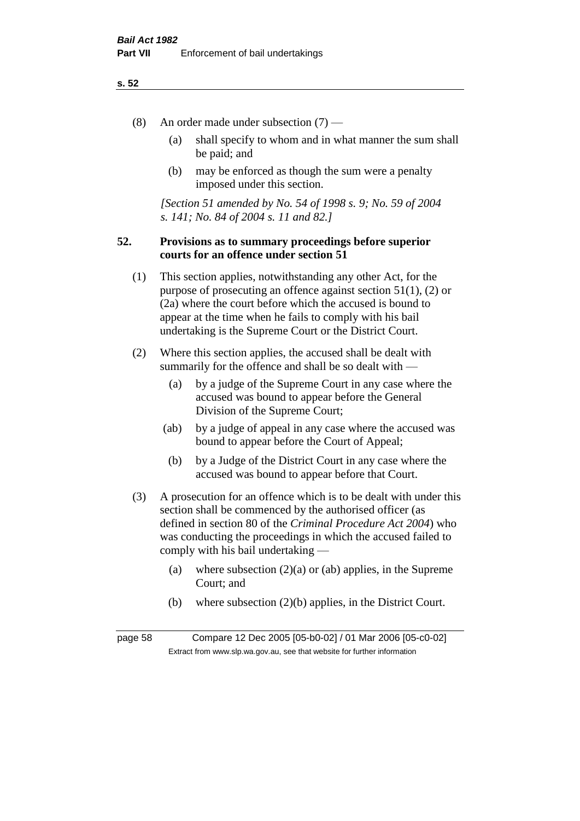- (8) An order made under subsection (7)
	- (a) shall specify to whom and in what manner the sum shall be paid; and
	- (b) may be enforced as though the sum were a penalty imposed under this section.

*[Section 51 amended by No. 54 of 1998 s. 9; No. 59 of 2004 s. 141; No. 84 of 2004 s. 11 and 82.]*

# **52. Provisions as to summary proceedings before superior courts for an offence under section 51**

- (1) This section applies, notwithstanding any other Act, for the purpose of prosecuting an offence against section 51(1), (2) or (2a) where the court before which the accused is bound to appear at the time when he fails to comply with his bail undertaking is the Supreme Court or the District Court.
- (2) Where this section applies, the accused shall be dealt with summarily for the offence and shall be so dealt with —
	- (a) by a judge of the Supreme Court in any case where the accused was bound to appear before the General Division of the Supreme Court;
	- (ab) by a judge of appeal in any case where the accused was bound to appear before the Court of Appeal;
	- (b) by a Judge of the District Court in any case where the accused was bound to appear before that Court.
- (3) A prosecution for an offence which is to be dealt with under this section shall be commenced by the authorised officer (as defined in section 80 of the *Criminal Procedure Act 2004*) who was conducting the proceedings in which the accused failed to comply with his bail undertaking —
	- (a) where subsection  $(2)(a)$  or (ab) applies, in the Supreme Court; and
	- (b) where subsection (2)(b) applies, in the District Court.

page 58 Compare 12 Dec 2005 [05-b0-02] / 01 Mar 2006 [05-c0-02] Extract from www.slp.wa.gov.au, see that website for further information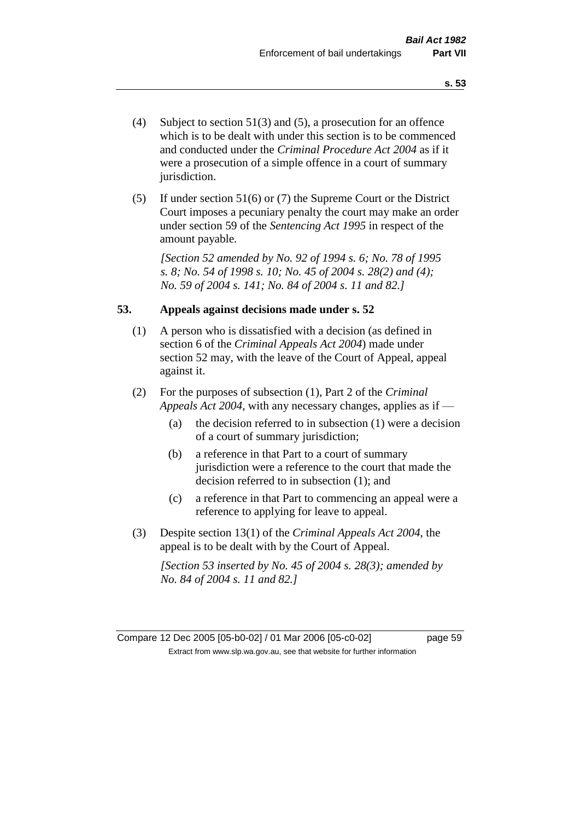- (4) Subject to section 51(3) and (5), a prosecution for an offence which is to be dealt with under this section is to be commenced and conducted under the *Criminal Procedure Act 2004* as if it were a prosecution of a simple offence in a court of summary jurisdiction.
- (5) If under section 51(6) or (7) the Supreme Court or the District Court imposes a pecuniary penalty the court may make an order under section 59 of the *Sentencing Act 1995* in respect of the amount payable.

*[Section 52 amended by No. 92 of 1994 s. 6; No. 78 of 1995 s. 8; No. 54 of 1998 s. 10; No. 45 of 2004 s. 28(2) and (4); No. 59 of 2004 s. 141; No. 84 of 2004 s. 11 and 82.]* 

### **53. Appeals against decisions made under s. 52**

- (1) A person who is dissatisfied with a decision (as defined in section 6 of the *Criminal Appeals Act 2004*) made under section 52 may, with the leave of the Court of Appeal, appeal against it.
- (2) For the purposes of subsection (1), Part 2 of the *Criminal Appeals Act 2004*, with any necessary changes, applies as if —
	- (a) the decision referred to in subsection (1) were a decision of a court of summary jurisdiction;
	- (b) a reference in that Part to a court of summary jurisdiction were a reference to the court that made the decision referred to in subsection (1); and
	- (c) a reference in that Part to commencing an appeal were a reference to applying for leave to appeal.
- (3) Despite section 13(1) of the *Criminal Appeals Act 2004*, the appeal is to be dealt with by the Court of Appeal.

*[Section 53 inserted by No. 45 of 2004 s. 28(3); amended by No. 84 of 2004 s. 11 and 82.]*

Compare 12 Dec 2005 [05-b0-02] / 01 Mar 2006 [05-c0-02] page 59 Extract from www.slp.wa.gov.au, see that website for further information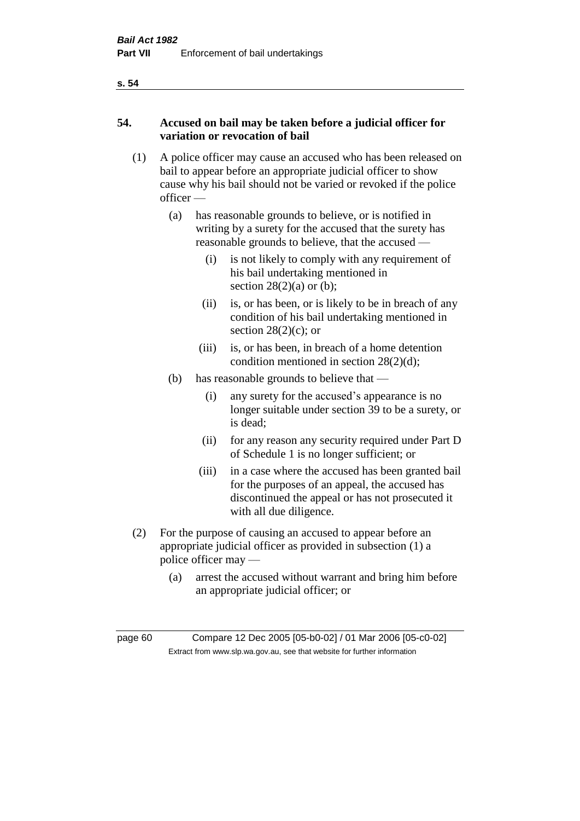# **54. Accused on bail may be taken before a judicial officer for variation or revocation of bail**

- (1) A police officer may cause an accused who has been released on bail to appear before an appropriate judicial officer to show cause why his bail should not be varied or revoked if the police officer —
	- (a) has reasonable grounds to believe, or is notified in writing by a surety for the accused that the surety has reasonable grounds to believe, that the accused —
		- (i) is not likely to comply with any requirement of his bail undertaking mentioned in section  $28(2)(a)$  or (b);
		- (ii) is, or has been, or is likely to be in breach of any condition of his bail undertaking mentioned in section  $28(2)(c)$ ; or
		- (iii) is, or has been, in breach of a home detention condition mentioned in section 28(2)(d);
	- (b) has reasonable grounds to believe that
		- (i) any surety for the accused's appearance is no longer suitable under section 39 to be a surety, or is dead;
		- (ii) for any reason any security required under Part D of Schedule 1 is no longer sufficient; or
		- (iii) in a case where the accused has been granted bail for the purposes of an appeal, the accused has discontinued the appeal or has not prosecuted it with all due diligence.
- (2) For the purpose of causing an accused to appear before an appropriate judicial officer as provided in subsection (1) a police officer may —
	- (a) arrest the accused without warrant and bring him before an appropriate judicial officer; or

page 60 Compare 12 Dec 2005 [05-b0-02] / 01 Mar 2006 [05-c0-02] Extract from www.slp.wa.gov.au, see that website for further information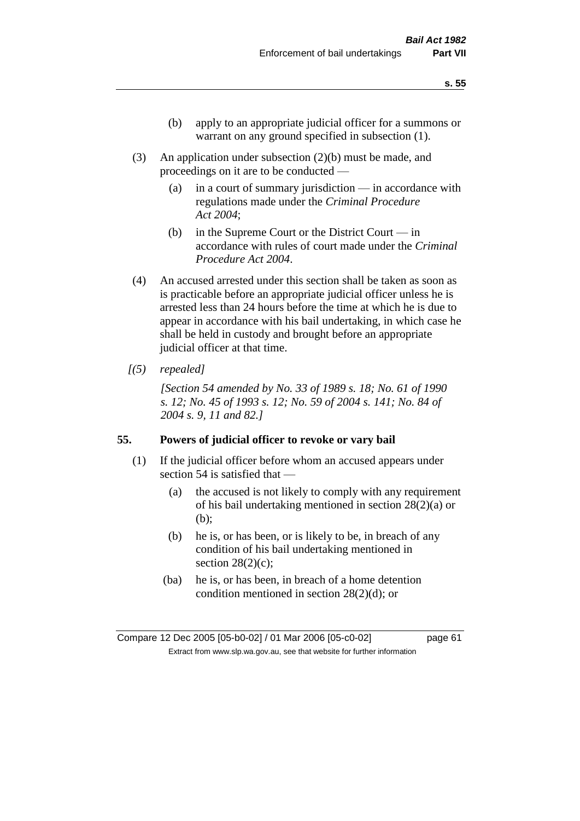- (b) apply to an appropriate judicial officer for a summons or warrant on any ground specified in subsection (1).
- (3) An application under subsection (2)(b) must be made, and proceedings on it are to be conducted —
	- (a) in a court of summary jurisdiction in accordance with regulations made under the *Criminal Procedure Act 2004*;
	- (b) in the Supreme Court or the District Court  $-\text{in}$ accordance with rules of court made under the *Criminal Procedure Act 2004*.
- (4) An accused arrested under this section shall be taken as soon as is practicable before an appropriate judicial officer unless he is arrested less than 24 hours before the time at which he is due to appear in accordance with his bail undertaking, in which case he shall be held in custody and brought before an appropriate judicial officer at that time.
- *[(5) repealed]*

*[Section 54 amended by No. 33 of 1989 s. 18; No. 61 of 1990 s. 12; No. 45 of 1993 s. 12; No. 59 of 2004 s. 141; No. 84 of 2004 s. 9, 11 and 82.]* 

#### **55. Powers of judicial officer to revoke or vary bail**

- (1) If the judicial officer before whom an accused appears under section 54 is satisfied that —
	- (a) the accused is not likely to comply with any requirement of his bail undertaking mentioned in section 28(2)(a) or (b);
	- (b) he is, or has been, or is likely to be, in breach of any condition of his bail undertaking mentioned in section  $28(2)(c)$ ;
	- (ba) he is, or has been, in breach of a home detention condition mentioned in section 28(2)(d); or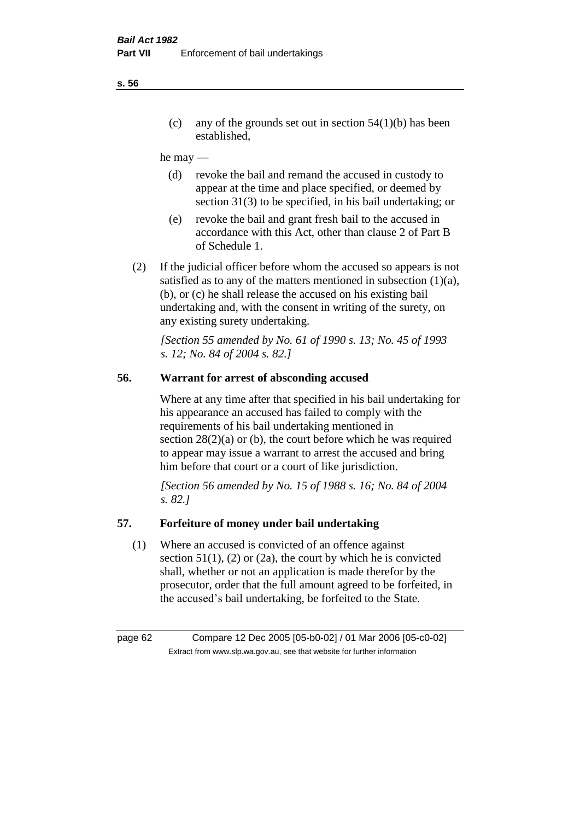(c) any of the grounds set out in section  $54(1)(b)$  has been established,

#### he may —

- (d) revoke the bail and remand the accused in custody to appear at the time and place specified, or deemed by section 31(3) to be specified, in his bail undertaking; or
- (e) revoke the bail and grant fresh bail to the accused in accordance with this Act, other than clause 2 of Part B of Schedule 1.
- (2) If the judicial officer before whom the accused so appears is not satisfied as to any of the matters mentioned in subsection (1)(a), (b), or (c) he shall release the accused on his existing bail undertaking and, with the consent in writing of the surety, on any existing surety undertaking.

*[Section 55 amended by No. 61 of 1990 s. 13; No. 45 of 1993 s. 12; No. 84 of 2004 s. 82.]* 

# **56. Warrant for arrest of absconding accused**

Where at any time after that specified in his bail undertaking for his appearance an accused has failed to comply with the requirements of his bail undertaking mentioned in section  $28(2)(a)$  or (b), the court before which he was required to appear may issue a warrant to arrest the accused and bring him before that court or a court of like jurisdiction.

*[Section 56 amended by No. 15 of 1988 s. 16; No. 84 of 2004 s. 82.]* 

# **57. Forfeiture of money under bail undertaking**

(1) Where an accused is convicted of an offence against section  $51(1)$ , (2) or (2a), the court by which he is convicted shall, whether or not an application is made therefor by the prosecutor, order that the full amount agreed to be forfeited, in the accused's bail undertaking, be forfeited to the State.

page 62 Compare 12 Dec 2005 [05-b0-02] / 01 Mar 2006 [05-c0-02] Extract from www.slp.wa.gov.au, see that website for further information

**s. 56**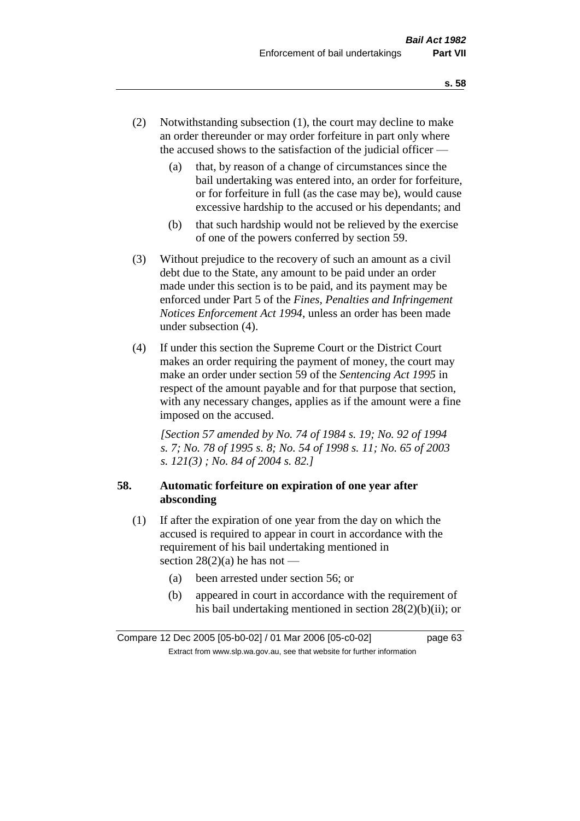- (2) Notwithstanding subsection (1), the court may decline to make an order thereunder or may order forfeiture in part only where the accused shows to the satisfaction of the judicial officer —
	- (a) that, by reason of a change of circumstances since the bail undertaking was entered into, an order for forfeiture, or for forfeiture in full (as the case may be), would cause excessive hardship to the accused or his dependants; and
	- (b) that such hardship would not be relieved by the exercise of one of the powers conferred by section 59.
- (3) Without prejudice to the recovery of such an amount as a civil debt due to the State, any amount to be paid under an order made under this section is to be paid, and its payment may be enforced under Part 5 of the *Fines, Penalties and Infringement Notices Enforcement Act 1994*, unless an order has been made under subsection (4).
- (4) If under this section the Supreme Court or the District Court makes an order requiring the payment of money, the court may make an order under section 59 of the *Sentencing Act 1995* in respect of the amount payable and for that purpose that section, with any necessary changes, applies as if the amount were a fine imposed on the accused.

*[Section 57 amended by No. 74 of 1984 s. 19; No. 92 of 1994 s. 7; No. 78 of 1995 s. 8; No. 54 of 1998 s. 11; No. 65 of 2003 s. 121(3) ; No. 84 of 2004 s. 82.]* 

# **58. Automatic forfeiture on expiration of one year after absconding**

- (1) If after the expiration of one year from the day on which the accused is required to appear in court in accordance with the requirement of his bail undertaking mentioned in section  $28(2)(a)$  he has not —
	- (a) been arrested under section 56; or
	- (b) appeared in court in accordance with the requirement of his bail undertaking mentioned in section 28(2)(b)(ii); or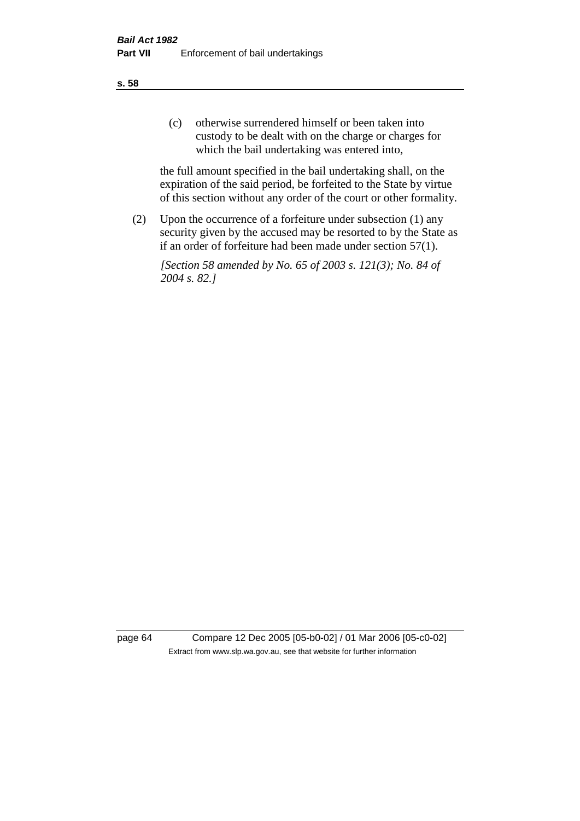(c) otherwise surrendered himself or been taken into custody to be dealt with on the charge or charges for which the bail undertaking was entered into,

the full amount specified in the bail undertaking shall, on the expiration of the said period, be forfeited to the State by virtue of this section without any order of the court or other formality.

(2) Upon the occurrence of a forfeiture under subsection (1) any security given by the accused may be resorted to by the State as if an order of forfeiture had been made under section 57(1).

*[Section 58 amended by No. 65 of 2003 s. 121(3); No. 84 of 2004 s. 82.]*

page 64 Compare 12 Dec 2005 [05-b0-02] / 01 Mar 2006 [05-c0-02] Extract from www.slp.wa.gov.au, see that website for further information

**s. 58**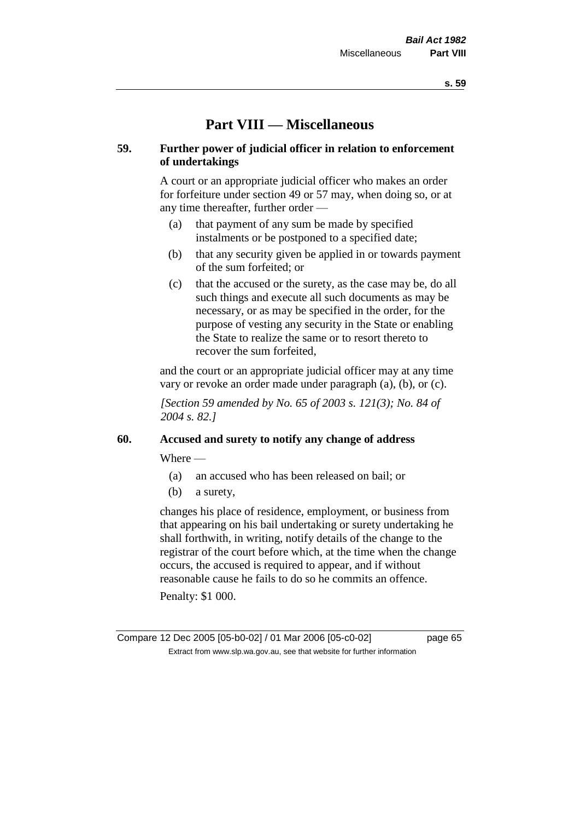# **Part VIII — Miscellaneous**

# **59. Further power of judicial officer in relation to enforcement of undertakings**

A court or an appropriate judicial officer who makes an order for forfeiture under section 49 or 57 may, when doing so, or at any time thereafter, further order —

- (a) that payment of any sum be made by specified instalments or be postponed to a specified date;
- (b) that any security given be applied in or towards payment of the sum forfeited; or
- (c) that the accused or the surety, as the case may be, do all such things and execute all such documents as may be necessary, or as may be specified in the order, for the purpose of vesting any security in the State or enabling the State to realize the same or to resort thereto to recover the sum forfeited,

and the court or an appropriate judicial officer may at any time vary or revoke an order made under paragraph (a), (b), or (c).

*[Section 59 amended by No. 65 of 2003 s. 121(3); No. 84 of 2004 s. 82.]*

#### **60. Accused and surety to notify any change of address**

Where —

- (a) an accused who has been released on bail; or
- (b) a surety,

changes his place of residence, employment, or business from that appearing on his bail undertaking or surety undertaking he shall forthwith, in writing, notify details of the change to the registrar of the court before which, at the time when the change occurs, the accused is required to appear, and if without reasonable cause he fails to do so he commits an offence.

Penalty: \$1 000.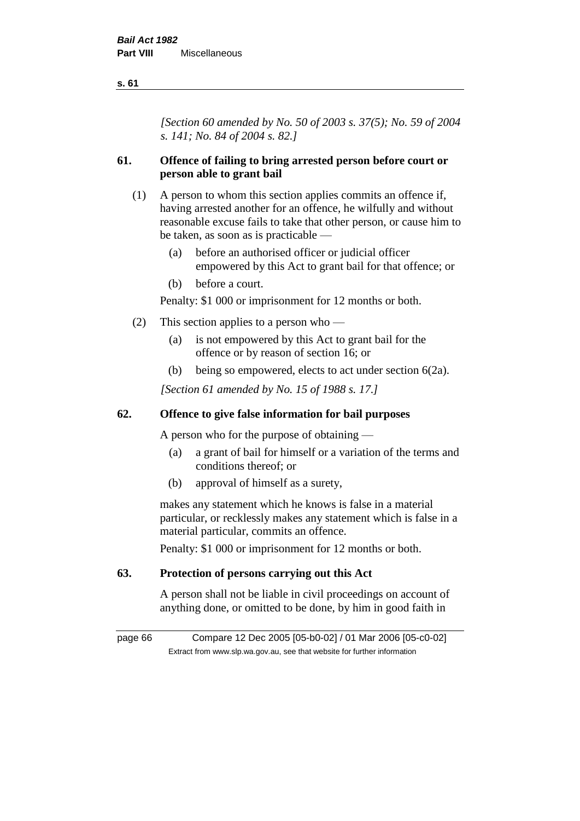*[Section 60 amended by No. 50 of 2003 s. 37(5); No. 59 of 2004 s. 141; No. 84 of 2004 s. 82.]*

# **61. Offence of failing to bring arrested person before court or person able to grant bail**

- (1) A person to whom this section applies commits an offence if, having arrested another for an offence, he wilfully and without reasonable excuse fails to take that other person, or cause him to be taken, as soon as is practicable —
	- (a) before an authorised officer or judicial officer empowered by this Act to grant bail for that offence; or
	- (b) before a court.

Penalty: \$1 000 or imprisonment for 12 months or both.

- (2) This section applies to a person who
	- (a) is not empowered by this Act to grant bail for the offence or by reason of section 16; or
	- (b) being so empowered, elects to act under section 6(2a).

*[Section 61 amended by No. 15 of 1988 s. 17.]* 

# **62. Offence to give false information for bail purposes**

A person who for the purpose of obtaining —

- (a) a grant of bail for himself or a variation of the terms and conditions thereof; or
- (b) approval of himself as a surety,

makes any statement which he knows is false in a material particular, or recklessly makes any statement which is false in a material particular, commits an offence.

Penalty: \$1 000 or imprisonment for 12 months or both.

# **63. Protection of persons carrying out this Act**

A person shall not be liable in civil proceedings on account of anything done, or omitted to be done, by him in good faith in

page 66 Compare 12 Dec 2005 [05-b0-02] / 01 Mar 2006 [05-c0-02] Extract from www.slp.wa.gov.au, see that website for further information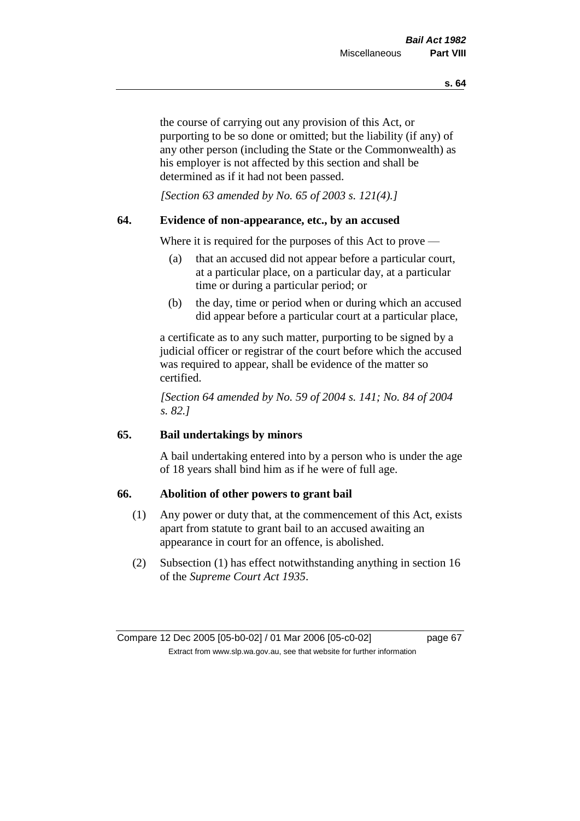the course of carrying out any provision of this Act, or purporting to be so done or omitted; but the liability (if any) of any other person (including the State or the Commonwealth) as his employer is not affected by this section and shall be determined as if it had not been passed.

*[Section 63 amended by No. 65 of 2003 s. 121(4).]*

# **64. Evidence of non-appearance, etc., by an accused**

Where it is required for the purposes of this Act to prove —

- (a) that an accused did not appear before a particular court, at a particular place, on a particular day, at a particular time or during a particular period; or
- (b) the day, time or period when or during which an accused did appear before a particular court at a particular place,

a certificate as to any such matter, purporting to be signed by a judicial officer or registrar of the court before which the accused was required to appear, shall be evidence of the matter so certified.

*[Section 64 amended by No. 59 of 2004 s. 141; No. 84 of 2004 s. 82.]* 

# **65. Bail undertakings by minors**

A bail undertaking entered into by a person who is under the age of 18 years shall bind him as if he were of full age.

# **66. Abolition of other powers to grant bail**

- (1) Any power or duty that, at the commencement of this Act, exists apart from statute to grant bail to an accused awaiting an appearance in court for an offence, is abolished.
- (2) Subsection (1) has effect notwithstanding anything in section 16 of the *Supreme Court Act 1935*.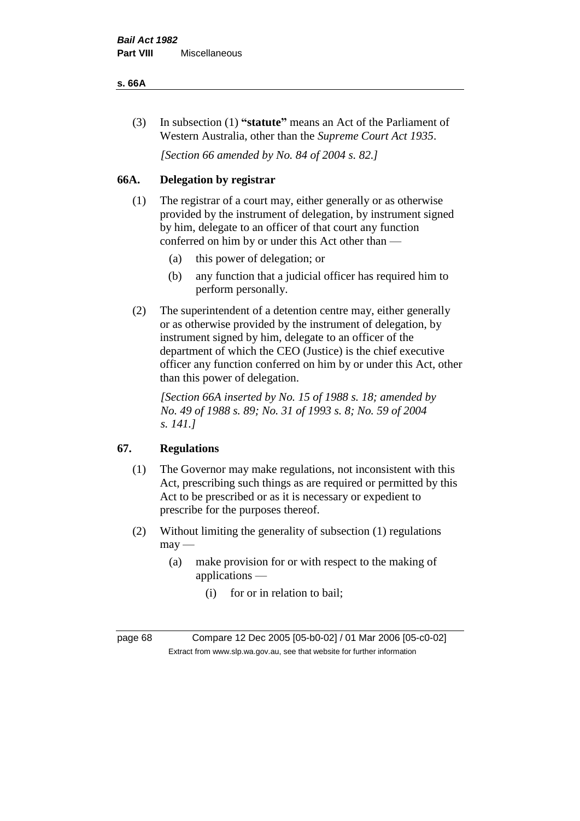#### **s. 66A**

(3) In subsection (1) **"statute"** means an Act of the Parliament of Western Australia, other than the *Supreme Court Act 1935*.

*[Section 66 amended by No. 84 of 2004 s. 82.]*

# **66A. Delegation by registrar**

- (1) The registrar of a court may, either generally or as otherwise provided by the instrument of delegation, by instrument signed by him, delegate to an officer of that court any function conferred on him by or under this Act other than —
	- (a) this power of delegation; or
	- (b) any function that a judicial officer has required him to perform personally.
- (2) The superintendent of a detention centre may, either generally or as otherwise provided by the instrument of delegation, by instrument signed by him, delegate to an officer of the department of which the CEO (Justice) is the chief executive officer any function conferred on him by or under this Act, other than this power of delegation.

*[Section 66A inserted by No. 15 of 1988 s. 18; amended by No. 49 of 1988 s. 89; No. 31 of 1993 s. 8; No. 59 of 2004 s. 141.]* 

# **67. Regulations**

- (1) The Governor may make regulations, not inconsistent with this Act, prescribing such things as are required or permitted by this Act to be prescribed or as it is necessary or expedient to prescribe for the purposes thereof.
- (2) Without limiting the generality of subsection (1) regulations  $may -$ 
	- (a) make provision for or with respect to the making of applications —
		- (i) for or in relation to bail;

page 68 Compare 12 Dec 2005 [05-b0-02] / 01 Mar 2006 [05-c0-02] Extract from www.slp.wa.gov.au, see that website for further information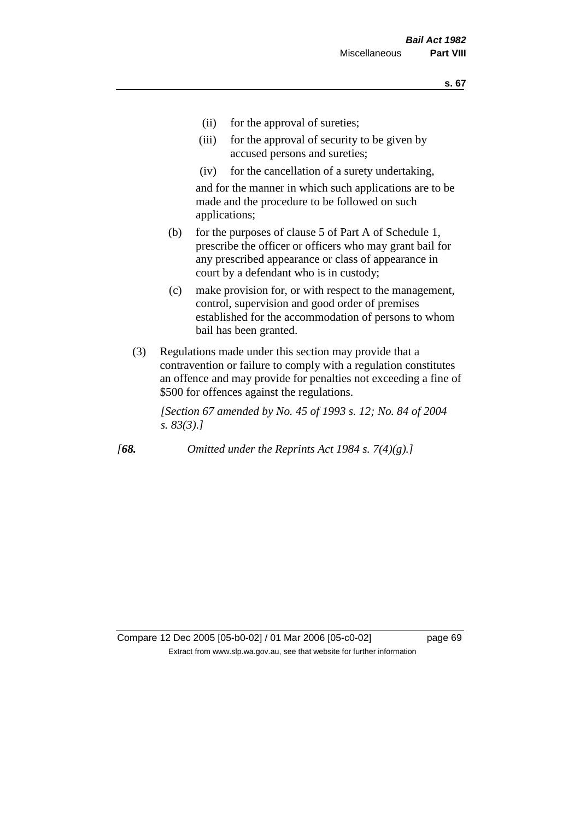- (ii) for the approval of sureties;
- (iii) for the approval of security to be given by accused persons and sureties;
- (iv) for the cancellation of a surety undertaking,

and for the manner in which such applications are to be made and the procedure to be followed on such applications;

- (b) for the purposes of clause 5 of Part A of Schedule 1, prescribe the officer or officers who may grant bail for any prescribed appearance or class of appearance in court by a defendant who is in custody;
- (c) make provision for, or with respect to the management, control, supervision and good order of premises established for the accommodation of persons to whom bail has been granted.
- (3) Regulations made under this section may provide that a contravention or failure to comply with a regulation constitutes an offence and may provide for penalties not exceeding a fine of \$500 for offences against the regulations.

*[Section 67 amended by No. 45 of 1993 s. 12; No. 84 of 2004 s. 83(3).]* 

*[68. Omitted under the Reprints Act 1984 s. 7(4)(g).]*

Compare 12 Dec 2005 [05-b0-02] / 01 Mar 2006 [05-c0-02] page 69 Extract from www.slp.wa.gov.au, see that website for further information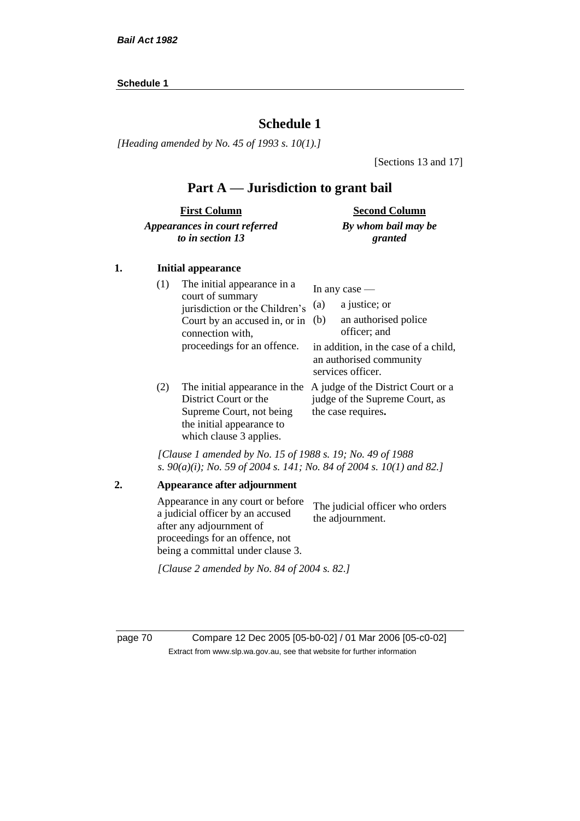#### **Schedule 1**

# **Schedule 1**

*[Heading amended by No. 45 of 1993 s. 10(1).]*

[Sections 13 and 17]

# **Part A — Jurisdiction to grant bail**

| <b>First Column</b>           | <b>Second Column</b> |
|-------------------------------|----------------------|
| Appearances in court referred | By whom bail may be  |
| to in section 13              | granted              |

#### **1. Initial appearance**

| (1) | The initial appearance in a<br>court of summary<br>jurisdiction or the Children's<br>Court by an accused in, or in<br>connection with,<br>proceedings for an offence. | In any case $-$<br>a justice; or<br>(a)<br>an authorised police<br>(b)<br>officer; and<br>in addition, in the case of a child,<br>an authorised community<br>services officer. |
|-----|-----------------------------------------------------------------------------------------------------------------------------------------------------------------------|--------------------------------------------------------------------------------------------------------------------------------------------------------------------------------|
| (2) | The initial appearance in the<br>District Court or the<br>Supreme Court, not being<br>the initial appearance to<br>which clause 3 applies.                            | A judge of the District Court or a<br>judge of the Supreme Court, as<br>the case requires.                                                                                     |

*[Clause 1 amended by No. 15 of 1988 s. 19; No. 49 of 1988 s. 90(a)(i); No. 59 of 2004 s. 141; No. 84 of 2004 s. 10(1) and 82.]*

page 70 Compare 12 Dec 2005 [05-b0-02] / 01 Mar 2006 [05-c0-02] Extract from www.slp.wa.gov.au, see that website for further information

**<sup>2.</sup> Appearance after adjournment** Appearance in any court or before a judicial officer by an accused after any adjournment of proceedings for an offence, not being a committal under clause 3. The judicial officer who orders the adjournment. *[Clause 2 amended by No. 84 of 2004 s. 82.]*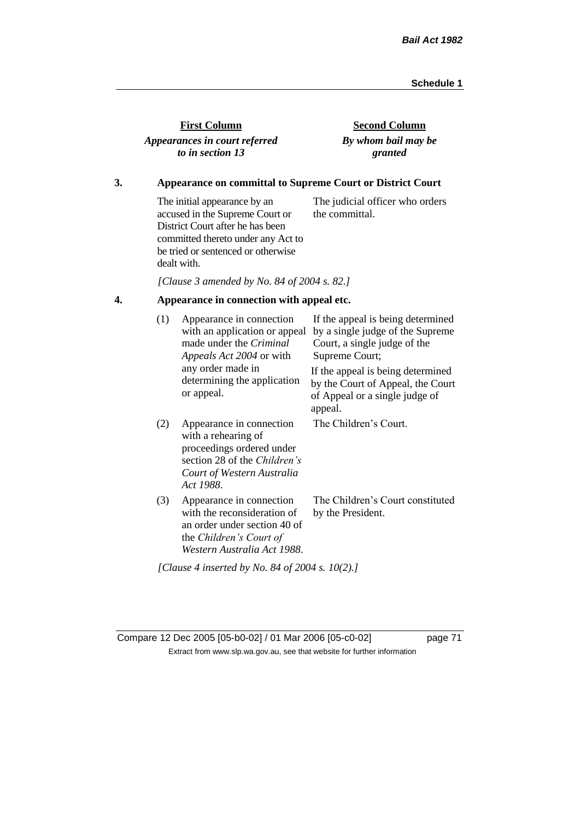| <b>First Column</b>           |
|-------------------------------|
| Appearances in court referred |
| to in section 13              |

**Second Column** *By whom bail may be granted*

# **3. Appearance on committal to Supreme Court or District Court**

The initial appearance by an accused in the Supreme Court or District Court after he has been committed thereto under any Act to be tried or sentenced or otherwise dealt with. The judicial officer who orders the committal.

*[Clause 3 amended by No. 84 of 2004 s. 82.]*

# **4. Appearance in connection with appeal etc.**

| (1) | Appearance in connection<br>with an application or appeal<br>made under the <i>Criminal</i><br><i>Appeals Act 2004</i> or with                          | If the appeal is being determined<br>by a single judge of the Supreme<br>Court, a single judge of the<br>Supreme Court; |  |  |
|-----|---------------------------------------------------------------------------------------------------------------------------------------------------------|-------------------------------------------------------------------------------------------------------------------------|--|--|
|     | any order made in<br>determining the application<br>or appeal.                                                                                          | If the appeal is being determined<br>by the Court of Appeal, the Court<br>of Appeal or a single judge of<br>appeal.     |  |  |
| (2) | Appearance in connection<br>with a rehearing of<br>proceedings ordered under<br>section 28 of the Children's<br>Court of Western Australia<br>Act 1988. | The Children's Court.                                                                                                   |  |  |
| (3) | Appearance in connection<br>with the reconsideration of<br>an order under section 40 of<br>the Children's Court of<br>Western Australia Act 1988.       | The Children's Court constituted<br>by the President.                                                                   |  |  |
|     | [Clause 4 inserted by No. 84 of 2004 s. 10(2).]                                                                                                         |                                                                                                                         |  |  |

Compare 12 Dec 2005 [05-b0-02] / 01 Mar 2006 [05-c0-02] page 71 Extract from www.slp.wa.gov.au, see that website for further information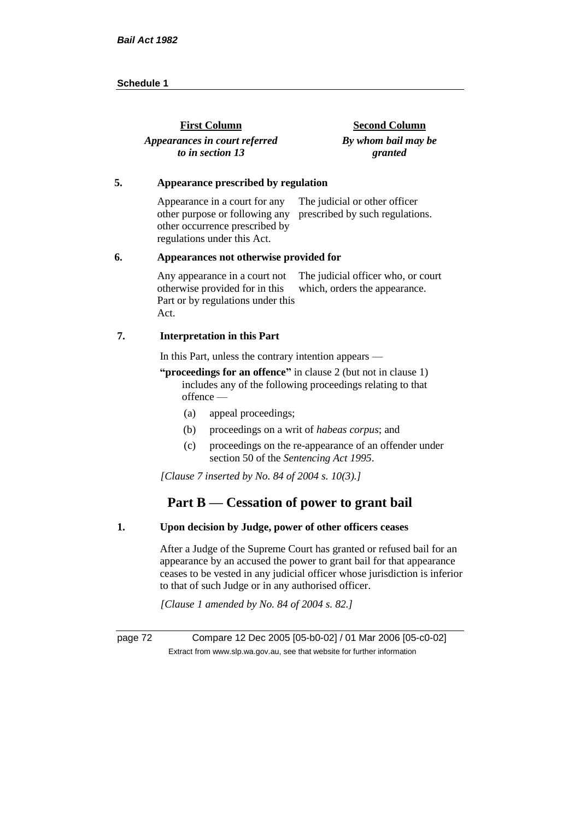| <b>First Column</b>           | <b>Second Column</b> |
|-------------------------------|----------------------|
| Appearances in court referred | By whom bail may be  |
| to in section 13              | granted              |

#### **5. Appearance prescribed by regulation**

Appearance in a court for any other purpose or following any prescribed by such regulations. other occurrence prescribed by regulations under this Act. The judicial or other officer

#### **6. Appearances not otherwise provided for**

Any appearance in a court not otherwise provided for in this Part or by regulations under this Act. The judicial officer who, or court which, orders the appearance.

#### **7. Interpretation in this Part**

In this Part, unless the contrary intention appears —

**"proceedings for an offence"** in clause 2 (but not in clause 1) includes any of the following proceedings relating to that offence —

- (a) appeal proceedings;
- (b) proceedings on a writ of *habeas corpus*; and
- (c) proceedings on the re-appearance of an offender under section 50 of the *Sentencing Act 1995*.

*[Clause 7 inserted by No. 84 of 2004 s. 10(3).]*

# **Part B — Cessation of power to grant bail**

# **1. Upon decision by Judge, power of other officers ceases**

After a Judge of the Supreme Court has granted or refused bail for an appearance by an accused the power to grant bail for that appearance ceases to be vested in any judicial officer whose jurisdiction is inferior to that of such Judge or in any authorised officer.

*[Clause 1 amended by No. 84 of 2004 s. 82.]*

page 72 Compare 12 Dec 2005 [05-b0-02] / 01 Mar 2006 [05-c0-02] Extract from www.slp.wa.gov.au, see that website for further information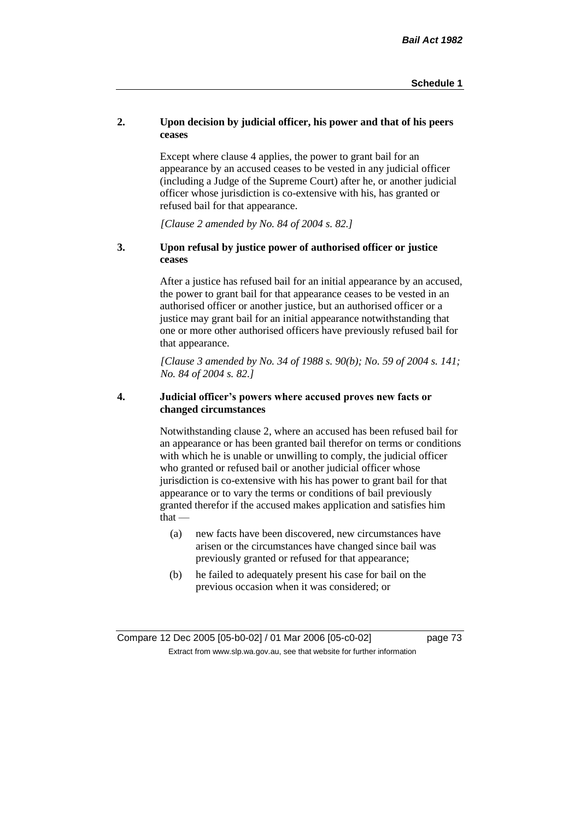# **2. Upon decision by judicial officer, his power and that of his peers ceases**

Except where clause 4 applies, the power to grant bail for an appearance by an accused ceases to be vested in any judicial officer (including a Judge of the Supreme Court) after he, or another judicial officer whose jurisdiction is co-extensive with his, has granted or refused bail for that appearance.

*[Clause 2 amended by No. 84 of 2004 s. 82.]*

# **3. Upon refusal by justice power of authorised officer or justice ceases**

After a justice has refused bail for an initial appearance by an accused, the power to grant bail for that appearance ceases to be vested in an authorised officer or another justice, but an authorised officer or a justice may grant bail for an initial appearance notwithstanding that one or more other authorised officers have previously refused bail for that appearance.

*[Clause 3 amended by No. 34 of 1988 s. 90(b); No. 59 of 2004 s. 141; No. 84 of 2004 s. 82.]*

# **4. Judicial officer's powers where accused proves new facts or changed circumstances**

Notwithstanding clause 2, where an accused has been refused bail for an appearance or has been granted bail therefor on terms or conditions with which he is unable or unwilling to comply, the judicial officer who granted or refused bail or another judicial officer whose jurisdiction is co-extensive with his has power to grant bail for that appearance or to vary the terms or conditions of bail previously granted therefor if the accused makes application and satisfies him  $that -$ 

- (a) new facts have been discovered, new circumstances have arisen or the circumstances have changed since bail was previously granted or refused for that appearance;
- (b) he failed to adequately present his case for bail on the previous occasion when it was considered; or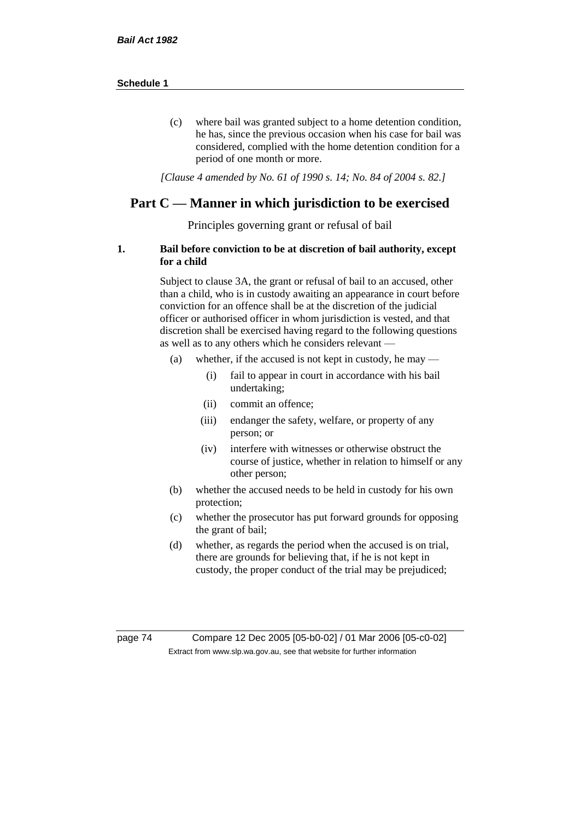(c) where bail was granted subject to a home detention condition, he has, since the previous occasion when his case for bail was considered, complied with the home detention condition for a period of one month or more.

*[Clause 4 amended by No. 61 of 1990 s. 14; No. 84 of 2004 s. 82.]*

# **Part C — Manner in which jurisdiction to be exercised**

Principles governing grant or refusal of bail

## **1. Bail before conviction to be at discretion of bail authority, except for a child**

Subject to clause 3A, the grant or refusal of bail to an accused, other than a child, who is in custody awaiting an appearance in court before conviction for an offence shall be at the discretion of the judicial officer or authorised officer in whom jurisdiction is vested, and that discretion shall be exercised having regard to the following questions as well as to any others which he considers relevant —

- (a) whether, if the accused is not kept in custody, he may
	- (i) fail to appear in court in accordance with his bail undertaking;
	- (ii) commit an offence;
	- (iii) endanger the safety, welfare, or property of any person; or
	- (iv) interfere with witnesses or otherwise obstruct the course of justice, whether in relation to himself or any other person;
- (b) whether the accused needs to be held in custody for his own protection;
- (c) whether the prosecutor has put forward grounds for opposing the grant of bail;
- (d) whether, as regards the period when the accused is on trial, there are grounds for believing that, if he is not kept in custody, the proper conduct of the trial may be prejudiced;

page 74 Compare 12 Dec 2005 [05-b0-02] / 01 Mar 2006 [05-c0-02] Extract from www.slp.wa.gov.au, see that website for further information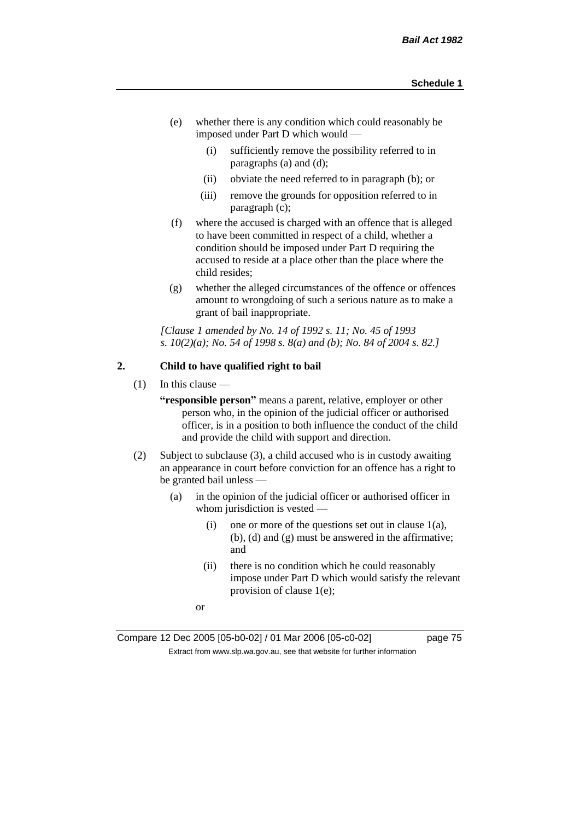- (e) whether there is any condition which could reasonably be imposed under Part D which would —
	- (i) sufficiently remove the possibility referred to in paragraphs (a) and (d);
	- (ii) obviate the need referred to in paragraph (b); or
	- (iii) remove the grounds for opposition referred to in paragraph (c);
- (f) where the accused is charged with an offence that is alleged to have been committed in respect of a child, whether a condition should be imposed under Part D requiring the accused to reside at a place other than the place where the child resides;
- (g) whether the alleged circumstances of the offence or offences amount to wrongdoing of such a serious nature as to make a grant of bail inappropriate.

*[Clause 1 amended by No. 14 of 1992 s. 11; No. 45 of 1993 s. 10(2)(a); No. 54 of 1998 s. 8(a) and (b); No. 84 of 2004 s. 82.]*

# **2. Child to have qualified right to bail**

 $(1)$  In this clause —

**"responsible person"** means a parent, relative, employer or other person who, in the opinion of the judicial officer or authorised officer, is in a position to both influence the conduct of the child and provide the child with support and direction.

- (2) Subject to subclause (3), a child accused who is in custody awaiting an appearance in court before conviction for an offence has a right to be granted bail unless —
	- (a) in the opinion of the judicial officer or authorised officer in whom jurisdiction is vested —
		- (i) one or more of the questions set out in clause  $1(a)$ , (b), (d) and (g) must be answered in the affirmative; and
		- (ii) there is no condition which he could reasonably impose under Part D which would satisfy the relevant provision of clause 1(e);
		- or

Compare 12 Dec 2005 [05-b0-02] / 01 Mar 2006 [05-c0-02] page 75 Extract from www.slp.wa.gov.au, see that website for further information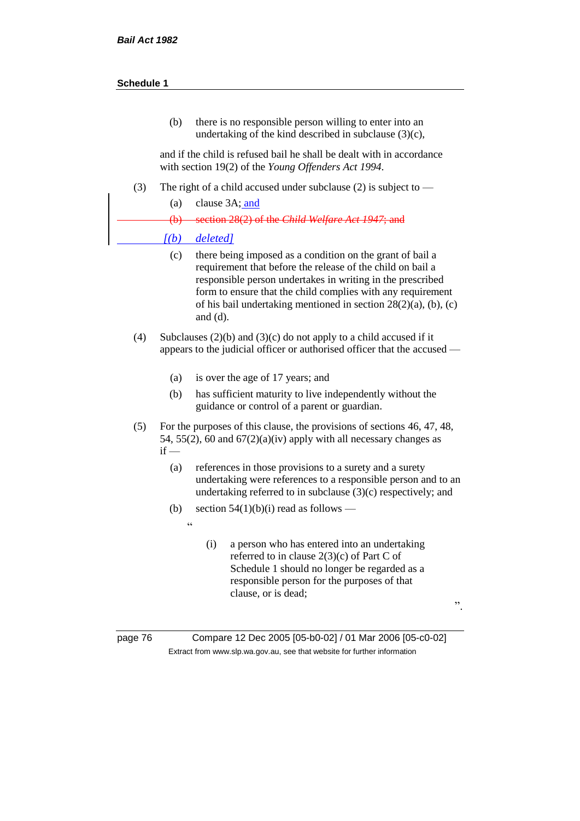(b) there is no responsible person willing to enter into an undertaking of the kind described in subclause (3)(c),

and if the child is refused bail he shall be dealt with in accordance with section 19(2) of the *Young Offenders Act 1994*.

- (3) The right of a child accused under subclause (2) is subject to
	- (a) clause 3A; and

(b) section 28(2) of the *Child Welfare Act 1947*; and

#### *[(b) deleted]*

 $\epsilon$ 

- (c) there being imposed as a condition on the grant of bail a requirement that before the release of the child on bail a responsible person undertakes in writing in the prescribed form to ensure that the child complies with any requirement of his bail undertaking mentioned in section 28(2)(a), (b), (c) and (d).
- (4) Subclauses (2)(b) and (3)(c) do not apply to a child accused if it appears to the judicial officer or authorised officer that the accused —
	- (a) is over the age of 17 years; and
	- (b) has sufficient maturity to live independently without the guidance or control of a parent or guardian.
- (5) For the purposes of this clause, the provisions of sections 46, 47, 48, 54, 55(2), 60 and  $67(2)(a)(iv)$  apply with all necessary changes as  $if -$ 
	- (a) references in those provisions to a surety and a surety undertaking were references to a responsible person and to an undertaking referred to in subclause (3)(c) respectively; and
	- (b) section  $54(1)(b)(i)$  read as follows
		- (i) a person who has entered into an undertaking referred to in clause 2(3)(c) of Part C of Schedule 1 should no longer be regarded as a responsible person for the purposes of that clause, or is dead;

".

page 76 Compare 12 Dec 2005 [05-b0-02] / 01 Mar 2006 [05-c0-02] Extract from www.slp.wa.gov.au, see that website for further information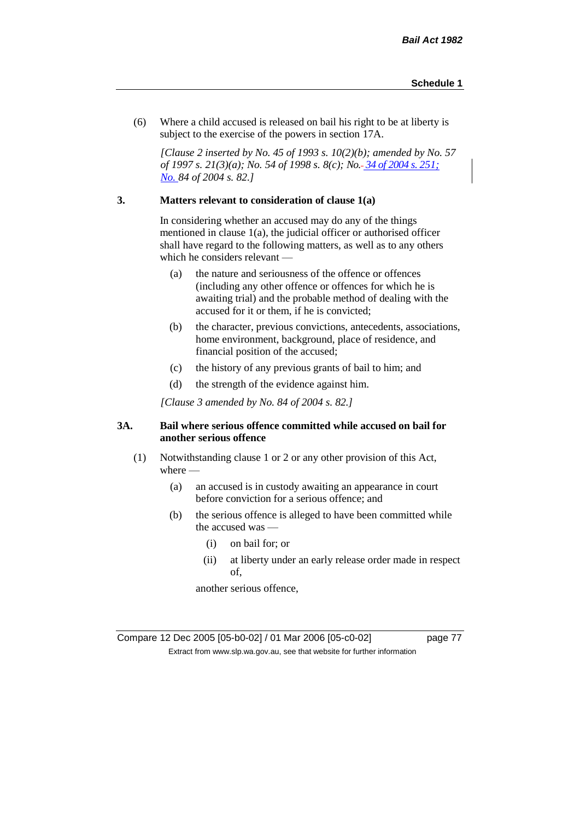(6) Where a child accused is released on bail his right to be at liberty is subject to the exercise of the powers in section 17A.

*[Clause 2 inserted by No. 45 of 1993 s. 10(2)(b); amended by No. 57 of 1997 s. 21(3)(a); No. 54 of 1998 s. 8(c); No. 34 of 2004 s. 251; No. 84 of 2004 s. 82.]*

# **3. Matters relevant to consideration of clause 1(a)**

In considering whether an accused may do any of the things mentioned in clause 1(a), the judicial officer or authorised officer shall have regard to the following matters, as well as to any others which he considers relevant —

- (a) the nature and seriousness of the offence or offences (including any other offence or offences for which he is awaiting trial) and the probable method of dealing with the accused for it or them, if he is convicted;
- (b) the character, previous convictions, antecedents, associations, home environment, background, place of residence, and financial position of the accused;
- (c) the history of any previous grants of bail to him; and
- (d) the strength of the evidence against him.

*[Clause 3 amended by No. 84 of 2004 s. 82.]*

## **3A. Bail where serious offence committed while accused on bail for another serious offence**

- (1) Notwithstanding clause 1 or 2 or any other provision of this Act, where —
	- (a) an accused is in custody awaiting an appearance in court before conviction for a serious offence; and
	- (b) the serious offence is alleged to have been committed while the accused was —
		- (i) on bail for; or
		- (ii) at liberty under an early release order made in respect of,

another serious offence,

Compare 12 Dec 2005 [05-b0-02] / 01 Mar 2006 [05-c0-02] page 77 Extract from www.slp.wa.gov.au, see that website for further information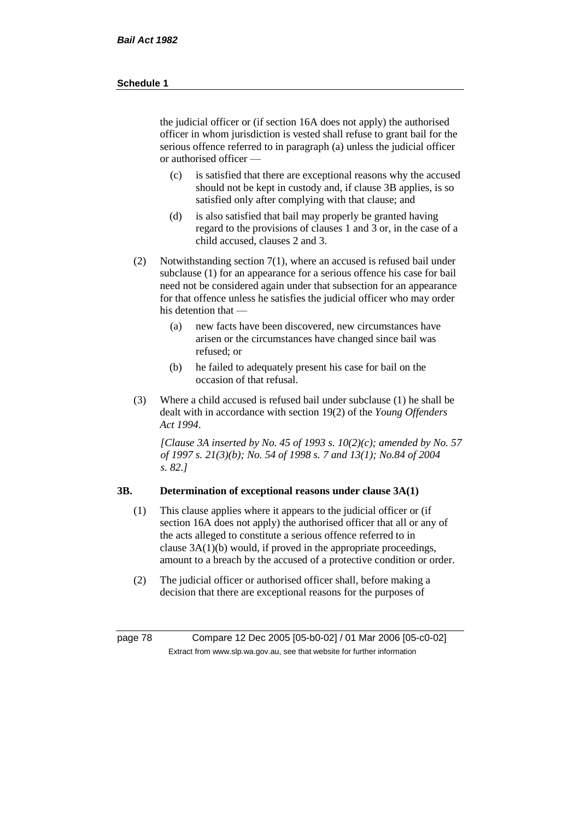the judicial officer or (if section 16A does not apply) the authorised officer in whom jurisdiction is vested shall refuse to grant bail for the serious offence referred to in paragraph (a) unless the judicial officer or authorised officer —

- (c) is satisfied that there are exceptional reasons why the accused should not be kept in custody and, if clause 3B applies, is so satisfied only after complying with that clause; and
- (d) is also satisfied that bail may properly be granted having regard to the provisions of clauses 1 and 3 or, in the case of a child accused, clauses 2 and 3.
- (2) Notwithstanding section 7(1), where an accused is refused bail under subclause (1) for an appearance for a serious offence his case for bail need not be considered again under that subsection for an appearance for that offence unless he satisfies the judicial officer who may order his detention that —
	- (a) new facts have been discovered, new circumstances have arisen or the circumstances have changed since bail was refused; or
	- (b) he failed to adequately present his case for bail on the occasion of that refusal.
- (3) Where a child accused is refused bail under subclause (1) he shall be dealt with in accordance with section 19(2) of the *Young Offenders Act 1994*.

*[Clause 3A inserted by No. 45 of 1993 s. 10(2)(c); amended by No. 57 of 1997 s. 21(3)(b); No. 54 of 1998 s. 7 and 13(1); No.84 of 2004 s. 82.]*

# **3B. Determination of exceptional reasons under clause 3A(1)**

- (1) This clause applies where it appears to the judicial officer or (if section 16A does not apply) the authorised officer that all or any of the acts alleged to constitute a serious offence referred to in clause 3A(1)(b) would, if proved in the appropriate proceedings, amount to a breach by the accused of a protective condition or order.
- (2) The judicial officer or authorised officer shall, before making a decision that there are exceptional reasons for the purposes of

page 78 Compare 12 Dec 2005 [05-b0-02] / 01 Mar 2006 [05-c0-02] Extract from www.slp.wa.gov.au, see that website for further information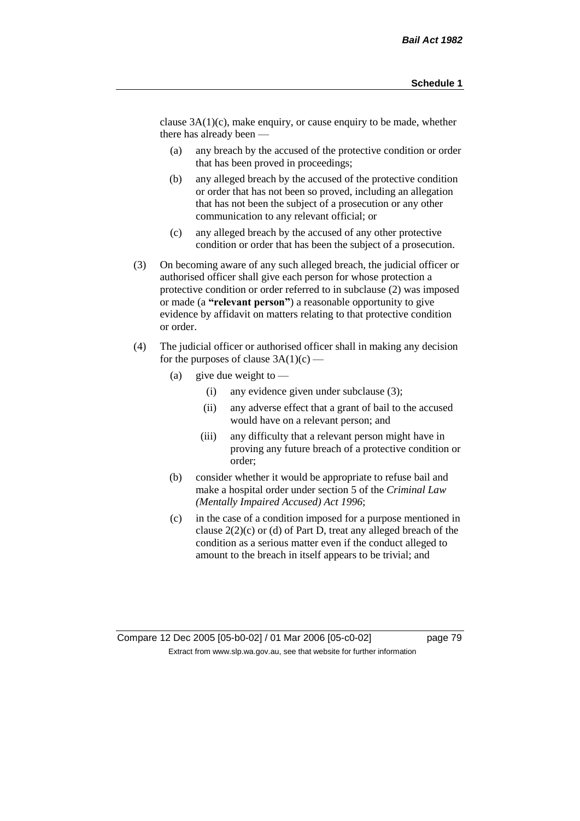clause 3A(1)(c), make enquiry, or cause enquiry to be made, whether there has already been —

- (a) any breach by the accused of the protective condition or order that has been proved in proceedings;
- (b) any alleged breach by the accused of the protective condition or order that has not been so proved, including an allegation that has not been the subject of a prosecution or any other communication to any relevant official; or
- (c) any alleged breach by the accused of any other protective condition or order that has been the subject of a prosecution.
- (3) On becoming aware of any such alleged breach, the judicial officer or authorised officer shall give each person for whose protection a protective condition or order referred to in subclause (2) was imposed or made (a **"relevant person"**) a reasonable opportunity to give evidence by affidavit on matters relating to that protective condition or order.
- (4) The judicial officer or authorised officer shall in making any decision for the purposes of clause  $3A(1)(c)$  —
	- (a) give due weight to  $-$ 
		- (i) any evidence given under subclause (3);
		- (ii) any adverse effect that a grant of bail to the accused would have on a relevant person; and
		- (iii) any difficulty that a relevant person might have in proving any future breach of a protective condition or order;
	- (b) consider whether it would be appropriate to refuse bail and make a hospital order under section 5 of the *Criminal Law (Mentally Impaired Accused) Act 1996*;
	- (c) in the case of a condition imposed for a purpose mentioned in clause 2(2)(c) or (d) of Part D, treat any alleged breach of the condition as a serious matter even if the conduct alleged to amount to the breach in itself appears to be trivial; and

Compare 12 Dec 2005 [05-b0-02] / 01 Mar 2006 [05-c0-02] page 79 Extract from www.slp.wa.gov.au, see that website for further information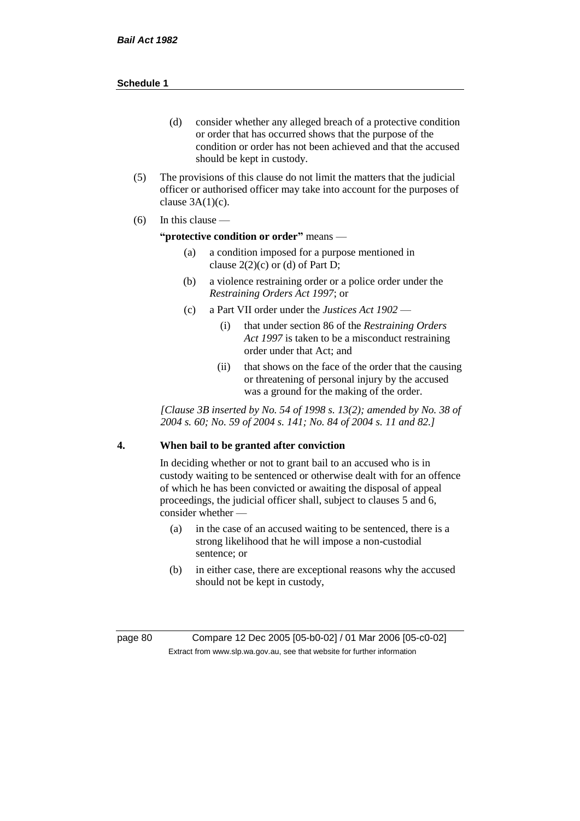- (d) consider whether any alleged breach of a protective condition or order that has occurred shows that the purpose of the condition or order has not been achieved and that the accused should be kept in custody.
- (5) The provisions of this clause do not limit the matters that the judicial officer or authorised officer may take into account for the purposes of clause  $3A(1)(c)$ .
- $(6)$  In this clause —

#### **"protective condition or order"** means —

- (a) a condition imposed for a purpose mentioned in clause  $2(2)(c)$  or (d) of Part D;
- (b) a violence restraining order or a police order under the *Restraining Orders Act 1997*; or
- (c) a Part VII order under the *Justices Act 1902*
	- (i) that under section 86 of the *Restraining Orders Act 1997* is taken to be a misconduct restraining order under that Act; and
	- (ii) that shows on the face of the order that the causing or threatening of personal injury by the accused was a ground for the making of the order.

*[Clause 3B inserted by No. 54 of 1998 s. 13(2); amended by No. 38 of 2004 s. 60; No. 59 of 2004 s. 141; No. 84 of 2004 s. 11 and 82.]*

# **4. When bail to be granted after conviction**

In deciding whether or not to grant bail to an accused who is in custody waiting to be sentenced or otherwise dealt with for an offence of which he has been convicted or awaiting the disposal of appeal proceedings, the judicial officer shall, subject to clauses 5 and 6, consider whether -

- (a) in the case of an accused waiting to be sentenced, there is a strong likelihood that he will impose a non-custodial sentence; or
- (b) in either case, there are exceptional reasons why the accused should not be kept in custody,

page 80 Compare 12 Dec 2005 [05-b0-02] / 01 Mar 2006 [05-c0-02] Extract from www.slp.wa.gov.au, see that website for further information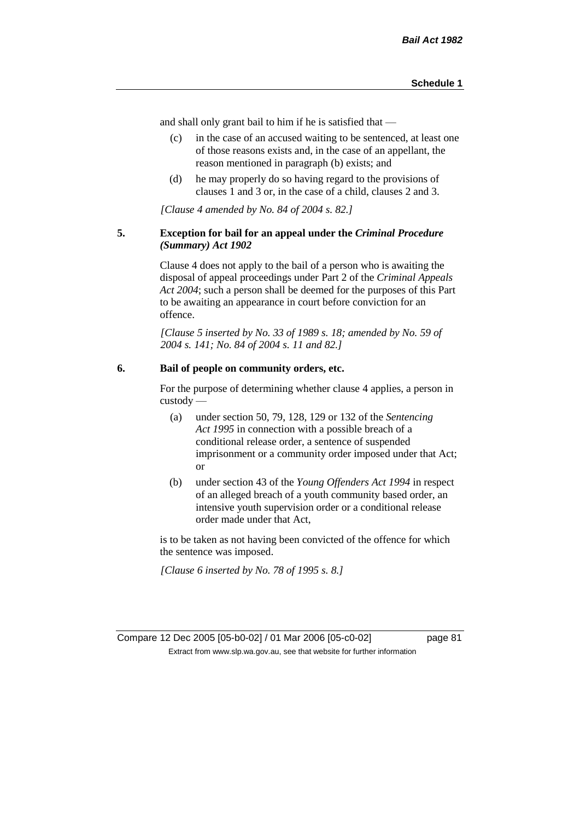and shall only grant bail to him if he is satisfied that —

- (c) in the case of an accused waiting to be sentenced, at least one of those reasons exists and, in the case of an appellant, the reason mentioned in paragraph (b) exists; and
- (d) he may properly do so having regard to the provisions of clauses 1 and 3 or, in the case of a child, clauses 2 and 3.

*[Clause 4 amended by No. 84 of 2004 s. 82.]*

#### **5. Exception for bail for an appeal under the** *Criminal Procedure (Summary) Act 1902*

Clause 4 does not apply to the bail of a person who is awaiting the disposal of appeal proceedings under Part 2 of the *Criminal Appeals Act 2004*; such a person shall be deemed for the purposes of this Part to be awaiting an appearance in court before conviction for an offence.

*[Clause 5 inserted by No. 33 of 1989 s. 18; amended by No. 59 of 2004 s. 141; No. 84 of 2004 s. 11 and 82.]*

# **6. Bail of people on community orders, etc.**

For the purpose of determining whether clause 4 applies, a person in custody —

- (a) under section 50, 79, 128, 129 or 132 of the *Sentencing Act 1995* in connection with a possible breach of a conditional release order, a sentence of suspended imprisonment or a community order imposed under that Act; or
- (b) under section 43 of the *Young Offenders Act 1994* in respect of an alleged breach of a youth community based order, an intensive youth supervision order or a conditional release order made under that Act,

is to be taken as not having been convicted of the offence for which the sentence was imposed.

*[Clause 6 inserted by No. 78 of 1995 s. 8.]*

Compare 12 Dec 2005 [05-b0-02] / 01 Mar 2006 [05-c0-02] page 81 Extract from www.slp.wa.gov.au, see that website for further information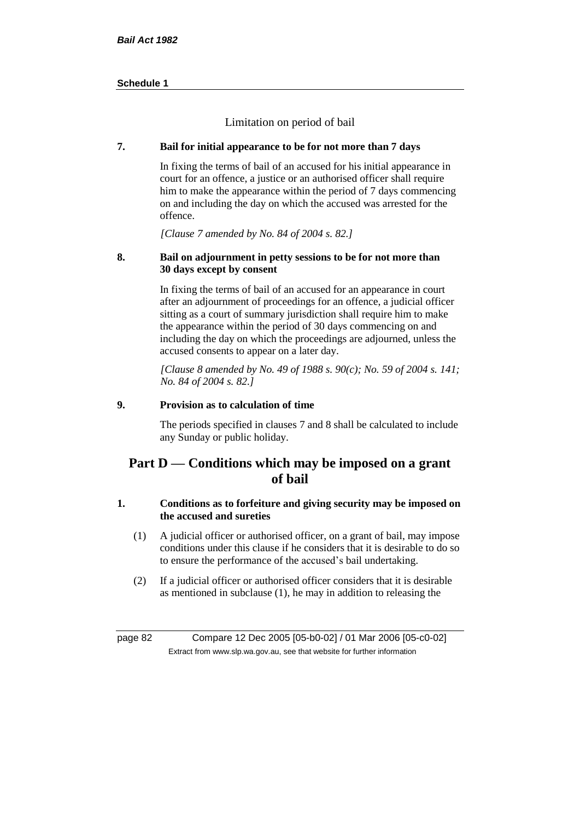Limitation on period of bail

# **7. Bail for initial appearance to be for not more than 7 days**

In fixing the terms of bail of an accused for his initial appearance in court for an offence, a justice or an authorised officer shall require him to make the appearance within the period of 7 days commencing on and including the day on which the accused was arrested for the offence.

*[Clause 7 amended by No. 84 of 2004 s. 82.]*

# **8. Bail on adjournment in petty sessions to be for not more than 30 days except by consent**

In fixing the terms of bail of an accused for an appearance in court after an adjournment of proceedings for an offence, a judicial officer sitting as a court of summary jurisdiction shall require him to make the appearance within the period of 30 days commencing on and including the day on which the proceedings are adjourned, unless the accused consents to appear on a later day.

*[Clause 8 amended by No. 49 of 1988 s. 90(c); No. 59 of 2004 s. 141; No. 84 of 2004 s. 82.]*

# **9. Provision as to calculation of time**

The periods specified in clauses 7 and 8 shall be calculated to include any Sunday or public holiday.

# **Part D — Conditions which may be imposed on a grant of bail**

# **1. Conditions as to forfeiture and giving security may be imposed on the accused and sureties**

- (1) A judicial officer or authorised officer, on a grant of bail, may impose conditions under this clause if he considers that it is desirable to do so to ensure the performance of the accused's bail undertaking.
- (2) If a judicial officer or authorised officer considers that it is desirable as mentioned in subclause (1), he may in addition to releasing the

page 82 Compare 12 Dec 2005 [05-b0-02] / 01 Mar 2006 [05-c0-02] Extract from www.slp.wa.gov.au, see that website for further information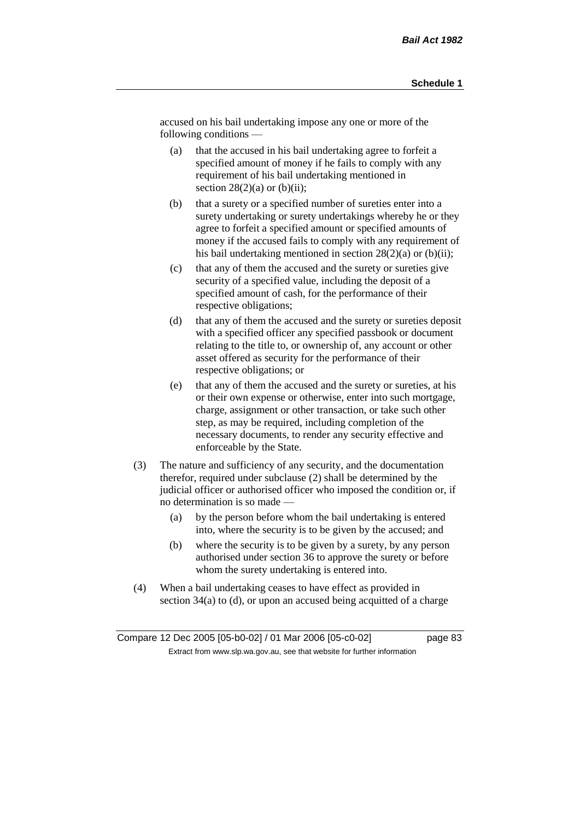accused on his bail undertaking impose any one or more of the following conditions —

- (a) that the accused in his bail undertaking agree to forfeit a specified amount of money if he fails to comply with any requirement of his bail undertaking mentioned in section  $28(2)(a)$  or  $(b)(ii)$ ;
- (b) that a surety or a specified number of sureties enter into a surety undertaking or surety undertakings whereby he or they agree to forfeit a specified amount or specified amounts of money if the accused fails to comply with any requirement of his bail undertaking mentioned in section  $28(2)(a)$  or (b)(ii);
- (c) that any of them the accused and the surety or sureties give security of a specified value, including the deposit of a specified amount of cash, for the performance of their respective obligations;
- (d) that any of them the accused and the surety or sureties deposit with a specified officer any specified passbook or document relating to the title to, or ownership of, any account or other asset offered as security for the performance of their respective obligations; or
- (e) that any of them the accused and the surety or sureties, at his or their own expense or otherwise, enter into such mortgage, charge, assignment or other transaction, or take such other step, as may be required, including completion of the necessary documents, to render any security effective and enforceable by the State.
- (3) The nature and sufficiency of any security, and the documentation therefor, required under subclause (2) shall be determined by the judicial officer or authorised officer who imposed the condition or, if no determination is so made —
	- (a) by the person before whom the bail undertaking is entered into, where the security is to be given by the accused; and
	- (b) where the security is to be given by a surety, by any person authorised under section 36 to approve the surety or before whom the surety undertaking is entered into.
- (4) When a bail undertaking ceases to have effect as provided in section 34(a) to (d), or upon an accused being acquitted of a charge

Compare 12 Dec 2005 [05-b0-02] / 01 Mar 2006 [05-c0-02] page 83 Extract from www.slp.wa.gov.au, see that website for further information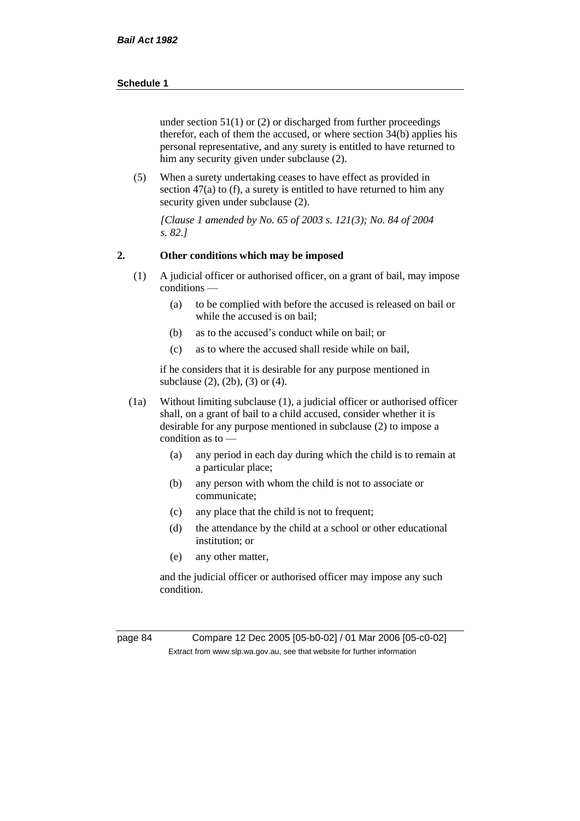under section  $51(1)$  or (2) or discharged from further proceedings therefor, each of them the accused, or where section 34(b) applies his personal representative, and any surety is entitled to have returned to him any security given under subclause (2).

(5) When a surety undertaking ceases to have effect as provided in section 47(a) to (f), a surety is entitled to have returned to him any security given under subclause (2).

*[Clause 1 amended by No. 65 of 2003 s. 121(3); No. 84 of 2004 s. 82.]*

# **2. Other conditions which may be imposed**

- (1) A judicial officer or authorised officer, on a grant of bail, may impose conditions —
	- (a) to be complied with before the accused is released on bail or while the accused is on bail;
	- (b) as to the accused's conduct while on bail; or
	- (c) as to where the accused shall reside while on bail,

if he considers that it is desirable for any purpose mentioned in subclause (2), (2b), (3) or (4).

- (1a) Without limiting subclause (1), a judicial officer or authorised officer shall, on a grant of bail to a child accused, consider whether it is desirable for any purpose mentioned in subclause (2) to impose a condition as to —
	- (a) any period in each day during which the child is to remain at a particular place;
	- (b) any person with whom the child is not to associate or communicate;
	- (c) any place that the child is not to frequent;
	- (d) the attendance by the child at a school or other educational institution; or
	- (e) any other matter,

and the judicial officer or authorised officer may impose any such condition.

page 84 Compare 12 Dec 2005 [05-b0-02] / 01 Mar 2006 [05-c0-02] Extract from www.slp.wa.gov.au, see that website for further information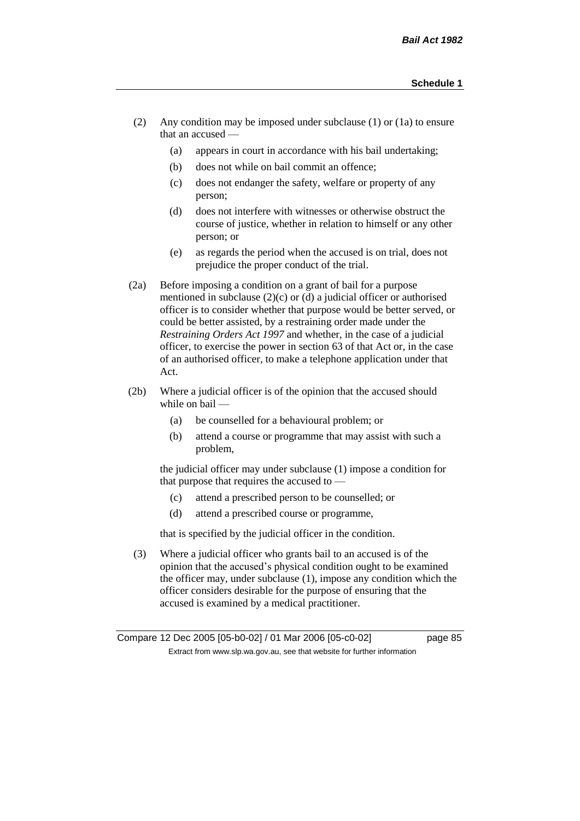- (2) Any condition may be imposed under subclause (1) or (1a) to ensure that an accused —
	- (a) appears in court in accordance with his bail undertaking;
	- (b) does not while on bail commit an offence;
	- (c) does not endanger the safety, welfare or property of any person;
	- (d) does not interfere with witnesses or otherwise obstruct the course of justice, whether in relation to himself or any other person; or
	- (e) as regards the period when the accused is on trial, does not prejudice the proper conduct of the trial.
- (2a) Before imposing a condition on a grant of bail for a purpose mentioned in subclause (2)(c) or (d) a judicial officer or authorised officer is to consider whether that purpose would be better served, or could be better assisted, by a restraining order made under the *Restraining Orders Act 1997* and whether, in the case of a judicial officer, to exercise the power in section 63 of that Act or, in the case of an authorised officer, to make a telephone application under that Act.
- (2b) Where a judicial officer is of the opinion that the accused should while on bail -
	- (a) be counselled for a behavioural problem; or
	- (b) attend a course or programme that may assist with such a problem,

the judicial officer may under subclause (1) impose a condition for that purpose that requires the accused to —

- (c) attend a prescribed person to be counselled; or
- (d) attend a prescribed course or programme,

that is specified by the judicial officer in the condition.

(3) Where a judicial officer who grants bail to an accused is of the opinion that the accused's physical condition ought to be examined the officer may, under subclause (1), impose any condition which the officer considers desirable for the purpose of ensuring that the accused is examined by a medical practitioner.

Compare 12 Dec 2005 [05-b0-02] / 01 Mar 2006 [05-c0-02] page 85 Extract from www.slp.wa.gov.au, see that website for further information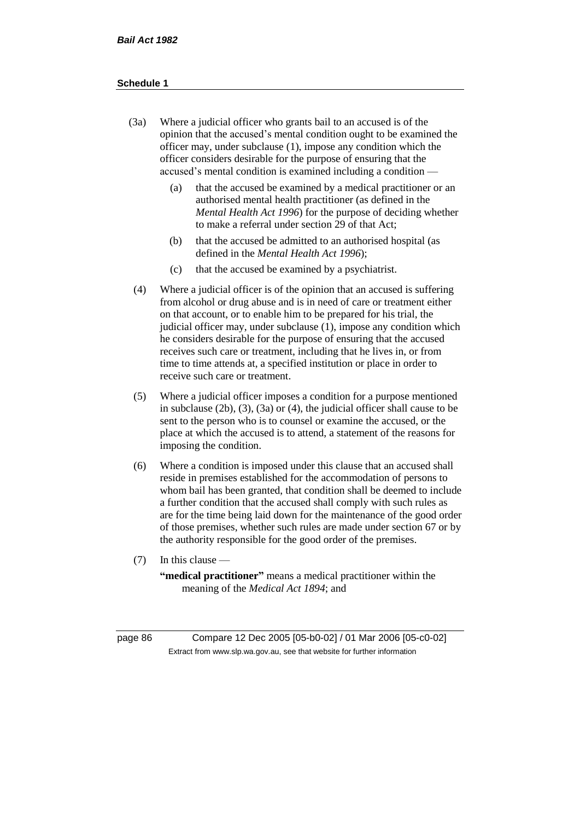- (3a) Where a judicial officer who grants bail to an accused is of the opinion that the accused's mental condition ought to be examined the officer may, under subclause (1), impose any condition which the officer considers desirable for the purpose of ensuring that the accused's mental condition is examined including a condition —
	- (a) that the accused be examined by a medical practitioner or an authorised mental health practitioner (as defined in the *Mental Health Act 1996*) for the purpose of deciding whether to make a referral under section 29 of that Act;
	- (b) that the accused be admitted to an authorised hospital (as defined in the *Mental Health Act 1996*);
	- (c) that the accused be examined by a psychiatrist.
- (4) Where a judicial officer is of the opinion that an accused is suffering from alcohol or drug abuse and is in need of care or treatment either on that account, or to enable him to be prepared for his trial, the judicial officer may, under subclause (1), impose any condition which he considers desirable for the purpose of ensuring that the accused receives such care or treatment, including that he lives in, or from time to time attends at, a specified institution or place in order to receive such care or treatment.
- (5) Where a judicial officer imposes a condition for a purpose mentioned in subclause (2b), (3), (3a) or (4), the judicial officer shall cause to be sent to the person who is to counsel or examine the accused, or the place at which the accused is to attend, a statement of the reasons for imposing the condition.
- (6) Where a condition is imposed under this clause that an accused shall reside in premises established for the accommodation of persons to whom bail has been granted, that condition shall be deemed to include a further condition that the accused shall comply with such rules as are for the time being laid down for the maintenance of the good order of those premises, whether such rules are made under section 67 or by the authority responsible for the good order of the premises.
- (7) In this clause —

**"medical practitioner"** means a medical practitioner within the meaning of the *Medical Act 1894*; and

page 86 Compare 12 Dec 2005 [05-b0-02] / 01 Mar 2006 [05-c0-02] Extract from www.slp.wa.gov.au, see that website for further information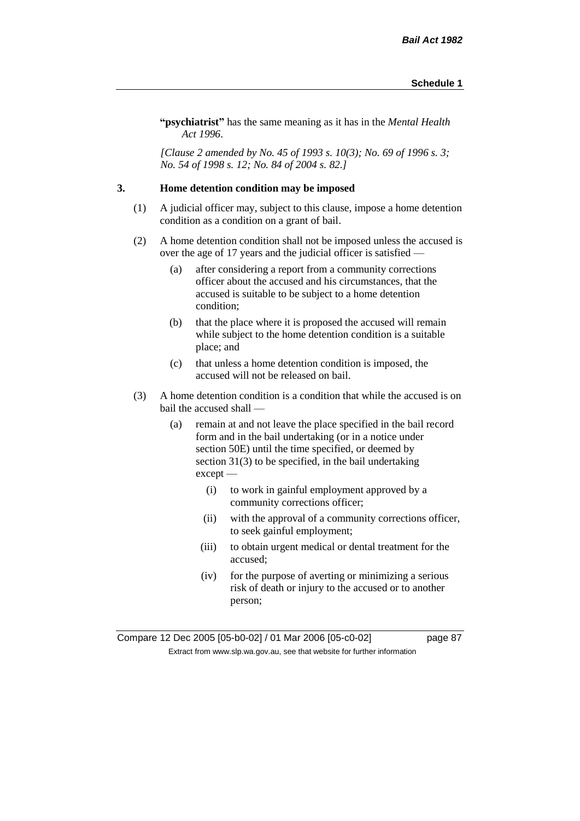**"psychiatrist"** has the same meaning as it has in the *Mental Health Act 1996*.

*[Clause 2 amended by No. 45 of 1993 s. 10(3); No. 69 of 1996 s. 3; No. 54 of 1998 s. 12; No. 84 of 2004 s. 82.]*

## **3. Home detention condition may be imposed**

- (1) A judicial officer may, subject to this clause, impose a home detention condition as a condition on a grant of bail.
- (2) A home detention condition shall not be imposed unless the accused is over the age of 17 years and the judicial officer is satisfied —
	- (a) after considering a report from a community corrections officer about the accused and his circumstances, that the accused is suitable to be subject to a home detention condition;
	- (b) that the place where it is proposed the accused will remain while subject to the home detention condition is a suitable place; and
	- (c) that unless a home detention condition is imposed, the accused will not be released on bail.
- (3) A home detention condition is a condition that while the accused is on bail the accused shall —
	- (a) remain at and not leave the place specified in the bail record form and in the bail undertaking (or in a notice under section 50E) until the time specified, or deemed by section 31(3) to be specified, in the bail undertaking except —
		- (i) to work in gainful employment approved by a community corrections officer;
		- (ii) with the approval of a community corrections officer, to seek gainful employment;
		- (iii) to obtain urgent medical or dental treatment for the accused;
		- (iv) for the purpose of averting or minimizing a serious risk of death or injury to the accused or to another person;

Compare 12 Dec 2005 [05-b0-02] / 01 Mar 2006 [05-c0-02] page 87 Extract from www.slp.wa.gov.au, see that website for further information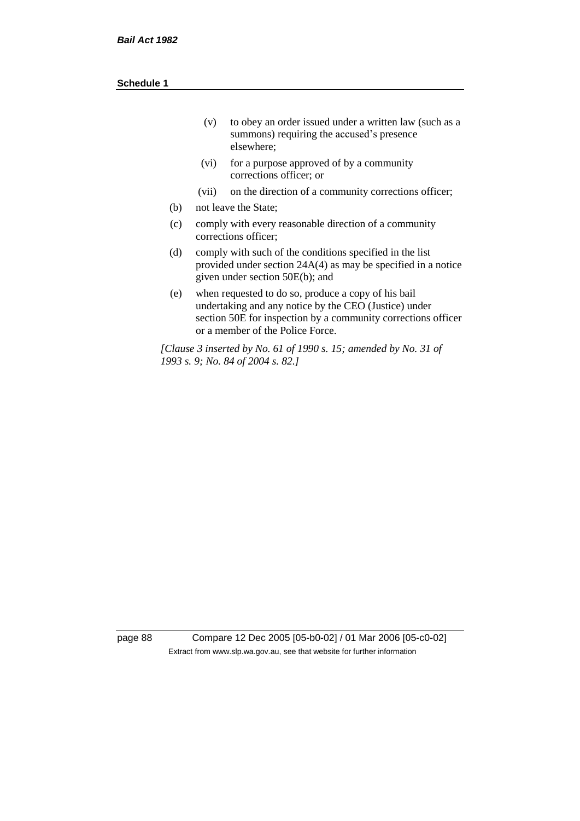| (v) | to obey an order issued under a written law (such as a |
|-----|--------------------------------------------------------|
|     | summons) requiring the accused's presence              |
|     | elsewhere:                                             |

- (vi) for a purpose approved of by a community corrections officer; or
- (vii) on the direction of a community corrections officer;
- (b) not leave the State;
- (c) comply with every reasonable direction of a community corrections officer;
- (d) comply with such of the conditions specified in the list provided under section 24A(4) as may be specified in a notice given under section 50E(b); and
- (e) when requested to do so, produce a copy of his bail undertaking and any notice by the CEO (Justice) under section 50E for inspection by a community corrections officer or a member of the Police Force.

*[Clause 3 inserted by No. 61 of 1990 s. 15; amended by No. 31 of 1993 s. 9; No. 84 of 2004 s. 82.]*

page 88 Compare 12 Dec 2005 [05-b0-02] / 01 Mar 2006 [05-c0-02] Extract from www.slp.wa.gov.au, see that website for further information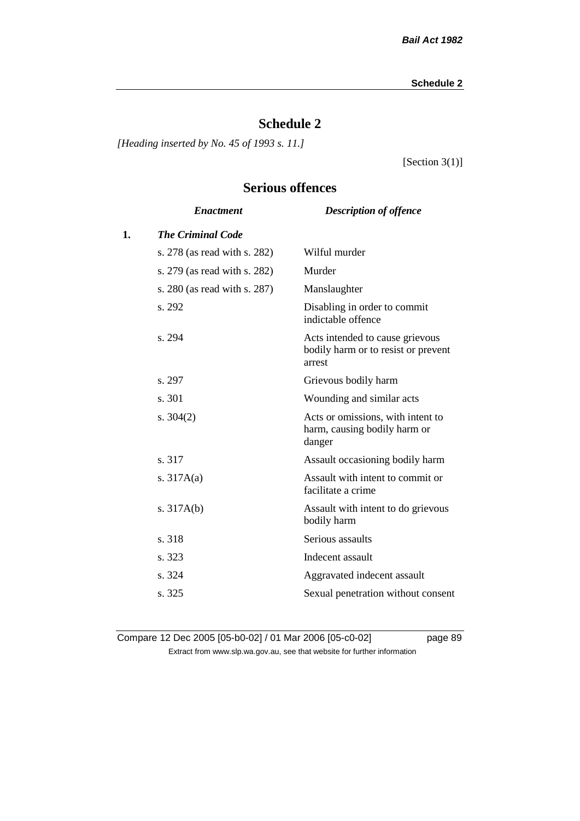# **Schedule 2**

*[Heading inserted by No. 45 of 1993 s. 11.]*

[Section 3(1)]

# **Serious offences**

|    | <b>Enactment</b>             | <b>Description of offence</b>                                                    |
|----|------------------------------|----------------------------------------------------------------------------------|
| 1. | <b>The Criminal Code</b>     |                                                                                  |
|    | s. 278 (as read with s. 282) | Wilful murder                                                                    |
|    | s. 279 (as read with s. 282) | Murder                                                                           |
|    | s. 280 (as read with s. 287) | Manslaughter                                                                     |
|    | s. 292                       | Disabling in order to commit<br>indictable offence                               |
|    | s. 294                       | Acts intended to cause grievous<br>bodily harm or to resist or prevent<br>arrest |
|    | s. 297                       | Grievous bodily harm                                                             |
|    | s. 301                       | Wounding and similar acts                                                        |
|    | s. $304(2)$                  | Acts or omissions, with intent to<br>harm, causing bodily harm or<br>danger      |
|    | s. 317                       | Assault occasioning bodily harm                                                  |
|    | s. $317A(a)$                 | Assault with intent to commit or<br>facilitate a crime                           |
|    | s. $317A(b)$                 | Assault with intent to do grievous<br>bodily harm                                |
|    | s. 318                       | Serious assaults                                                                 |
|    | s. 323                       | Indecent assault                                                                 |
|    | s. 324                       | Aggravated indecent assault                                                      |
|    | s. 325                       | Sexual penetration without consent                                               |
|    |                              |                                                                                  |

Compare 12 Dec 2005 [05-b0-02] / 01 Mar 2006 [05-c0-02] page 89 Extract from www.slp.wa.gov.au, see that website for further information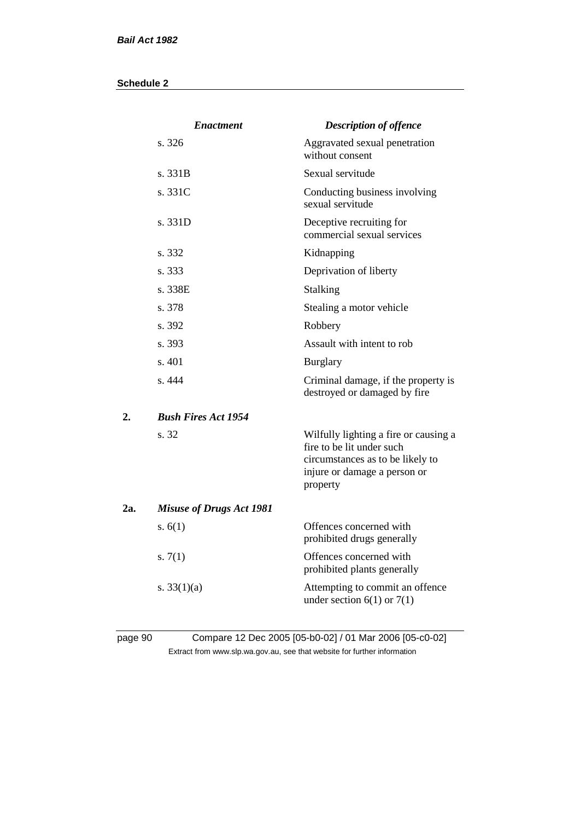|     | <b>Enactment</b>                | <b>Description of offence</b>                                                                                                                      |
|-----|---------------------------------|----------------------------------------------------------------------------------------------------------------------------------------------------|
|     | s. 326                          | Aggravated sexual penetration<br>without consent                                                                                                   |
|     | s.331B                          | Sexual servitude                                                                                                                                   |
|     | s. 331C                         | Conducting business involving<br>sexual servitude                                                                                                  |
|     | s. 331D                         | Deceptive recruiting for<br>commercial sexual services                                                                                             |
|     | s. 332                          | Kidnapping                                                                                                                                         |
|     | s. 333                          | Deprivation of liberty                                                                                                                             |
|     | s. 338E                         | Stalking                                                                                                                                           |
|     | s. 378                          | Stealing a motor vehicle                                                                                                                           |
|     | s. 392                          | Robbery                                                                                                                                            |
|     | s. 393                          | Assault with intent to rob                                                                                                                         |
|     | s. 401                          | <b>Burglary</b>                                                                                                                                    |
|     | s. 444                          | Criminal damage, if the property is<br>destroyed or damaged by fire                                                                                |
| 2.  | <b>Bush Fires Act 1954</b>      |                                                                                                                                                    |
|     | s. 32                           | Wilfully lighting a fire or causing a<br>fire to be lit under such<br>circumstances as to be likely to<br>injure or damage a person or<br>property |
| 2a. | <b>Misuse of Drugs Act 1981</b> |                                                                                                                                                    |
|     | s. $6(1)$                       | Offences concerned with<br>prohibited drugs generally                                                                                              |
|     | s. $7(1)$                       | Offences concerned with<br>prohibited plants generally                                                                                             |
|     | s. $33(1)(a)$                   | Attempting to commit an offence<br>under section $6(1)$ or $7(1)$                                                                                  |
|     |                                 |                                                                                                                                                    |

# page 90 Compare 12 Dec 2005 [05-b0-02] / 01 Mar 2006 [05-c0-02] Extract from www.slp.wa.gov.au, see that website for further information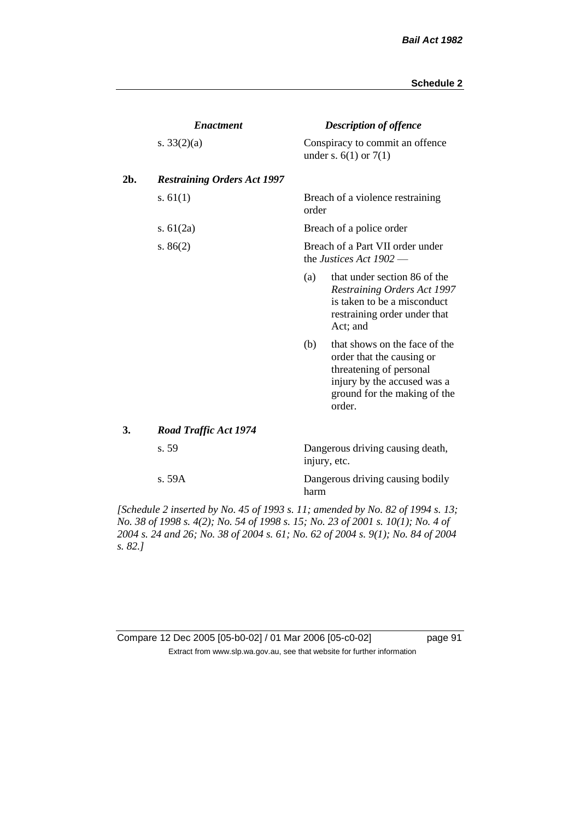page 91

|     | <b>Enactment</b>                   |                                                               | <b>Description of offence</b>                                                                                                                                  |  |  |
|-----|------------------------------------|---------------------------------------------------------------|----------------------------------------------------------------------------------------------------------------------------------------------------------------|--|--|
|     | s. $33(2)(a)$                      |                                                               | Conspiracy to commit an offence<br>under s. $6(1)$ or $7(1)$                                                                                                   |  |  |
| 2b. | <b>Restraining Orders Act 1997</b> |                                                               |                                                                                                                                                                |  |  |
|     | s. $61(1)$                         | order                                                         | Breach of a violence restraining                                                                                                                               |  |  |
|     | s. $61(2a)$                        |                                                               | Breach of a police order                                                                                                                                       |  |  |
|     | s. $86(2)$                         | Breach of a Part VII order under<br>the Justices Act $1902$ — |                                                                                                                                                                |  |  |
|     |                                    | (a)                                                           | that under section 86 of the<br>Restraining Orders Act 1997<br>is taken to be a misconduct<br>restraining order under that<br>Act; and                         |  |  |
|     |                                    | (b)                                                           | that shows on the face of the<br>order that the causing or<br>threatening of personal<br>injury by the accused was a<br>ground for the making of the<br>order. |  |  |
| 3.  | <b>Road Traffic Act 1974</b>       |                                                               |                                                                                                                                                                |  |  |
|     | s. 59                              |                                                               | Dangerous driving causing death,<br>injury, etc.                                                                                                               |  |  |
|     | s. 59A                             | harm                                                          | Dangerous driving causing bodily                                                                                                                               |  |  |

*[Schedule 2 inserted by No. 45 of 1993 s. 11; amended by No. 82 of 1994 s. 13; No. 38 of 1998 s. 4(2); No. 54 of 1998 s. 15; No. 23 of 2001 s. 10(1); No. 4 of 2004 s. 24 and 26; No. 38 of 2004 s. 61; No. 62 of 2004 s. 9(1); No. 84 of 2004 s. 82.]* 

| Compare 12 Dec 2005 [05-b0-02] / 01 Mar 2006 [05-c0-02]                  |
|--------------------------------------------------------------------------|
| Extract from www.slp.wa.gov.au, see that website for further information |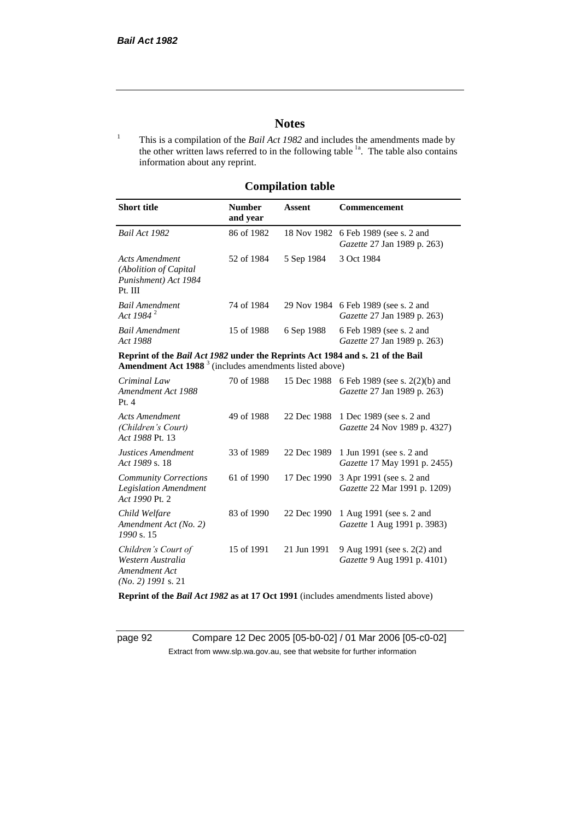# **Notes**

<sup>1</sup> This is a compilation of the *Bail Act 1982* and includes the amendments made by the other written laws referred to in the following table <sup>1a</sup>. The table also contains information about any reprint.

# **Compilation table**

| <b>Number</b><br>and year | Assent     | <b>Commencement</b>                                                        |
|---------------------------|------------|----------------------------------------------------------------------------|
| 86 of 1982                |            | 18 Nov 1982 6 Feb 1989 (see s. 2 and<br><i>Gazette</i> 27 Jan 1989 p. 263) |
| 52 of 1984                | 5 Sep 1984 | 3 Oct 1984                                                                 |
| 74 of 1984                |            | 29 Nov 1984 6 Feb 1989 (see s. 2 and<br><i>Gazette</i> 27 Jan 1989 p. 263) |
| 15 of 1988                | 6 Sep 1988 | 6 Feb 1989 (see s. 2 and<br><i>Gazette</i> 27 Jan 1989 p. 263)             |
|                           |            |                                                                            |

**Reprint of the** *Bail Act 1982* **under the Reprints Act 1984 and s. 21 of the Bail Amendment Act 1988** <sup>3</sup> (includes amendments listed above)

| Criminal Law<br>Amendment Act 1988<br>Pt.4                                        | 70 of 1988 | 15 Dec 1988 | 6 Feb 1989 (see s. 2(2)(b) and<br><i>Gazette</i> 27 Jan 1989 p. 263) |
|-----------------------------------------------------------------------------------|------------|-------------|----------------------------------------------------------------------|
| <b>Acts Amendment</b><br>(Children's Court)<br>Act 1988 Pt. 13                    | 49 of 1988 | 22 Dec 1988 | 1 Dec 1989 (see s. 2 and<br><i>Gazette</i> 24 Nov 1989 p. 4327)      |
| Justices Amendment<br>Act 1989 s. 18                                              | 33 of 1989 | 22 Dec 1989 | 1 Jun 1991 (see s. 2 and<br><i>Gazette</i> 17 May 1991 p. 2455)      |
| <b>Community Corrections</b><br><b>Legislation Amendment</b><br>Act 1990 Pt. 2    | 61 of 1990 | 17 Dec 1990 | 3 Apr 1991 (see s. 2 and<br><i>Gazette</i> 22 Mar 1991 p. 1209)      |
| Child Welfare<br>Amendment Act (No. 2)<br>1990 s. 15                              | 83 of 1990 | 22 Dec 1990 | 1 Aug 1991 (see s. 2 and<br><i>Gazette</i> 1 Aug 1991 p. 3983)       |
| Children's Court of<br>Western Australia<br>Amendment Act<br>$(No. 2)$ 1991 s. 21 | 15 of 1991 | 21 Jun 1991 | 9 Aug 1991 (see s. 2(2) and<br><i>Gazette</i> 9 Aug 1991 p. 4101)    |

**Reprint of the** *Bail Act 1982* **as at 17 Oct 1991** (includes amendments listed above)

page 92 Compare 12 Dec 2005 [05-b0-02] / 01 Mar 2006 [05-c0-02] Extract from www.slp.wa.gov.au, see that website for further information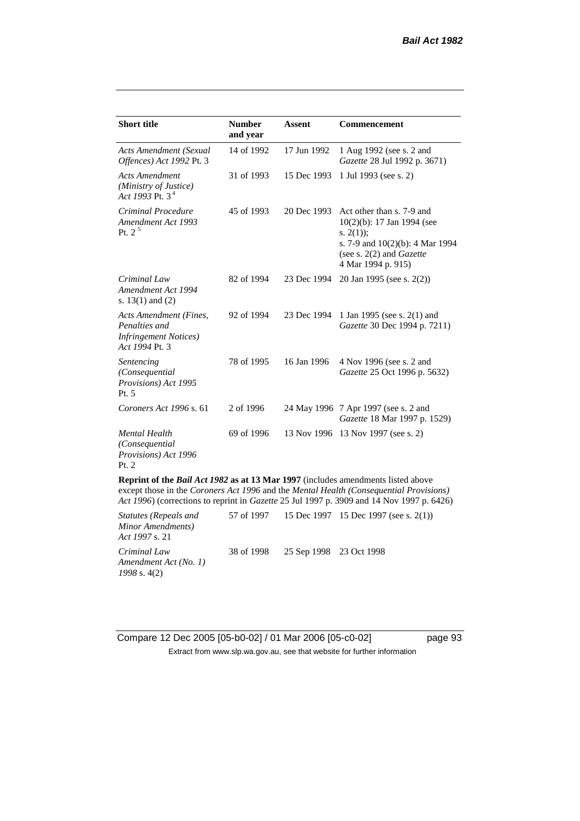| <b>Short title</b>                                                                                                                                                                                                                                                                    | <b>Number</b><br>and year | <b>Assent</b> | <b>Commencement</b>                                                                                                                                                     |  |
|---------------------------------------------------------------------------------------------------------------------------------------------------------------------------------------------------------------------------------------------------------------------------------------|---------------------------|---------------|-------------------------------------------------------------------------------------------------------------------------------------------------------------------------|--|
| <b>Acts Amendment (Sexual</b><br>Offences) Act 1992 Pt. 3                                                                                                                                                                                                                             | 14 of 1992                | 17 Jun 1992   | 1 Aug 1992 (see s. 2 and<br>Gazette 28 Jul 1992 p. 3671)                                                                                                                |  |
| <b>Acts Amendment</b><br>(Ministry of Justice)<br>Act 1993 Pt. $3^4$                                                                                                                                                                                                                  | 31 of 1993                | 15 Dec 1993   | 1 Jul 1993 (see s. 2)                                                                                                                                                   |  |
| Criminal Procedure<br>Amendment Act 1993<br>Pt. $2^5$                                                                                                                                                                                                                                 | 45 of 1993                | 20 Dec 1993   | Act other than s. 7-9 and<br>$10(2)(b)$ : 17 Jan 1994 (see<br>s. $2(1)$ ;<br>s. 7-9 and 10(2)(b): 4 Mar 1994<br>(see s. $2(2)$ and <i>Gazette</i><br>4 Mar 1994 p. 915) |  |
| Criminal Law<br>Amendment Act 1994<br>s. $13(1)$ and $(2)$                                                                                                                                                                                                                            | 82 of 1994                | 23 Dec 1994   | 20 Jan 1995 (see s. 2(2))                                                                                                                                               |  |
| Acts Amendment (Fines,<br>Penalties and<br><b>Infringement Notices</b> )<br>Act 1994 Pt. 3                                                                                                                                                                                            | 92 of 1994                | 23 Dec 1994   | 1 Jan 1995 (see s. 2(1) and<br>Gazette 30 Dec 1994 p. 7211)                                                                                                             |  |
| Sentencing<br>(Consequential<br>Provisions) Act 1995<br>Pt. 5                                                                                                                                                                                                                         | 78 of 1995                | 16 Jan 1996   | 4 Nov 1996 (see s. 2 and<br>Gazette 25 Oct 1996 p. 5632)                                                                                                                |  |
| Coroners Act 1996 s. 61                                                                                                                                                                                                                                                               | 2 of 1996                 |               | 24 May 1996 7 Apr 1997 (see s. 2 and<br>Gazette 18 Mar 1997 p. 1529)                                                                                                    |  |
| <b>Mental Health</b><br>(Consequential<br>Provisions) Act 1996<br>Pt. 2                                                                                                                                                                                                               | 69 of 1996                |               | 13 Nov 1996 13 Nov 1997 (see s. 2)                                                                                                                                      |  |
| <b>Reprint of the Bail Act 1982 as at 13 Mar 1997</b> (includes amendments listed above<br>except those in the Coroners Act 1996 and the Mental Health (Consequential Provisions)<br>Act 1996) (corrections to reprint in <i>Gazette</i> 25 Jul 1997 p. 3909 and 14 Nov 1997 p. 6426) |                           |               |                                                                                                                                                                         |  |

| Statutes (Repeals and<br>Minor Amendments)<br><i>Act 1997 s. 21</i> |            |                         | 57 of 1997 15 Dec 1997 15 Dec 1997 (see s. 2(1)) |
|---------------------------------------------------------------------|------------|-------------------------|--------------------------------------------------|
| Criminal Law<br>Amendment Act (No. 1)<br>$1998$ s. 4(2)             | 38 of 1998 | 25 Sep 1998 23 Oct 1998 |                                                  |

Compare 12 Dec 2005 [05-b0-02] / 01 Mar 2006 [05-c0-02] page 93 Extract from www.slp.wa.gov.au, see that website for further information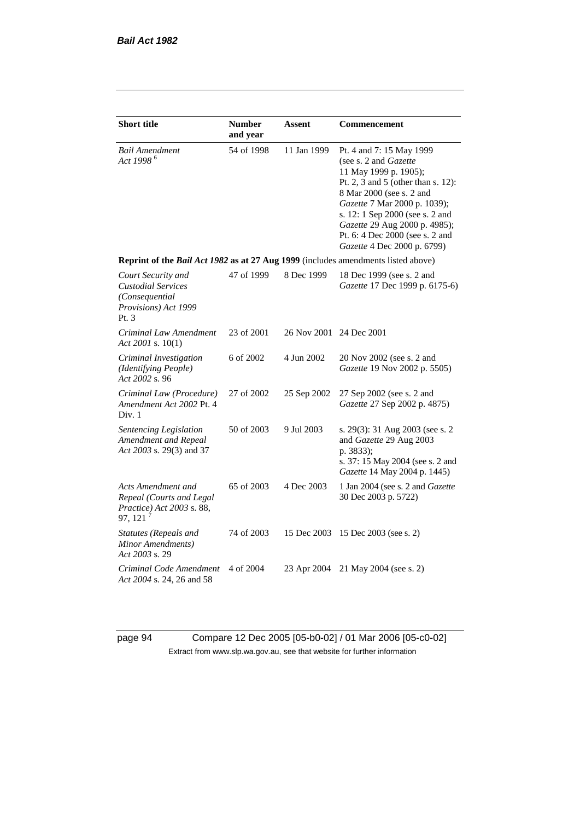| <b>Short title</b>                                                                                | <b>Number</b><br>and year | Assent                  | Commencement                                                                                                                                                                                                                                                                                                       |
|---------------------------------------------------------------------------------------------------|---------------------------|-------------------------|--------------------------------------------------------------------------------------------------------------------------------------------------------------------------------------------------------------------------------------------------------------------------------------------------------------------|
| Bail Amendment<br>Act 1998 <sup>6</sup>                                                           | 54 of 1998                | 11 Jan 1999             | Pt. 4 and 7: 15 May 1999<br>(see s. 2 and Gazette<br>11 May 1999 p. 1905);<br>Pt. 2, 3 and 5 (other than s. 12):<br>8 Mar 2000 (see s. 2 and<br>Gazette 7 Mar 2000 p. 1039);<br>s. 12: 1 Sep 2000 (see s. 2 and<br>Gazette 29 Aug 2000 p. 4985);<br>Pt. 6: 4 Dec 2000 (see s. 2 and<br>Gazette 4 Dec 2000 p. 6799) |
| Reprint of the Bail Act 1982 as at 27 Aug 1999 (includes amendments listed above)                 |                           |                         |                                                                                                                                                                                                                                                                                                                    |
| Court Security and<br><b>Custodial Services</b><br>(Consequential<br>Provisions) Act 1999<br>Pt.3 | 47 of 1999                | 8 Dec 1999              | 18 Dec 1999 (see s. 2 and<br>Gazette 17 Dec 1999 p. 6175-6)                                                                                                                                                                                                                                                        |
| Criminal Law Amendment<br>Act 2001 s. 10(1)                                                       | 23 of 2001                | 26 Nov 2001 24 Dec 2001 |                                                                                                                                                                                                                                                                                                                    |
| Criminal Investigation<br>(Identifying People)<br>Act 2002 s. 96                                  | 6 of 2002                 | 4 Jun 2002              | 20 Nov 2002 (see s. 2 and<br>Gazette 19 Nov 2002 p. 5505)                                                                                                                                                                                                                                                          |
| Criminal Law (Procedure)<br>Amendment Act 2002 Pt. 4<br>Div. 1                                    | 27 of 2002                | 25 Sep 2002             | 27 Sep 2002 (see s. 2 and<br>Gazette 27 Sep 2002 p. 4875)                                                                                                                                                                                                                                                          |
| Sentencing Legislation<br>Amendment and Repeal<br>Act 2003 s. 29(3) and 37                        | 50 of 2003                | 9 Jul 2003              | s. 29(3): 31 Aug 2003 (see s. 2<br>and Gazette 29 Aug 2003<br>p. 3833);<br>s. 37: 15 May 2004 (see s. 2 and<br>Gazette 14 May 2004 p. 1445)                                                                                                                                                                        |
| Acts Amendment and<br>Repeal (Courts and Legal<br>Practice) Act 2003 s. 88,<br>97, 121            | 65 of 2003                | 4 Dec 2003              | 1 Jan 2004 (see s. 2 and Gazette<br>30 Dec 2003 p. 5722)                                                                                                                                                                                                                                                           |
| Statutes (Repeals and<br>Minor Amendments)<br>Act 2003 s. 29                                      | 74 of 2003                | 15 Dec 2003             | 15 Dec 2003 (see s. 2)                                                                                                                                                                                                                                                                                             |
| Criminal Code Amendment<br>Act 2004 s. 24, 26 and 58                                              | 4 of 2004                 | 23 Apr 2004             | 21 May 2004 (see s. 2)                                                                                                                                                                                                                                                                                             |

page 94 Compare 12 Dec 2005 [05-b0-02] / 01 Mar 2006 [05-c0-02] Extract from www.slp.wa.gov.au, see that website for further information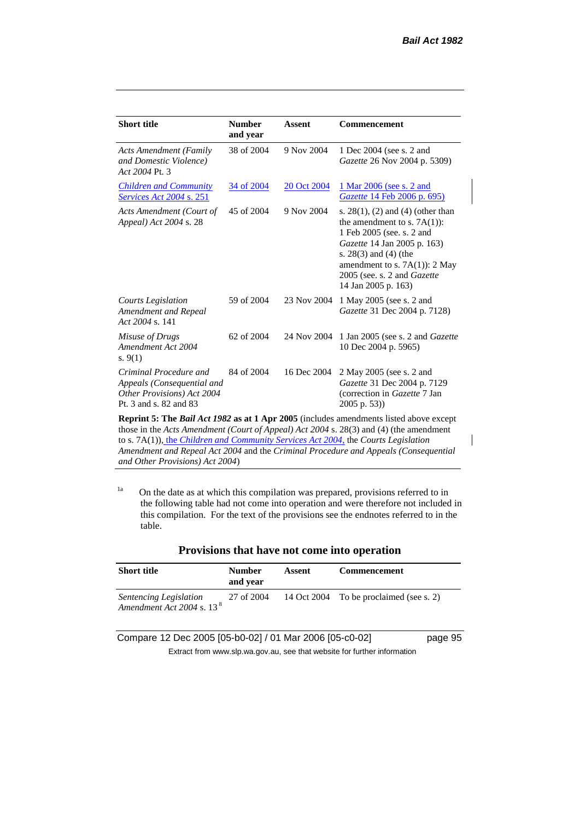| <b>Short title</b>                                                                                           | <b>Number</b><br>and year | Assent      | <b>Commencement</b>                                                                                                                                                                                                                                     |
|--------------------------------------------------------------------------------------------------------------|---------------------------|-------------|---------------------------------------------------------------------------------------------------------------------------------------------------------------------------------------------------------------------------------------------------------|
| <b>Acts Amendment (Family</b><br>and Domestic Violence)<br>Act 2004 Pt. 3                                    | 38 of 2004                | 9 Nov 2004  | 1 Dec 2004 (see s. 2 and<br>Gazette 26 Nov 2004 p. 5309)                                                                                                                                                                                                |
| <b>Children and Community</b><br><i>Services Act 2004 s. 251</i>                                             | 34 of 2004                | 20 Oct 2004 | 1 Mar 2006 (see s. 2 and<br><i><u>Gazette 14 Feb 2006 p. 695)</u></i>                                                                                                                                                                                   |
| Acts Amendment (Court of<br>Appeal) Act 2004 s. 28                                                           | 45 of 2004                | 9 Nov 2004  | s. $28(1)$ , (2) and (4) (other than<br>the amendment to s. $7A(1)$ :<br>1 Feb 2005 (see. s. 2 and<br>Gazette 14 Jan 2005 p. 163)<br>s. $28(3)$ and $(4)$ (the<br>amendment to s. $7A(1)$ : 2 May<br>2005 (see. s. 2 and Gazette<br>14 Jan 2005 p. 163) |
| Courts Legislation<br>Amendment and Repeal<br>Act 2004 s. 141                                                | 59 of 2004                | 23 Nov 2004 | 1 May 2005 (see s. 2 and<br>Gazette 31 Dec 2004 p. 7128)                                                                                                                                                                                                |
| Misuse of Drugs<br>Amendment Act 2004<br>s. $9(1)$                                                           | 62 of 2004                | 24 Nov 2004 | 1 Jan 2005 (see s. 2 and <i>Gazette</i><br>10 Dec 2004 p. 5965)                                                                                                                                                                                         |
| Criminal Procedure and<br>Appeals (Consequential and<br>Other Provisions) Act 2004<br>Pt. 3 and s. 82 and 83 | 84 of 2004                | 16 Dec 2004 | 2 May 2005 (see s. 2 and<br>Gazette 31 Dec 2004 p. 7129<br>(correction in Gazette 7 Jan<br>2005 p. 53))                                                                                                                                                 |

**Reprint 5: The** *Bail Act 1982* **as at 1 Apr 2005** (includes amendments listed above except those in the *Acts Amendment (Court of Appeal) Act 2004* s. 28(3) and (4) (the amendment to s. 7A(1)), the *Children and Community Services Act 2004*, the *Courts Legislation Amendment and Repeal Act 2004* and the *Criminal Procedure and Appeals (Consequential and Other Provisions) Act 2004*)

 $1a$  On the date as at which this compilation was prepared, provisions referred to in the following table had not come into operation and were therefore not included in this compilation. For the text of the provisions see the endnotes referred to in the table.

|             | TTO ADIOID that have not come mto operation |        |                     |  |
|-------------|---------------------------------------------|--------|---------------------|--|
| Short title | <b>Number</b><br>and year                   | Assent | <b>Commencement</b> |  |

| Provisions that have not come into operation |  |  |
|----------------------------------------------|--|--|
|----------------------------------------------|--|--|

| <i>Sentencing Legislation</i><br>Amendment Act 2004 s. 13 <sup>8</sup> | 27 of 2004 | 14 Oct 2004 To be proclaimed (see s. 2) |
|------------------------------------------------------------------------|------------|-----------------------------------------|
|                                                                        |            |                                         |

Compare 12 Dec 2005 [05-b0-02] / 01 Mar 2006 [05-c0-02] page 95

Extract from www.slp.wa.gov.au, see that website for further information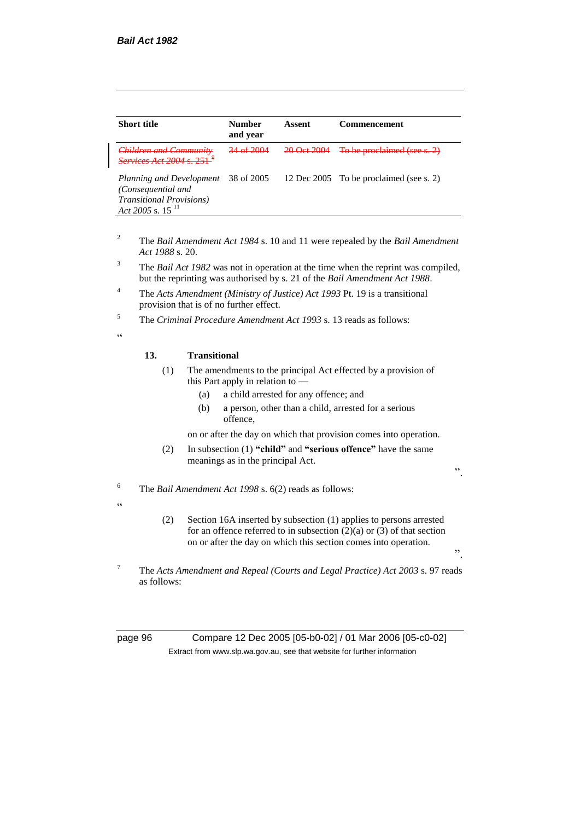| <b>Short title</b>                                                                                                            | <b>Number</b><br>and year | Assent                  | <b>Commencement</b>                     |
|-------------------------------------------------------------------------------------------------------------------------------|---------------------------|-------------------------|-----------------------------------------|
| $Childron$ and $Communit$<br>$S_{\text{amilaga}}$ A at $2004 \times 251$                                                      |                           | $\Omega_{\alpha t}$ and | To be proclaimed (see s. 2)             |
| Planning and Development 38 of 2005<br>(Consequential and<br><b>Transitional Provisions</b> )<br>Act 2005 s. 15 <sup>11</sup> |                           |                         | 12 Dec 2005 To be proclaimed (see s. 2) |

- <sup>2</sup> The *Bail Amendment Act 1984* s. 10 and 11 were repealed by the *Bail Amendment Act 1988* s. 20.
- <sup>3</sup> The *Bail Act 1982* was not in operation at the time when the reprint was compiled, but the reprinting was authorised by s. 21 of the *Bail Amendment Act 1988*.
- <sup>4</sup> The *Acts Amendment (Ministry of Justice) Act 1993* Pt. 19 is a transitional provision that is of no further effect.
- <sup>5</sup> The *Criminal Procedure Amendment Act 1993* s. 13 reads as follows:

 $\epsilon$ 

 $\epsilon$ 

#### **13. Transitional**

- (1) The amendments to the principal Act effected by a provision of this Part apply in relation to -
	- (a) a child arrested for any offence; and
	- (b) a person, other than a child, arrested for a serious offence,

on or after the day on which that provision comes into operation.

(2) In subsection (1) **"child"** and **"serious offence"** have the same meanings as in the principal Act.

".

".

- <sup>6</sup> The *Bail Amendment Act 1998* s. 6(2) reads as follows:
	- (2) Section 16A inserted by subsection (1) applies to persons arrested for an offence referred to in subsection  $(2)(a)$  or  $(3)$  of that section on or after the day on which this section comes into operation.
- <sup>7</sup> The *Acts Amendment and Repeal (Courts and Legal Practice) Act 2003* s. 97 reads as follows:

page 96 Compare 12 Dec 2005 [05-b0-02] / 01 Mar 2006 [05-c0-02] Extract from www.slp.wa.gov.au, see that website for further information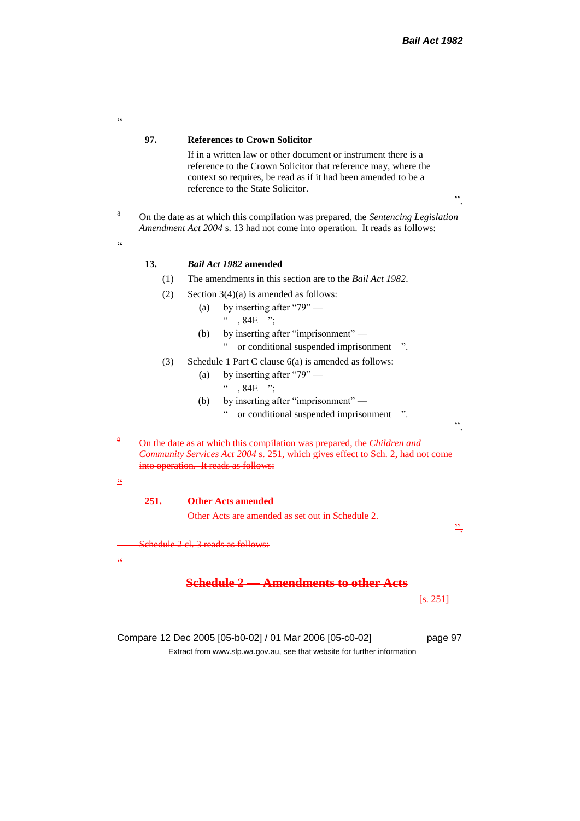| $\epsilon$      |      |                                                                                                                                                                                                                                               |    |  |  |
|-----------------|------|-----------------------------------------------------------------------------------------------------------------------------------------------------------------------------------------------------------------------------------------------|----|--|--|
|                 | 97.  | <b>References to Crown Solicitor</b>                                                                                                                                                                                                          |    |  |  |
|                 |      | If in a written law or other document or instrument there is a<br>reference to the Crown Solicitor that reference may, where the<br>context so requires, be read as if it had been amended to be a<br>reference to the State Solicitor.<br>,, |    |  |  |
| 8<br>$\epsilon$ |      | On the date as at which this compilation was prepared, the Sentencing Legislation<br>Amendment Act 2004 s. 13 had not come into operation. It reads as follows:                                                                               |    |  |  |
|                 | 13.  | Bail Act 1982 amended                                                                                                                                                                                                                         |    |  |  |
|                 | (1)  | The amendments in this section are to the <i>Bail Act 1982</i> .                                                                                                                                                                              |    |  |  |
|                 | (2)  | Section $3(4)(a)$ is amended as follows:                                                                                                                                                                                                      |    |  |  |
|                 |      | by inserting after "79" —<br>(a)                                                                                                                                                                                                              |    |  |  |
|                 |      | $, 84E$ ":                                                                                                                                                                                                                                    |    |  |  |
|                 |      | by inserting after "imprisonment" -<br>(b)                                                                                                                                                                                                    |    |  |  |
|                 |      | or conditional suspended imprisonment                                                                                                                                                                                                         |    |  |  |
|                 | (3)  | Schedule 1 Part C clause 6(a) is amended as follows:<br>by inserting after " $79"$ —                                                                                                                                                          |    |  |  |
|                 |      | (a)<br>$.84E$ ":                                                                                                                                                                                                                              |    |  |  |
|                 |      | by inserting after "imprisonment" —<br>(b)                                                                                                                                                                                                    |    |  |  |
|                 |      | or conditional suspended imprisonment                                                                                                                                                                                                         |    |  |  |
|                 |      |                                                                                                                                                                                                                                               | ,, |  |  |
|                 |      | On the date as at which this compilation was prepared, the Children and<br>Community Services Act 2004 s. 251, which gives effect to Sch. 2, had not come<br>into operation. It reads as follows:                                             |    |  |  |
| $\leq$          |      |                                                                                                                                                                                                                                               |    |  |  |
|                 | 251— | <b>Other Acts amended</b>                                                                                                                                                                                                                     |    |  |  |
|                 |      | Other Acts are amended as set out in Schedule 2.                                                                                                                                                                                              |    |  |  |
| $\mathsf{cc}$   |      | Schedule 2 cl. 3 reads as follows:                                                                                                                                                                                                            |    |  |  |
|                 |      | <b>Schedule 2 • Amendments to other Acts</b><br><del>ls. 2511</del>                                                                                                                                                                           |    |  |  |
|                 |      |                                                                                                                                                                                                                                               |    |  |  |

Compare 12 Dec 2005 [05-b0-02] / 01 Mar 2006 [05-c0-02] page 97 Extract from www.slp.wa.gov.au, see that website for further information